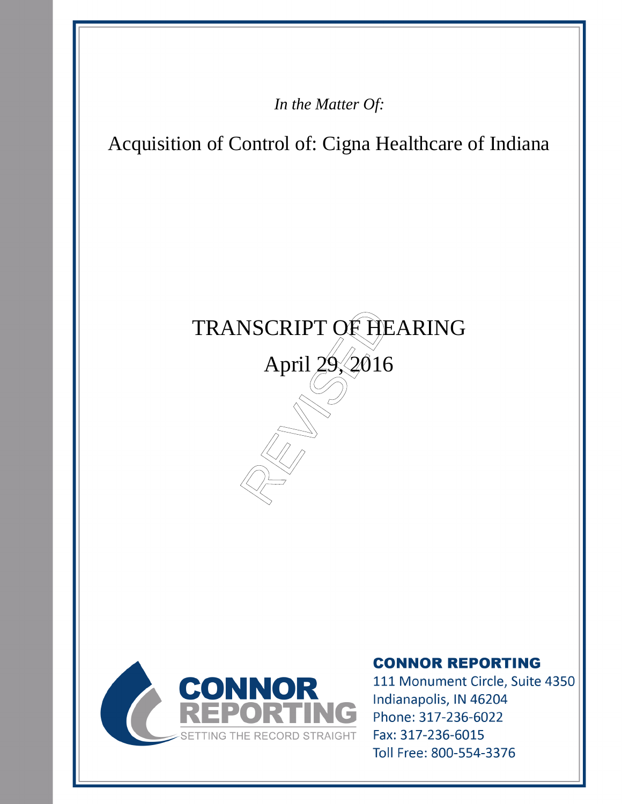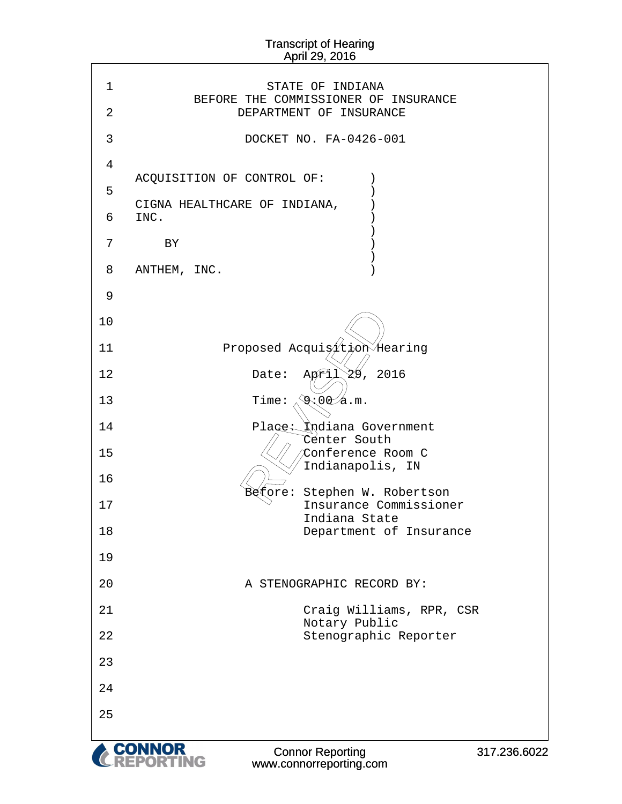٦

 $\Gamma$ 

| 1              | STATE OF INDIANA                                                                              |
|----------------|-----------------------------------------------------------------------------------------------|
| $\overline{2}$ | BEFORE THE COMMISSIONER OF INSURANCE<br>DEPARTMENT OF INSURANCE                               |
| 3              | DOCKET NO. FA-0426-001                                                                        |
| 4              |                                                                                               |
| 5              | ACQUISITION OF CONTROL OF:                                                                    |
| 6              | CIGNA HEALTHCARE OF INDIANA,<br>INC.                                                          |
|                |                                                                                               |
| 7              | BY                                                                                            |
| 8              | ANTHEM, INC.                                                                                  |
| 9              |                                                                                               |
| 10             |                                                                                               |
| 11             | Proposed Acquisition Hearing                                                                  |
| 12             | 29, 2016<br>Date:<br>Aori.                                                                    |
| 13             | $\circledast$ :00⁄a.m.<br>Time:                                                               |
| 14             | Place: Kndiana Government<br>Cénter South                                                     |
| 15             | Conference Room C<br>Indianapolis, IN                                                         |
| 16             | Stephen W. Robertson<br>∛etore:                                                               |
| 17             | Insurance Commissioner                                                                        |
| 18             | Indiana State<br>Department of Insurance                                                      |
| 19             |                                                                                               |
| 20             | A STENOGRAPHIC RECORD BY:                                                                     |
| 21             | Craig Williams, RPR, CSR                                                                      |
| 22             | Notary Public<br>Stenographic Reporter                                                        |
| 23             |                                                                                               |
| 24             |                                                                                               |
| 25             |                                                                                               |
|                | <b>CONNOR</b><br>CONNOR<br><b>Connor Reporting</b><br>317.236.6022<br>www.connorreporting.com |

www.connorreporting.com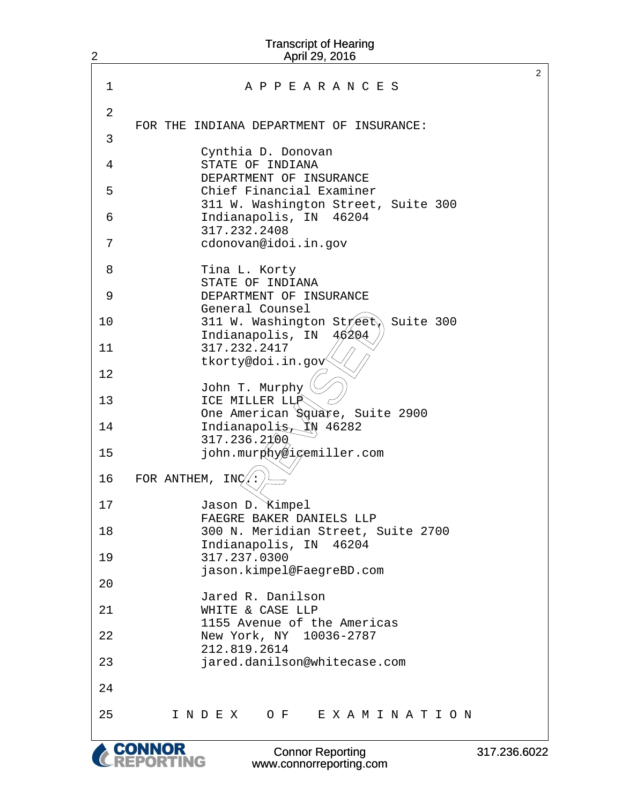| 2  | <b>Transcript of Hearing</b><br>April 29, 2016                     |                      |
|----|--------------------------------------------------------------------|----------------------|
|    |                                                                    | $\mathbf{2}^{\circ}$ |
| 1  | A P P E A R A N C E S                                              |                      |
| 2  | FOR THE INDIANA DEPARTMENT OF INSURANCE:                           |                      |
| 3  |                                                                    |                      |
| 4  | Cynthia D. Donovan<br>STATE OF INDIANA<br>DEPARTMENT OF INSURANCE  |                      |
| 5  | Chief Financial Examiner                                           |                      |
| 6  | 311 W. Washington Street, Suite 300<br>Indianapolis, IN 46204      |                      |
| 7  | 317.232.2408<br>cdonovan@idoi.in.gov                               |                      |
| 8  | Tina L. Korty<br>STATE OF INDIANA                                  |                      |
| 9  | DEPARTMENT OF INSURANCE<br>General Counsel                         |                      |
| 10 | Suite 300<br>311 W. Washington Street<br>Indianapolis, IN<br>46204 |                      |
| 11 | 317.232.2417<br>tkorty@doi.in.gov                                  |                      |
| 12 | John T. Murphy                                                     |                      |
| 13 | ICE MILLER LLP<br>One American Square, Suite 2900                  |                      |
| 14 | XN 46282<br>Indianapolis<br>317.236.2100                           |                      |
| 15 | john.murghy@icemiller.com                                          |                      |
| 16 | FOR ANTHEM,<br>INC.                                                |                      |
| 17 | Jason D. Kimpel<br>FAEGRE BAKER DANIELS LLP                        |                      |
| 18 | 300 N. Meridian Street, Suite 2700<br>Indianapolis, IN 46204       |                      |
| 19 | 317.237.0300<br>jason.kimpel@FaegreBD.com                          |                      |
| 20 | Jared R. Danilson                                                  |                      |
| 21 | WHITE & CASE LLP<br>1155 Avenue of the Americas                    |                      |
| 22 | New York, NY 10036-2787<br>212.819.2614                            |                      |
| 23 | jared.danilson@whitecase.com                                       |                      |
| 24 |                                                                    |                      |
| 25 | INDEX OF EXAMINATION                                               |                      |
|    |                                                                    |                      |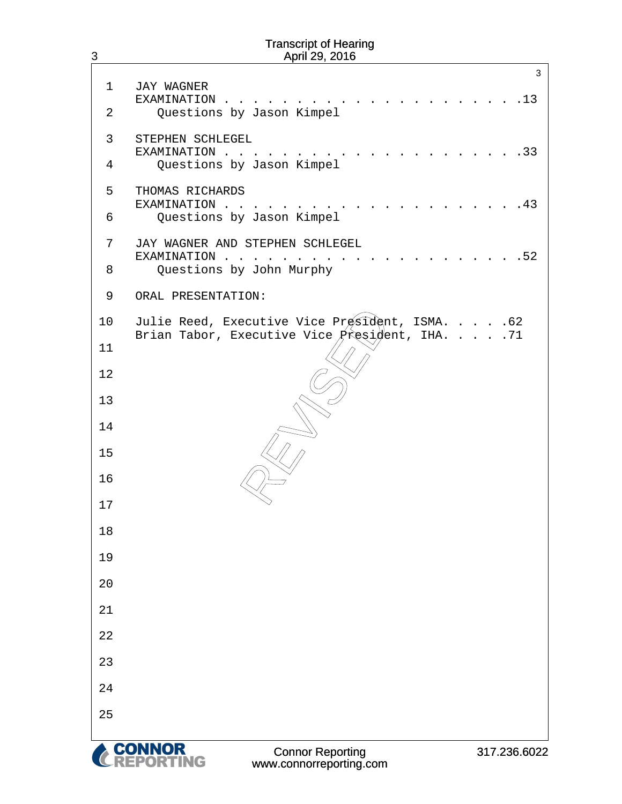# 3 1 JAY WAGNER · · ·EXAMINATION . . . . . . . . . . . . . . . . . . . . .13 2 Ouestions by Jason Kimpel 3 STEPHEN SCHLEGEL · · ·EXAMINATION . . . . . . . . . . . . . . . . . . . . .33 4 Questions by Jason Kimpel 5 THOMAS RICHARDS · · ·EXAMINATION . . . . . . . . . . . . . . . . . . . . .43 6 Questions by Jason Kimpel 7 JAY WAGNER AND STEPHEN SCHLEGEL · · ·EXAMINATION . . . . . . . . . . . . . . . . . . . . .52 8 Ouestions by John Murphy 9 ORAL PRESENTATION: 10 Julie Reed, Executive Vice President, ISMA. . . . . 62 Brian Tabor, Executive Vice  $\hat{P}$ resi $\hat{\theta}$ ent, IHA. . . . . 71 11 12 13 14 15 16 17 18 19 20 21 22 23 24 25 ecutive Vice Président,<br>xecutive Vice President<br>
ANDER PRESIDENT<br>
ANDER PRESIDENT<br>
ANDER PRESIDENT<br>
ANDER PRESIDENT PRESIDENT PRESIDENT PRESIDENT PRESIDENT PRESIDENT PRESIDENT PRESIDENT PRESIDENT PRESIDENT PRESIDENT PRESID Transcript of Hearing April 29, 2016 3

**'ING**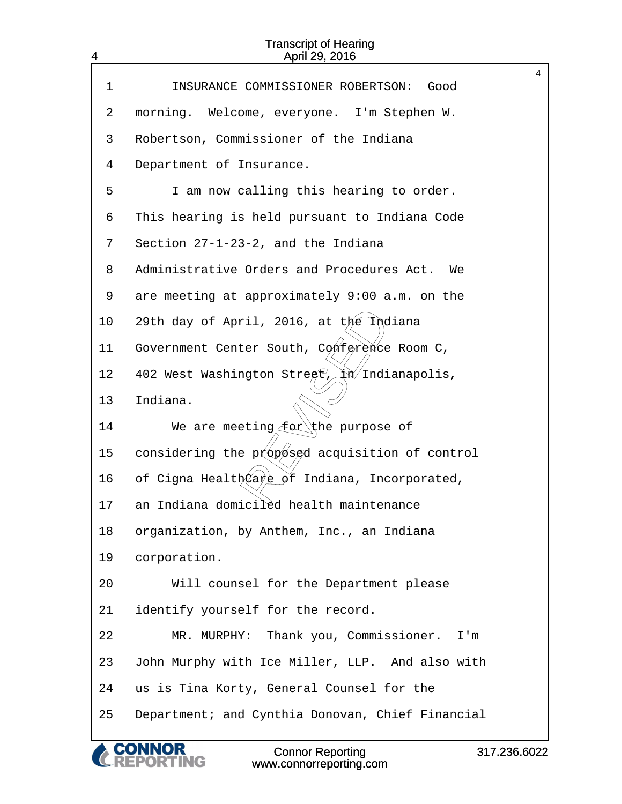| 4           | <b>Transcript of Hearing</b><br>April 29, 2016            |              |
|-------------|-----------------------------------------------------------|--------------|
| $\mathbf 1$ | INSURANCE COMMISSIONER ROBERTSON:<br>Good                 | 4            |
|             |                                                           |              |
| 2           | morning. Welcome, everyone. I'm Stephen W.                |              |
| 3           | Robertson, Commissioner of the Indiana                    |              |
| 4           | Department of Insurance.                                  |              |
| 5           | I am now calling this hearing to order.                   |              |
| 6           | This hearing is held pursuant to Indiana Code             |              |
| 7           | Section 27-1-23-2, and the Indiana                        |              |
| 8           | Administrative Orders and Procedures Act.<br>We           |              |
| 9           | are meeting at approximately 9:00 a.m. on the             |              |
| 10          | 29th day of April, 2016, at the Indiana                   |              |
| 11          | Government Center South, Conference Room C,               |              |
| 12          | 402 West Washington Street, $\chi$ n $\chi$ Indianapolis, |              |
| 13          | Indiana.                                                  |              |
| 14          | We are meeting for the purpose of                         |              |
| 15          | considering the proposed acquisition of control           |              |
| 16          | of Cigna HealthCare of Indiana, Incorporated,             |              |
| 17          | an Indiana domiciléd health maintenance                   |              |
| 18          | organization, by Anthem, Inc., an Indiana                 |              |
| 19          | corporation.                                              |              |
| 20          | Will counsel for the Department please                    |              |
| 21          | identify yourself for the record.                         |              |
| 22          | MR. MURPHY: Thank you, Commissioner.<br>I'm               |              |
| 23          | John Murphy with Ice Miller, LLP. And also with           |              |
| 24          | us is Tina Korty, General Counsel for the                 |              |
| 25          | Department; and Cynthia Donovan, Chief Financial          |              |
|             | <b>Connor Reporting</b><br>www.connorreporting.com        | 317.236.6022 |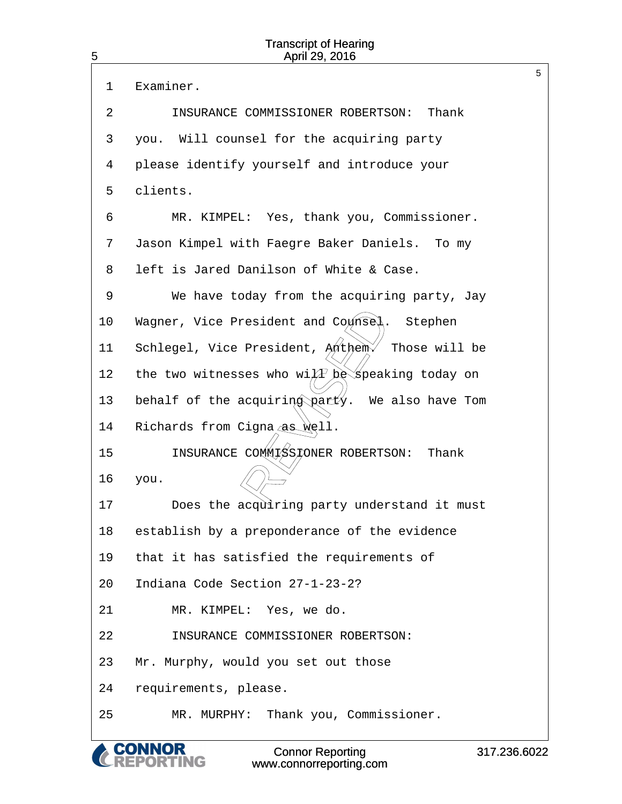| 5  | <b>Transcript of Hearing</b><br>April 29, 2016               |             |
|----|--------------------------------------------------------------|-------------|
| 1  | Examiner.                                                    | 5           |
| 2  | INSURANCE COMMISSIONER ROBERTSON:<br>Thank                   |             |
| 3  | you. Will counsel for the acquiring party                    |             |
| 4  | please identify yourself and introduce your                  |             |
| 5  | clients.                                                     |             |
| 6  | MR. KIMPEL: Yes, thank you, Commissioner.                    |             |
| 7  | Jason Kimpel with Faegre Baker Daniels. To my                |             |
| 8  | left is Jared Danilson of White & Case.                      |             |
| 9  | We have today from the acquiring party, Jay                  |             |
| 10 | Wagner, Vice President and Counsel.<br>Stephen               |             |
| 11 | Schlegel, Vice President, Anthem<br>Those will be            |             |
| 12 | the two witnesses who wi $\widehat{AP}$ be speaking today on |             |
| 13 | behalf of the acquiring party.<br>We also have Tom           |             |
| 14 | Richards from Cigna as well.                                 |             |
| 15 | INSURANCE COMMISSIONER ROBERTSON:<br>Thank                   |             |
| 16 | you.                                                         |             |
| 17 | Does the acquiring party understand it must                  |             |
| 18 | establish by a preponderance of the evidence                 |             |
| 19 | that it has satisfied the requirements of                    |             |
| 20 | Indiana Code Section 27-1-23-2?                              |             |
| 21 | MR. KIMPEL: Yes, we do.                                      |             |
| 22 | INSURANCE COMMISSIONER ROBERTSON:                            |             |
| 23 | Mr. Murphy, would you set out those                          |             |
| 24 | requirements, please.                                        |             |
| 25 | MR. MURPHY: Thank you, Commissioner.                         |             |
|    | <b>Connor Reporting</b><br>www.connorreporting.com           | 317.236.602 |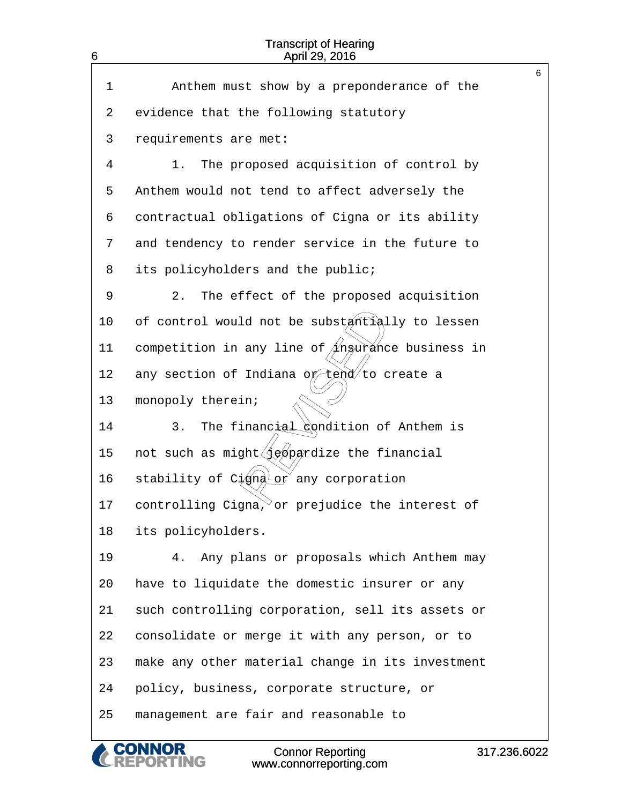| 6  | <b>Transcript of Hearing</b><br>April 29, 2016                         |   |
|----|------------------------------------------------------------------------|---|
| 1  | Anthem must show by a preponderance of the                             | 6 |
|    |                                                                        |   |
| 2  | evidence that the following statutory                                  |   |
| 3  | requirements are met:                                                  |   |
| 4  | The proposed acquisition of control by<br>1.                           |   |
| 5  | Anthem would not tend to affect adversely the                          |   |
| 6  | contractual obligations of Cigna or its ability                        |   |
| 7  | and tendency to render service in the future to                        |   |
| 8  | its policyholders and the public;                                      |   |
| 9  | $2$ .<br>The effect of the proposed acquisition                        |   |
| 10 | of control would not be substantially to lessen                        |   |
| 11 | competition in any line of $/1$ ngurance business in                   |   |
| 12 | any section of Indiana o $\not\!\!\!\!/\, \not\!\!\!\!/\,$ to create a |   |
| 13 | monopoly therein;                                                      |   |
| 14 | The financial condition of Anthem is<br>3.                             |   |
| 15 | not such as might (jeopardize the financial                            |   |
| 16 | stability of Cigna or any corporation                                  |   |
| 17 | controlling Cigna, or prejudice the interest of                        |   |
| 18 | its policyholders.                                                     |   |
| 19 | Any plans or proposals which Anthem may<br>4.                          |   |
| 20 | have to liquidate the domestic insurer or any                          |   |
| 21 | such controlling corporation, sell its assets or                       |   |
| 22 | consolidate or merge it with any person, or to                         |   |
| 23 | make any other material change in its investment                       |   |
| 24 | policy, business, corporate structure, or                              |   |
| 25 | management are fair and reasonable to                                  |   |
|    |                                                                        |   |

CONNOR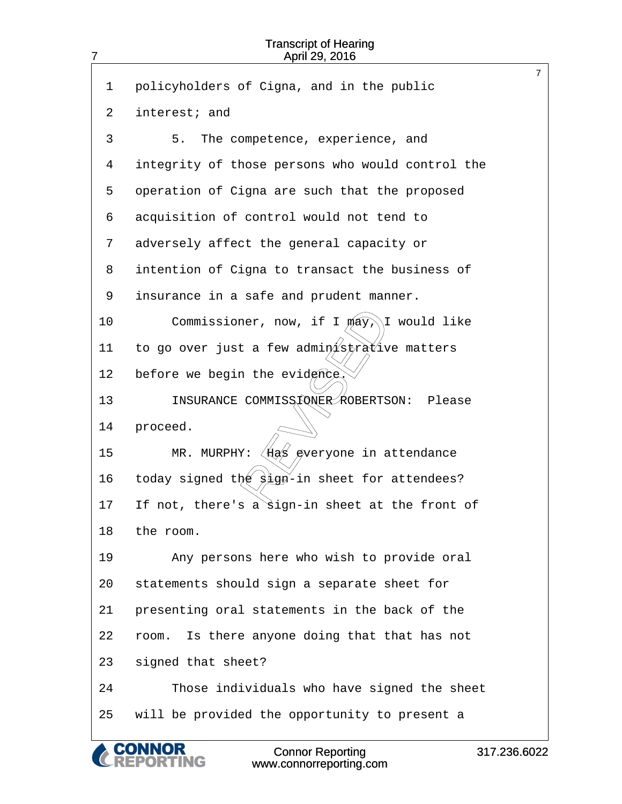| $\overline{7}$ | <b>Transcript of Hearing</b><br>April 29, 2016                          |             |
|----------------|-------------------------------------------------------------------------|-------------|
| 1              | policyholders of Cigna, and in the public                               | 7           |
| 2              | interest; and                                                           |             |
| 3              | 5.<br>The competence, experience, and                                   |             |
| 4              | integrity of those persons who would control the                        |             |
|                |                                                                         |             |
| 5              | operation of Cigna are such that the proposed                           |             |
| 6              | acquisition of control would not tend to                                |             |
| 7              | adversely affect the general capacity or                                |             |
| 8              | intention of Cigna to transact the business of                          |             |
| 9              | insurance in a safe and prudent manner.                                 |             |
| 10             | Commissioner, now, if I may,<br>\I would like                           |             |
| 11             | to go over just a few administrative matters                            |             |
| 12             | before we begin the evidence                                            |             |
| 13             | INSURANCE COMMISS FONER ROBERTSON:<br>Please                            |             |
| 14             | proceed.                                                                |             |
| 15             | $\langle$ Has gveryone in attendance<br>MR. MURPHY:                     |             |
| 16             | today signed the $\frac{\partial}{\partial n}$ -in sheet for attendees? |             |
| 17             | If not, there's a sign-in sheet at the front of                         |             |
| 18             | the room.                                                               |             |
| 19             | Any persons here who wish to provide oral                               |             |
| 20             | statements should sign a separate sheet for                             |             |
| 21             | presenting oral statements in the back of the                           |             |
| 22             | Is there anyone doing that that has not<br>room.                        |             |
| 23             | signed that sheet?                                                      |             |
| 24             | Those individuals who have signed the sheet                             |             |
| 25             | will be provided the opportunity to present a                           |             |
|                | <b>Connor Reporting</b><br>www.connorreporting.com                      | 317.236.602 |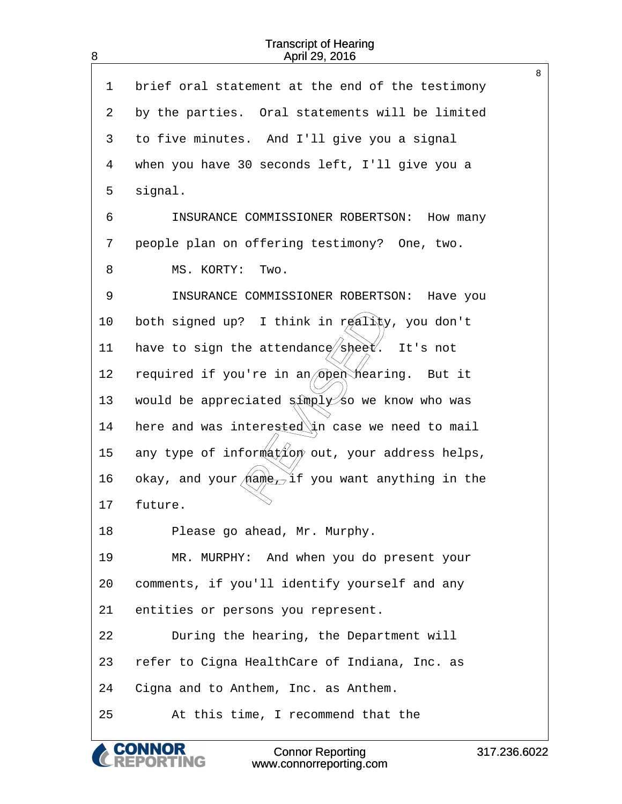8

| 1  | brief oral statement at the end of the testimony                    |
|----|---------------------------------------------------------------------|
| 2  | by the parties. Oral statements will be limited                     |
| 3  | to five minutes. And I'll give you a signal                         |
| 4  | when you have 30 seconds left, I'll give you a                      |
| 5  | signal.                                                             |
| 6  | INSURANCE COMMISSIONER ROBERTSON:<br>How many                       |
| 7  | people plan on offering testimony? One, two.                        |
| 8  | MS. KORTY:<br>Two.                                                  |
| 9  | INSURANCE COMMISSIONER ROBERTSON:<br>Have you                       |
| 10 | both signed up? I think in $r$ $\notin$ ality, you don't            |
| 11 | have to sign the attendance sheet. It's not                         |
| 12 | required if you're in an open hearing. But it                       |
| 13 | would be appreciated $\frac{1}{2}$ $\frac{1}{2}$ so we know who was |
| 14 | here and was interested in case we need to mail                     |
| 15 | any type of information out, your address helps,                    |
| 16 | okay, and your $(na\theta)$ if you want anything in the             |
| 17 | future.                                                             |
| 18 | Please go ahead, Mr. Murphy.                                        |
| 19 | MR. MURPHY: And when you do present your                            |
| 20 | comments, if you'll identify yourself and any                       |
| 21 | entities or persons you represent.                                  |
| 22 | During the hearing, the Department will                             |
| 23 | refer to Cigna HealthCare of Indiana, Inc. as                       |
| 24 | Cigna and to Anthem, Inc. as Anthem.                                |
| 25 | At this time, I recommend that the                                  |

Connor Reporting www.connorreporting.com

& CONNOR<br>CREPORTING

317.236.6022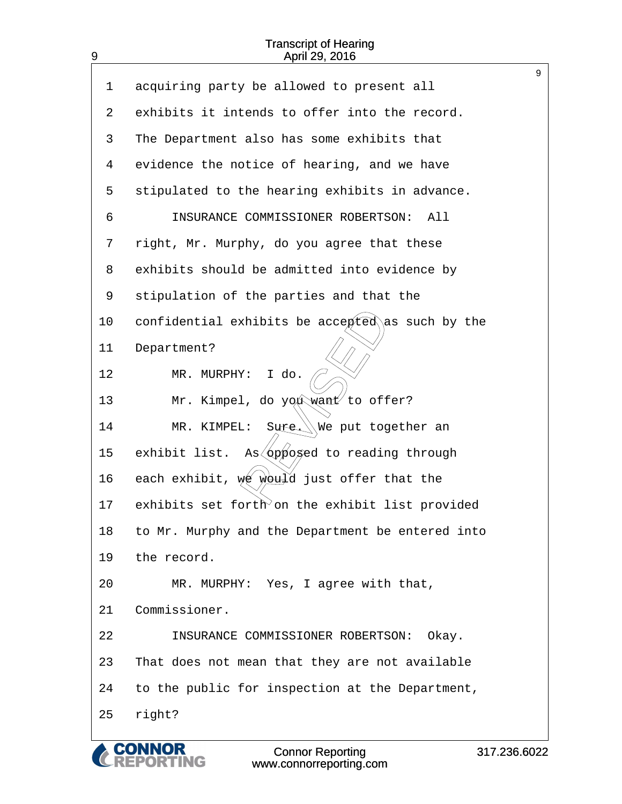9

| acquiring party be allowed to present all               |
|---------------------------------------------------------|
| exhibits it intends to offer into the record.           |
| The Department also has some exhibits that              |
| evidence the notice of hearing, and we have             |
| stipulated to the hearing exhibits in advance.          |
| INSURANCE COMMISSIONER ROBERTSON:<br>All                |
| right, Mr. Murphy, do you agree that these              |
| exhibits should be admitted into evidence by            |
| stipulation of the parties and that the                 |
| confidential exhibits be accepted as such by the        |
| Department?                                             |
| MR. MURPHY:<br>I do.                                    |
| Mr. Kimpel, do you want to offer?                       |
| Sure. We put together an<br>MR. KIMPEL:                 |
| As <i>pposed</i> to reading through<br>exhibit list.    |
| each exhibit, $w \notin \mathbb{W}$ iust offer that the |
| exhibits set forth on the exhibit list provided         |
| to Mr. Murphy and the Department be entered into        |
| the record.                                             |
| MR. MURPHY: Yes, I agree with that,                     |
| Commissioner.                                           |
| INSURANCE COMMISSIONER ROBERTSON: Okay.                 |
| That does not mean that they are not available          |
| to the public for inspection at the Department,         |
| right?                                                  |
|                                                         |

**CONNOR<br>REPORTING** 

 $\overline{\mathcal{C}}$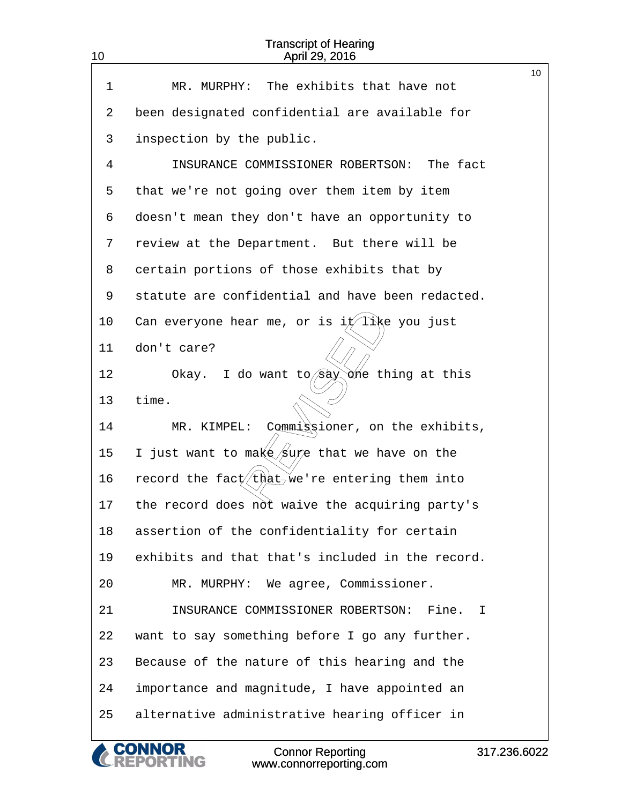| 10 | <b>Transcript of Hearing</b><br>April 29, 2016        |              |
|----|-------------------------------------------------------|--------------|
| 1  | The exhibits that have not<br>MR. MURPHY:             | 10           |
| 2  | been designated confidential are available for        |              |
| 3  | inspection by the public.                             |              |
| 4  | INSURANCE COMMISSIONER ROBERTSON: The fact            |              |
| 5  | that we're not going over them item by item           |              |
| 6  | doesn't mean they don't have an opportunity to        |              |
| 7  | review at the Department. But there will be           |              |
| 8  | certain portions of those exhibits that by            |              |
| 9  | statute are confidential and have been redacted.      |              |
| 10 | Can everyone hear me, or is it like you just          |              |
| 11 | don't care?                                           |              |
| 12 | I do want to $\sin \theta$ one thing at this<br>Okay. |              |
| 13 | time.                                                 |              |
| 14 | Commigsioner, on the exhibits,<br>MR. KIMPEL:         |              |
| 15 | I just want to make/sure that we have on the          |              |
| 16 | record the fact (that we're entering them into        |              |
| 17 | the record does not waive the acquiring party's       |              |
| 18 | assertion of the confidentiality for certain          |              |
| 19 | exhibits and that that's included in the record.      |              |
| 20 | MR. MURPHY: We agree, Commissioner.                   |              |
| 21 | INSURANCE COMMISSIONER ROBERTSON:<br>Fine. I          |              |
| 22 | want to say something before I go any further.        |              |
| 23 | Because of the nature of this hearing and the         |              |
| 24 | importance and magnitude, I have appointed an         |              |
| 25 | alternative administrative hearing officer in         |              |
|    | <b>Connor Reporting</b><br>www.connorreporting.com    | 317.236.6022 |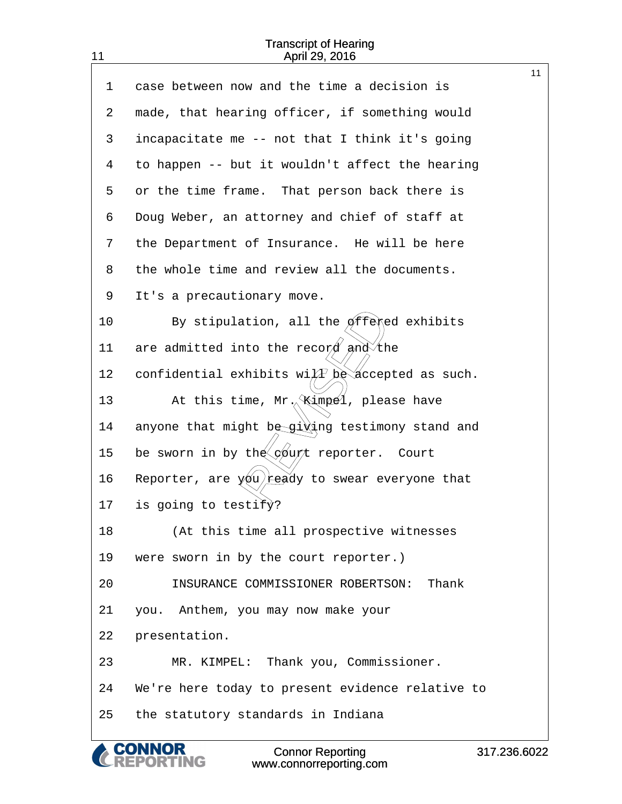|    |                                                              | 11 |
|----|--------------------------------------------------------------|----|
| 1  | case between now and the time a decision is                  |    |
| 2  | made, that hearing officer, if something would               |    |
| 3  | incapacitate me -- not that I think it's going               |    |
| 4  | to happen -- but it wouldn't affect the hearing              |    |
| 5  | or the time frame. That person back there is                 |    |
| 6  | Doug Weber, an attorney and chief of staff at                |    |
| 7  | the Department of Insurance. He will be here                 |    |
| 8  | the whole time and review all the documents.                 |    |
| 9  | It's a precautionary move.                                   |    |
| 10 | By stipulation, all the $\phi$ ffered exhibits               |    |
| 11 | are admitted into the record and the                         |    |
| 12 | confidential exhibits wi $\widehat{AP}$ be accepted as such. |    |
| 13 | At this time, $Mr_{\gamma}$ (impel, please have              |    |
| 14 | anyone that might be giving testimony stand and              |    |
| 15 | be sworn in by the <i>durt</i> reporter. Court               |    |
| 16 | Reporter, are $y_0$ ready to swear everyone that             |    |
| 17 | is going to testify?                                         |    |
| 18 | (At this time all prospective witnesses                      |    |
| 19 | were sworn in by the court reporter.)                        |    |
| 20 | INSURANCE COMMISSIONER ROBERTSON:<br>Thank                   |    |
| 21 | you. Anthem, you may now make your                           |    |
| 22 | presentation.                                                |    |
| 23 | MR. KIMPEL: Thank you, Commissioner.                         |    |
| 24 | We're here today to present evidence relative to             |    |
| 25 | the statutory standards in Indiana                           |    |
|    |                                                              |    |

**CONNOR<br>REPORTING** C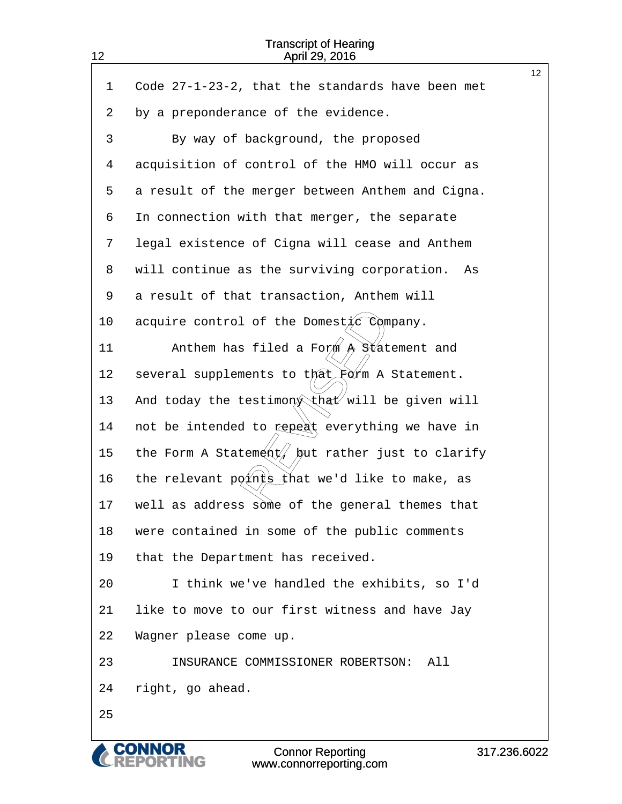| 12 | <b>Transcript of Hearing</b><br>April 29, 2016    |                 |  |
|----|---------------------------------------------------|-----------------|--|
|    |                                                   | 12 <sup>°</sup> |  |
| 1  | Code 27-1-23-2, that the standards have been met  |                 |  |
| 2  | by a preponderance of the evidence.               |                 |  |
| 3  | By way of background, the proposed                |                 |  |
| 4  | acquisition of control of the HMO will occur as   |                 |  |
| 5  | a result of the merger between Anthem and Cigna.  |                 |  |
| 6  | In connection with that merger, the separate      |                 |  |
| 7  | legal existence of Cigna will cease and Anthem    |                 |  |
| 8  | will continue as the surviving corporation.<br>As |                 |  |
| 9  | a result of that transaction, Anthem will         |                 |  |
| 10 | acquire control of the Domest $\sqrt{c}$ Company. |                 |  |
| 11 | Anthem has filed a Form $A$ Statement and         |                 |  |
| 12 | several supplements to that Form A Statement.     |                 |  |
| 13 | And today the testimon that will be given will    |                 |  |
| 14 | not be intended to repeat everything we have in   |                 |  |
| 15 | the Form A Statement/ but rather just to clarify  |                 |  |
| 16 | the relevant pø{nt sthat we'd like to make, as    |                 |  |
| 17 | well as address some of the general themes that   |                 |  |
| 18 | were contained in some of the public comments     |                 |  |
| 19 | that the Department has received.                 |                 |  |
| 20 | I think we've handled the exhibits, so I'd        |                 |  |
| 21 | like to move to our first witness and have Jay    |                 |  |
| 22 | Wagner please come up.                            |                 |  |
| 23 | INSURANCE COMMISSIONER ROBERTSON:<br>All          |                 |  |
| 24 | right, go ahead.                                  |                 |  |
| 25 |                                                   |                 |  |
|    |                                                   |                 |  |

& CONNOR<br>CREPORTING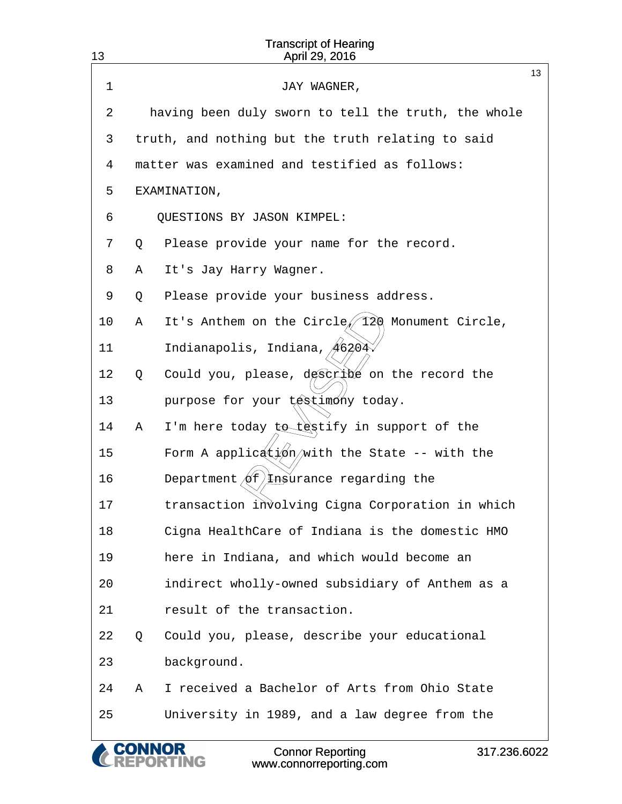| 13 |   | <b>Transcript of Hearing</b><br>April 29, 2016                                  |    |
|----|---|---------------------------------------------------------------------------------|----|
| 1  |   | JAY WAGNER,                                                                     | 13 |
| 2  |   | having been duly sworn to tell the truth, the whole                             |    |
| 3  |   | truth, and nothing but the truth relating to said                               |    |
| 4  |   | matter was examined and testified as follows:                                   |    |
| 5  |   | EXAMINATION,                                                                    |    |
| 6  |   | QUESTIONS BY JASON KIMPEL:                                                      |    |
| 7  | Q | Please provide your name for the record.                                        |    |
| 8  | Α | It's Jay Harry Wagner.                                                          |    |
| 9  | Q | Please provide your business address.                                           |    |
| 10 | Α | It's Anthem on the Circle/120 Monument Circle,                                  |    |
| 11 |   | Indianapolis, Indiana, 46204                                                    |    |
| 12 | Q | Could you, please, déscribé on the record the                                   |    |
| 13 |   | purpose for your testimony today.                                               |    |
| 14 | Α | I'm here today to testify in support of the                                     |    |
| 15 |   | Form A application/with the State -- with the                                   |    |
| 16 |   | Department $of$ <i>H</i> nsurance regarding the                                 |    |
| 17 |   | transaction involving Cigna Corporation in which                                |    |
| 18 |   | Cigna HealthCare of Indiana is the domestic HMO                                 |    |
| 19 |   | here in Indiana, and which would become an                                      |    |
| 20 |   | indirect wholly-owned subsidiary of Anthem as a                                 |    |
| 21 |   | result of the transaction.                                                      |    |
| 22 | Q | Could you, please, describe your educational                                    |    |
| 23 |   | background.                                                                     |    |
| 24 | Α | I received a Bachelor of Arts from Ohio State                                   |    |
| 25 |   | University in 1989, and a law degree from the                                   |    |
|    |   | <b>Connor Reporting</b><br>317.236.6022<br><b>NG</b><br>www.connorreporting.com |    |

www.connorreporting.com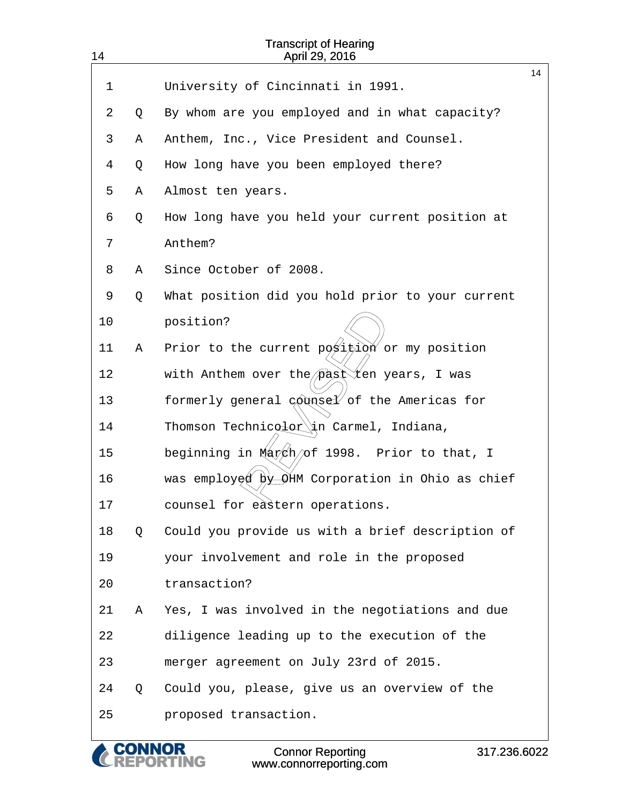| 14 |   | <b>Transcript of Hearing</b><br>April 29, 2016           |    |
|----|---|----------------------------------------------------------|----|
|    |   |                                                          | 14 |
| 1  |   | University of Cincinnati in 1991.                        |    |
| 2  | Q | By whom are you employed and in what capacity?           |    |
| 3  | Α | Anthem, Inc., Vice President and Counsel.                |    |
| 4  | Q | How long have you been employed there?                   |    |
| 5  | Α | Almost ten years.                                        |    |
| 6  | Q | How long have you held your current position at          |    |
| 7  |   | Anthem?                                                  |    |
| 8  | Α | Since October of 2008.                                   |    |
| 9  | Q | What position did you hold prior to your current         |    |
| 10 |   | position?                                                |    |
| 11 | Α | Prior to the current position or my position             |    |
| 12 |   | with Anthem over the $p$ ast $X$ en years, I was         |    |
| 13 |   | formerly general counsel of the Americas for             |    |
| 14 |   | Thomson Technicolor in Carmel, Indiana,                  |    |
| 15 |   | beginning in March/of 1998. Prior to that, I             |    |
| 16 |   | was employed by $\Theta$ HM Corporation in Ohio as chief |    |
| 17 |   | counsel for eastern operations.                          |    |
| 18 | Q | Could you provide us with a brief description of         |    |
| 19 |   | your involvement and role in the proposed                |    |
| 20 |   | transaction?                                             |    |
| 21 | Α | Yes, I was involved in the negotiations and due          |    |
| 22 |   | diligence leading up to the execution of the             |    |
| 23 |   | merger agreement on July 23rd of 2015.                   |    |
| 24 | Q | Could you, please, give us an overview of the            |    |
| 25 |   | proposed transaction.                                    |    |
|    |   |                                                          |    |

Connor Reporting

CONNOR www.connorreporting.com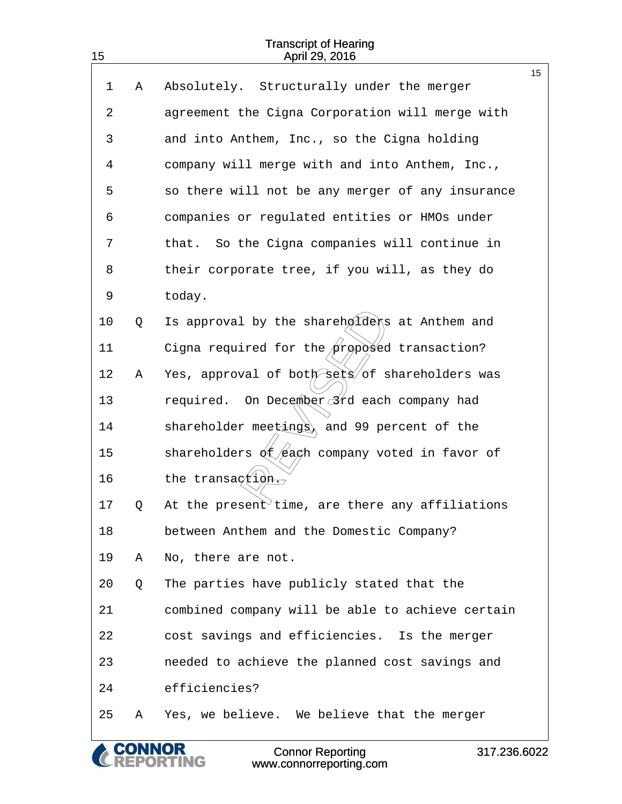|    |   | <b>Connor Reporting</b><br>317.236.6022<br>www.connorreporting.com |    |
|----|---|--------------------------------------------------------------------|----|
| 25 | Α | Yes, we believe. We believe that the merger                        |    |
| 24 |   | efficiencies?                                                      |    |
| 23 |   | needed to achieve the planned cost savings and                     |    |
| 22 |   | cost savings and efficiencies. Is the merger                       |    |
| 21 |   | combined company will be able to achieve certain                   |    |
| 20 | Q | The parties have publicly stated that the                          |    |
| 19 | Α | No, there are not.                                                 |    |
| 18 |   | between Anthem and the Domestic Company?                           |    |
| 17 | Q | At the present time, are there any affiliations                    |    |
| 16 |   | the transagtion.                                                   |    |
| 15 |   | shareholders $\oint \mathcal{L}$ ach company voted in favor of     |    |
| 14 |   | shareholder meetings, and 99 percent of the                        |    |
| 13 |   | On December 3rd each company had<br>required.                      |    |
| 12 | Α | Yes, approval of both sets of shareholders was                     |    |
| 11 |   | Cigna required for the $\phi$ roposed transaction?                 |    |
| 10 | Q | Is approval by the shareholders at Anthem and                      |    |
| 9  |   | today.                                                             |    |
| 8  |   | their corporate tree, if you will, as they do                      |    |
| 7  |   | that. So the Cigna companies will continue in                      |    |
| 6  |   | companies or regulated entities or HMOs under                      |    |
| 5  |   | so there will not be any merger of any insurance                   |    |
| 4  |   | company will merge with and into Anthem, Inc.,                     |    |
| 3  |   | and into Anthem, Inc., so the Cigna holding                        |    |
| 2  |   | agreement the Cigna Corporation will merge with                    |    |
| 1  | Α | Absolutely. Structurally under the merger                          | 15 |
|    |   |                                                                    |    |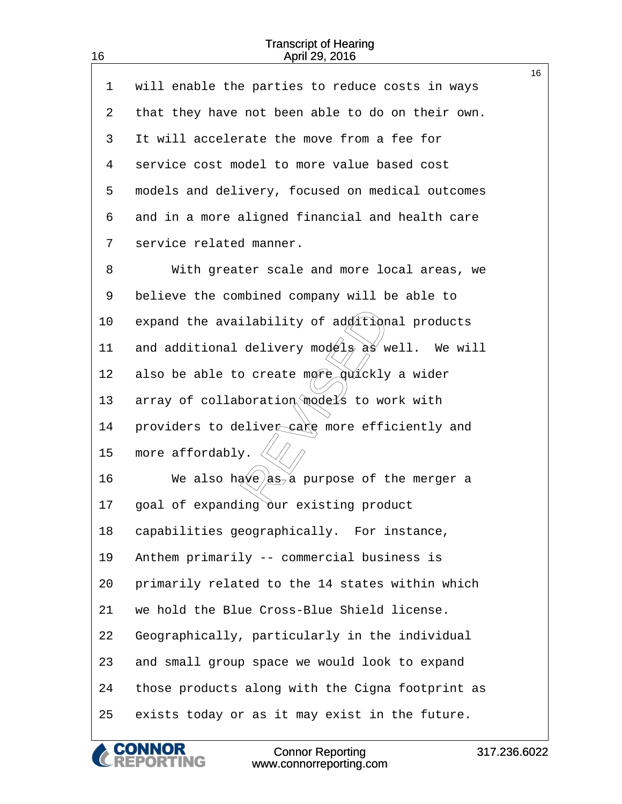| $\mathbf 1$ | will enable the parties to reduce costs in ways        | 16 |
|-------------|--------------------------------------------------------|----|
| 2           | that they have not been able to do on their own.       |    |
| 3           | It will accelerate the move from a fee for             |    |
| 4           | service cost model to more value based cost            |    |
| 5           | models and delivery, focused on medical outcomes       |    |
| 6           | and in a more aligned financial and health care        |    |
| 7           | service related manner.                                |    |
| 8           | With greater scale and more local areas, we            |    |
| 9           | believe the combined company will be able to           |    |
| 10          | expand the availability of additional products         |    |
| 11          | and additional delivery models as well. We will        |    |
| 12          | also be able to create more quickly a wider            |    |
| 13          | array of collaboration models to work with             |    |
| 14          | providers to deliver care more efficiently and         |    |
| 15          | more affordably.                                       |    |
| 16          | We also have $\frac{1}{2}$ , a purpose of the merger a |    |
| 17          | goal of expanding our existing product                 |    |
| 18          | capabilities geographically. For instance,             |    |
| 19          | Anthem primarily -- commercial business is             |    |
| 20          | primarily related to the 14 states within which        |    |
| 21          | we hold the Blue Cross-Blue Shield license.            |    |
| 22          | Geographically, particularly in the individual         |    |
| 23          | and small group space we would look to expand          |    |
| 24          | those products along with the Cigna footprint as       |    |
| 25          | exists today or as it may exist in the future.         |    |

**CONNOR<br>REPORTING**  $\mathcal C$ 

16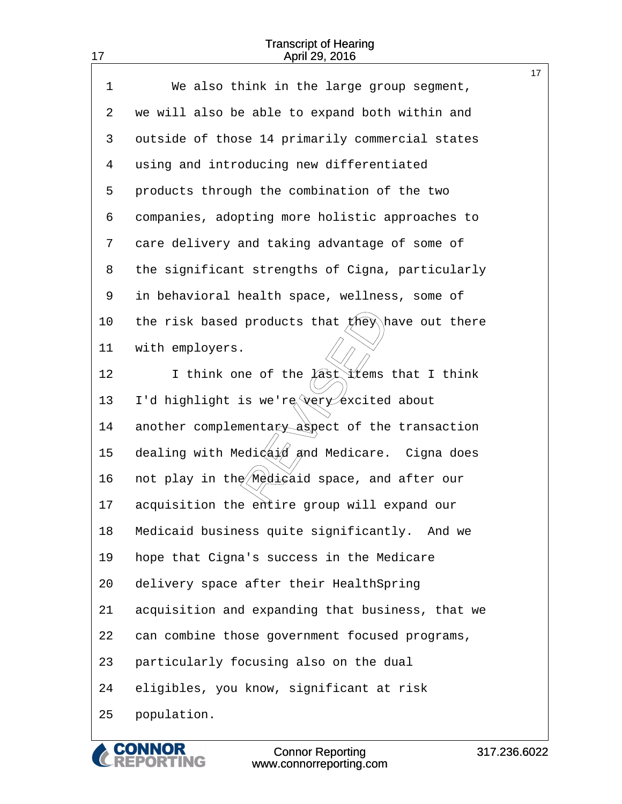| 17          | April 29, 2016                                                         |    |
|-------------|------------------------------------------------------------------------|----|
| $\mathbf 1$ | We also think in the large group segment,                              | 17 |
| 2           | we will also be able to expand both within and                         |    |
| 3           | outside of those 14 primarily commercial states                        |    |
| 4           | using and introducing new differentiated                               |    |
|             |                                                                        |    |
| 5           | products through the combination of the two                            |    |
| 6           | companies, adopting more holistic approaches to                        |    |
| 7           | care delivery and taking advantage of some of                          |    |
| 8           | the significant strengths of Cigna, particularly                       |    |
| 9           | in behavioral health space, wellness, some of                          |    |
| 10          | the risk based products that $f$ hey have out there                    |    |
| 11          | with employers.                                                        |    |
| 12          | I think one of the $\widehat{A}$ st items that I think                 |    |
| 13          | I'd highlight is we're very excited about                              |    |
| 14          | another complementary aspect of the transaction                        |    |
| 15          | dealing with Medi $\left(\frac{1}{2}x\right)$ and Medicare. Cigna does |    |
| 16          | not play in the <i>Medigaid</i> space, and after our                   |    |
| 17          | acquisition the entire group will expand our                           |    |
| 18          | Medicaid business quite significantly. And we                          |    |
| 19          | hope that Cigna's success in the Medicare                              |    |
| 20          | delivery space after their HealthSpring                                |    |
| 21          | acquisition and expanding that business, that we                       |    |
| 22          | can combine those government focused programs,                         |    |
| 23          | particularly focusing also on the dual                                 |    |
| 24          | eligibles, you know, significant at risk                               |    |
| 25          | population.                                                            |    |

**CONNOR<br>REPORTING**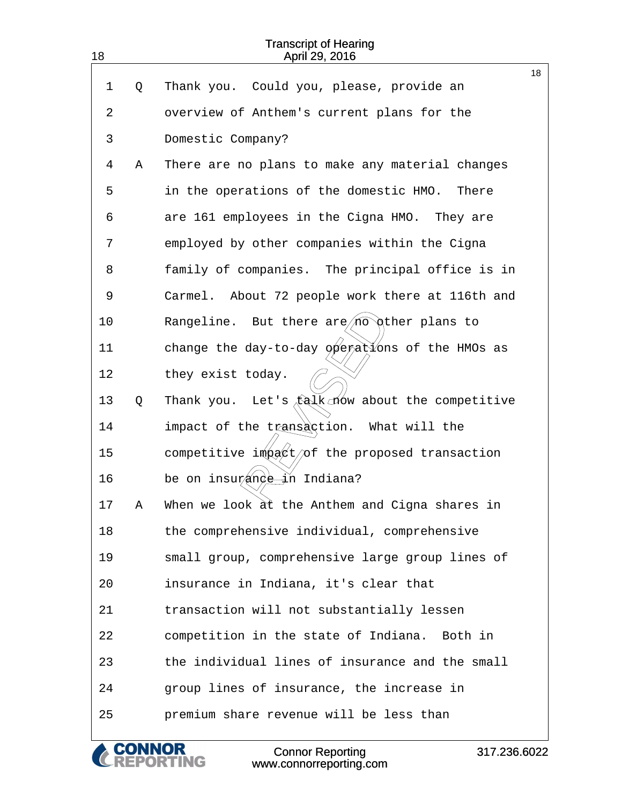| 18 |   | <b>Transcript of Hearing</b><br>April 29, 2016              |    |
|----|---|-------------------------------------------------------------|----|
| 1  | Q | Thank you. Could you, please, provide an                    | 18 |
|    |   |                                                             |    |
| 2  |   | overview of Anthem's current plans for the                  |    |
| 3  |   | Domestic Company?                                           |    |
| 4  | Α | There are no plans to make any material changes             |    |
| 5  |   | in the operations of the domestic HMO.<br>There             |    |
| 6  |   | are 161 employees in the Cigna HMO. They are                |    |
| 7  |   | employed by other companies within the Cigna                |    |
| 8  |   | family of companies. The principal office is in             |    |
| 9  |   | Carmel. About 72 people work there at 116th and             |    |
| 10 |   | Rangeline. But there $\text{are}/\text{no}$ other plans to  |    |
| 11 |   | change the day-to-day $\phi$ erations of the HMOs as        |    |
| 12 |   | they exist today.                                           |    |
| 13 | Q | Let's $\Delta$ talk now about the competitive<br>Thank you. |    |
| 14 |   | impact of the transaction. What will the                    |    |
| 15 |   | competitive impact/of the proposed transaction              |    |
| 16 |   | be on insurande in Indiana?                                 |    |
| 17 | Α | When we look at the Anthem and Cigna shares in              |    |
| 18 |   | the comprehensive individual, comprehensive                 |    |
| 19 |   | small group, comprehensive large group lines of             |    |
| 20 |   | insurance in Indiana, it's clear that                       |    |
| 21 |   | transaction will not substantially lessen                   |    |
| 22 |   | competition in the state of Indiana.<br>Both in             |    |
| 23 |   | the individual lines of insurance and the small             |    |
| 24 |   | group lines of insurance, the increase in                   |    |
| 25 |   | premium share revenue will be less than                     |    |
|    |   |                                                             |    |

**CONNOR<br>REPORTING** 

317.236.6022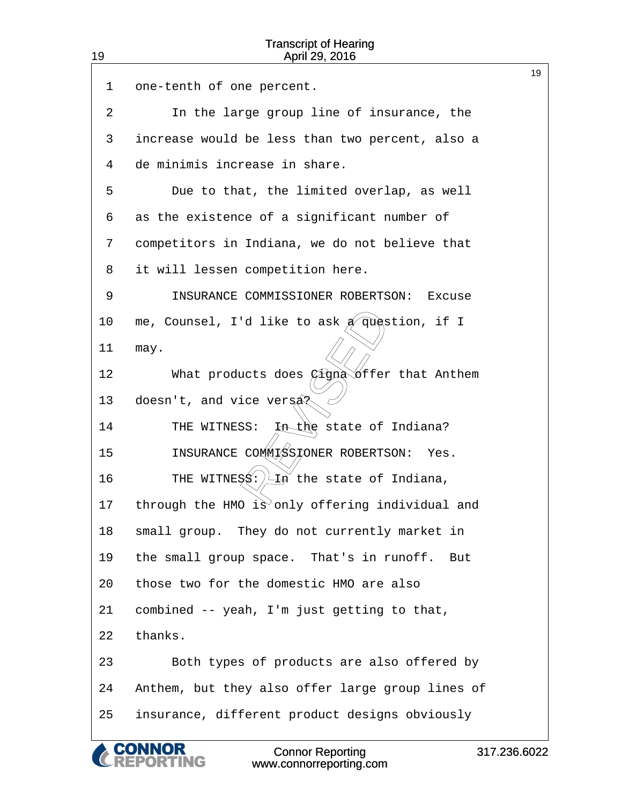| 19 | <b>Transcript of Hearing</b><br>April 29, 2016                            |    |
|----|---------------------------------------------------------------------------|----|
| 1  | one-tenth of one percent.                                                 | 19 |
| 2  | In the large group line of insurance, the                                 |    |
| 3  | increase would be less than two percent, also a                           |    |
| 4  | de minimis increase in share.                                             |    |
| 5  | Due to that, the limited overlap, as well                                 |    |
| 6  | as the existence of a significant number of                               |    |
| 7  | competitors in Indiana, we do not believe that                            |    |
| 8  | it will lessen competition here.                                          |    |
| 9  | INSURANCE COMMISSIONER ROBERTSON:<br>Excuse                               |    |
| 10 | me, Counsel, I'd like to ask $A$ question, if I                           |    |
| 11 | may.                                                                      |    |
| 12 | $\cancel{c}$ iġną $\breve\Diamond$ ffer that Anthem<br>What products does |    |
| 13 | doesn't, and vice versa?                                                  |    |
| 14 | In the state of Indiana?<br>THE WITNESS:                                  |    |
| 15 | INSURANCE COMMISSIONER ROBERTSON:<br>Yes.                                 |    |
| 16 | THE WITNESS: $\sqrt{1 + n^2}$ the state of Indiana,                       |    |
| 17 | through the HMO is only offering individual and                           |    |
| 18 | small group. They do not currently market in                              |    |
| 19 | the small group space. That's in runoff.<br>But                           |    |
| 20 | those two for the domestic HMO are also                                   |    |
| 21 | combined -- yeah, I'm just getting to that,                               |    |
| 22 | thanks.                                                                   |    |
| 23 | Both types of products are also offered by                                |    |
| 24 | Anthem, but they also offer large group lines of                          |    |
| 25 | insurance, different product designs obviously                            |    |
|    |                                                                           |    |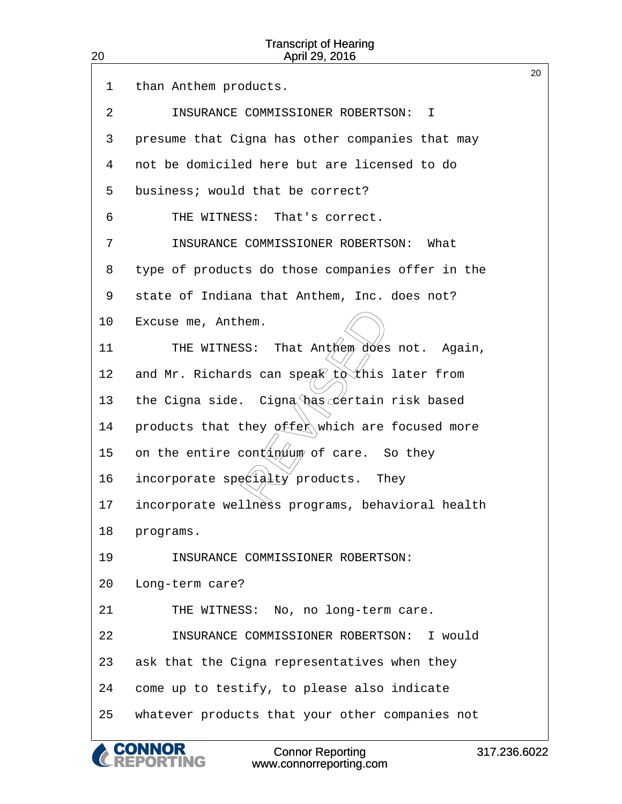| <b>Transcript of Hearing</b><br>20<br>April 29, 2016 |                                                  |    |  |
|------------------------------------------------------|--------------------------------------------------|----|--|
| 1                                                    | than Anthem products.                            | 20 |  |
| 2                                                    | INSURANCE COMMISSIONER ROBERTSON:<br>$\top$      |    |  |
| 3                                                    | presume that Cigna has other companies that may  |    |  |
| 4                                                    | not be domiciled here but are licensed to do     |    |  |
| 5                                                    | business; would that be correct?                 |    |  |
| 6                                                    | THE WITNESS:<br>That's correct.                  |    |  |
| 7                                                    | INSURANCE COMMISSIONER ROBERTSON:<br>What        |    |  |
| 8                                                    | type of products do those companies offer in the |    |  |
| 9                                                    | state of Indiana that Anthem, Inc. does not?     |    |  |
| 10                                                   | Excuse me, Anthem.                               |    |  |
| 11                                                   | That Anthem does not. Again,<br>THE WITNESS:     |    |  |
| 12                                                   | and Mr. Richards can speak to this later from    |    |  |
| 13                                                   | Cigna has certain risk based<br>the Cigna side.  |    |  |
| 14                                                   | products that they offer which are focused more  |    |  |
| 15                                                   | on the entire cont in tum of care. So they       |    |  |
| 16                                                   | incorporate specidlty products. They             |    |  |
| 17                                                   | incorporate wellness programs, behavioral health |    |  |
| 18                                                   | programs.                                        |    |  |
| 19                                                   | INSURANCE COMMISSIONER ROBERTSON:                |    |  |
| 20                                                   | Long-term care?                                  |    |  |
| 21                                                   | THE WITNESS: No, no long-term care.              |    |  |
| 22                                                   | INSURANCE COMMISSIONER ROBERTSON: I would        |    |  |
| 23                                                   | ask that the Cigna representatives when they     |    |  |
| 24                                                   | come up to testify, to please also indicate      |    |  |
| 25                                                   | whatever products that your other companies not  |    |  |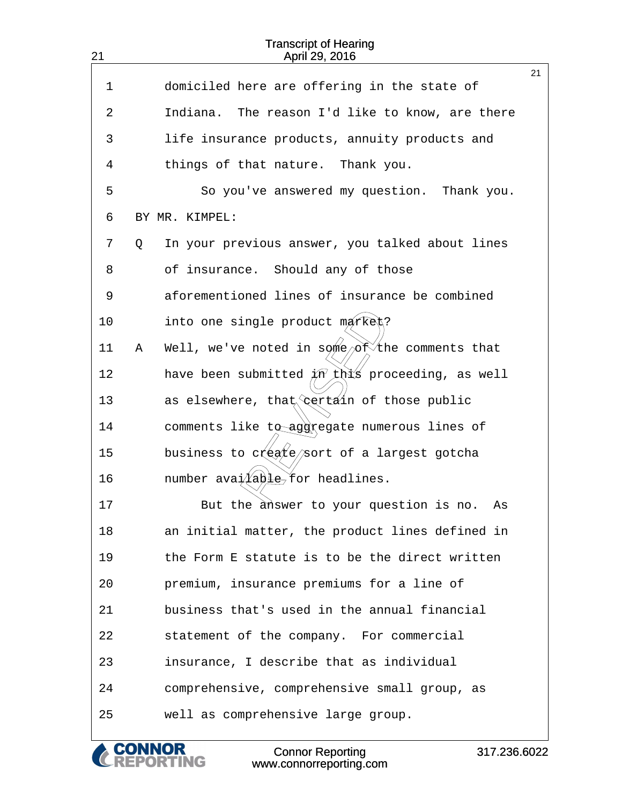| 21 |   | <b>Transcript of Hearing</b><br>April 29, 2016                |    |
|----|---|---------------------------------------------------------------|----|
| 1  |   | domiciled here are offering in the state of                   | 21 |
| 2  |   | Indiana. The reason I'd like to know, are there               |    |
|    |   |                                                               |    |
| 3  |   | life insurance products, annuity products and                 |    |
| 4  |   | things of that nature. Thank you.                             |    |
| 5  |   | So you've answered my question.<br>Thank you.                 |    |
| 6  |   | BY MR. KIMPEL:                                                |    |
| 7  | Q | In your previous answer, you talked about lines               |    |
| 8  |   | of insurance. Should any of those                             |    |
| 9  |   | aforementioned lines of insurance be combined                 |    |
| 10 |   | into one single product merked?                               |    |
| 11 | Α | Well, we've noted in some/of the comments that                |    |
| 12 |   | have been submitted $\cancel{\mu}n'$ this proceeding, as well |    |
| 13 |   | as elsewhere, that certain of those public                    |    |
| 14 |   | comments like to aggregate numerous lines of                  |    |
| 15 |   | business to create/sort of a largest gotcha                   |    |
| 16 |   | number ava $\angle \angle 4$ able for headlines.              |    |
| 17 |   | But the answer to your question is no.<br>As                  |    |
| 18 |   | an initial matter, the product lines defined in               |    |
| 19 |   | the Form E statute is to be the direct written                |    |
| 20 |   | premium, insurance premiums for a line of                     |    |
| 21 |   | business that's used in the annual financial                  |    |
| 22 |   | statement of the company. For commercial                      |    |
| 23 |   | insurance, I describe that as individual                      |    |
| 24 |   | comprehensive, comprehensive small group, as                  |    |
| 25 |   | well as comprehensive large group.                            |    |
|    |   |                                                               |    |

CONNOR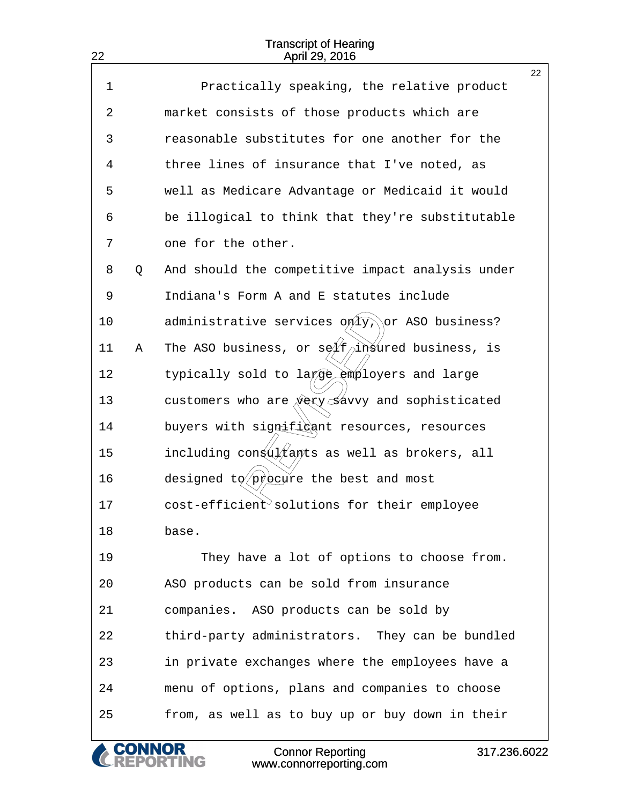22

|             |   |                                                                        | 22 |
|-------------|---|------------------------------------------------------------------------|----|
| $\mathbf 1$ |   | Practically speaking, the relative product                             |    |
| 2           |   | market consists of those products which are                            |    |
| 3           |   | reasonable substitutes for one another for the                         |    |
| 4           |   | three lines of insurance that I've noted, as                           |    |
| 5           |   | well as Medicare Advantage or Medicaid it would                        |    |
| 6           |   | be illogical to think that they're substitutable                       |    |
| 7           |   | one for the other.                                                     |    |
| 8           | Q | And should the competitive impact analysis under                       |    |
| 9           |   | Indiana's Form A and E statutes include                                |    |
| 10          |   | administrative services only, or ASO business?                         |    |
| 11          | Α | The ASO business, or se $\cancel{\pi}$ f $\gamma$ insured business, is |    |
| 12          |   | typically sold to large employers and large                            |    |
| 13          |   | customers who are $\sqrt{xy}$ savvy and sophisticated                  |    |
| 14          |   | buyers with signifigant resources, resources                           |    |
| 15          |   | including congultants as well as brokers, all                          |    |
| 16          |   | designed to procure the best and most                                  |    |
| 17          |   | $cost\text{-}efficient\text{-}solutions$ for their employee            |    |
| 18          |   | base.                                                                  |    |
| 19          |   | They have a lot of options to choose from.                             |    |
| 20          |   | ASO products can be sold from insurance                                |    |
| 21          |   | companies. ASO products can be sold by                                 |    |
| 22          |   | third-party administrators. They can be bundled                        |    |
| 23          |   | in private exchanges where the employees have a                        |    |
| 24          |   | menu of options, plans and companies to choose                         |    |
| 25          |   | from, as well as to buy up or buy down in their                        |    |
|             |   |                                                                        |    |

317.236.6022

Connor Reporting www.connorreporting.com

& CONNOR<br>CREPORTING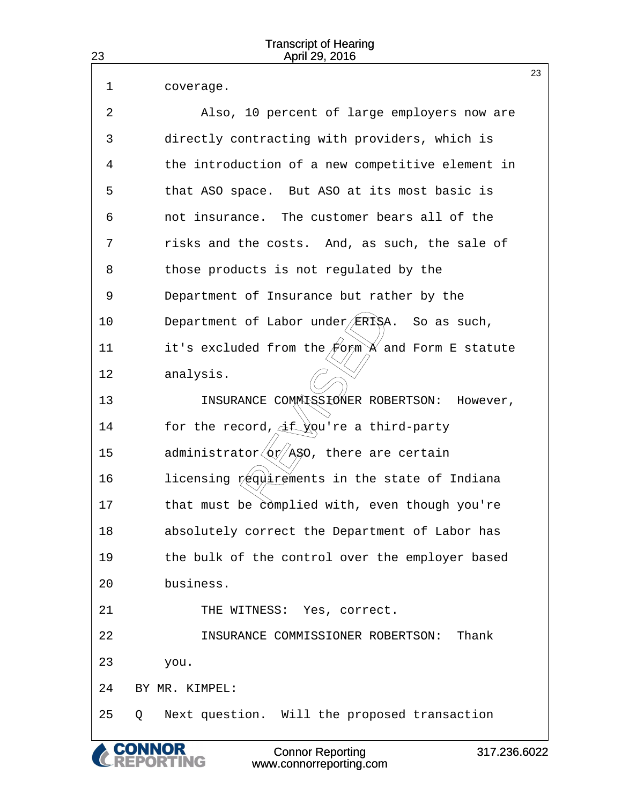| 23 | <b>Transcript of Hearing</b><br>April 29, 2016                                              |    |
|----|---------------------------------------------------------------------------------------------|----|
| 1  | coverage.                                                                                   | 23 |
| 2  | Also, 10 percent of large employers now are                                                 |    |
| 3  | directly contracting with providers, which is                                               |    |
| 4  | the introduction of a new competitive element in                                            |    |
| 5  | that ASO space. But ASO at its most basic is                                                |    |
| 6  | not insurance. The customer bears all of the                                                |    |
| 7  | risks and the costs. And, as such, the sale of                                              |    |
| 8  | those products is not regulated by the                                                      |    |
| 9  | Department of Insurance but rather by the                                                   |    |
| 10 | Department of Labor under/ERISA. So as such,                                                |    |
| 11 | it's excluded from the $\not\!\!\!/$ o $\not\!\!\!{\rm sym}$ $\mathbb X$ and Form E statute |    |
| 12 | analysis.                                                                                   |    |
| 13 | INSURANCE COMMISSIONER ROBERTSON:<br>However,                                               |    |
| 14 | for the record, if you're a third-party                                                     |    |
| 15 | administrator $\langle$ or $/$ ASO, there are certain                                       |    |
| 16 | licensing requirements in the state of Indiana                                              |    |
| 17 | that must be complied with, even though you're                                              |    |
| 18 | absolutely correct the Department of Labor has                                              |    |
| 19 | the bulk of the control over the employer based                                             |    |
| 20 | business.                                                                                   |    |
| 21 | THE WITNESS: Yes, correct.                                                                  |    |
| 22 | INSURANCE COMMISSIONER ROBERTSON:<br>Thank                                                  |    |
| 23 | you.                                                                                        |    |
| 24 | BY MR. KIMPEL:                                                                              |    |
| 25 | Next question. Will the proposed transaction<br>Q                                           |    |
|    | <b>A CONNOR</b><br>$O = 1$<br>0.470000000                                                   |    |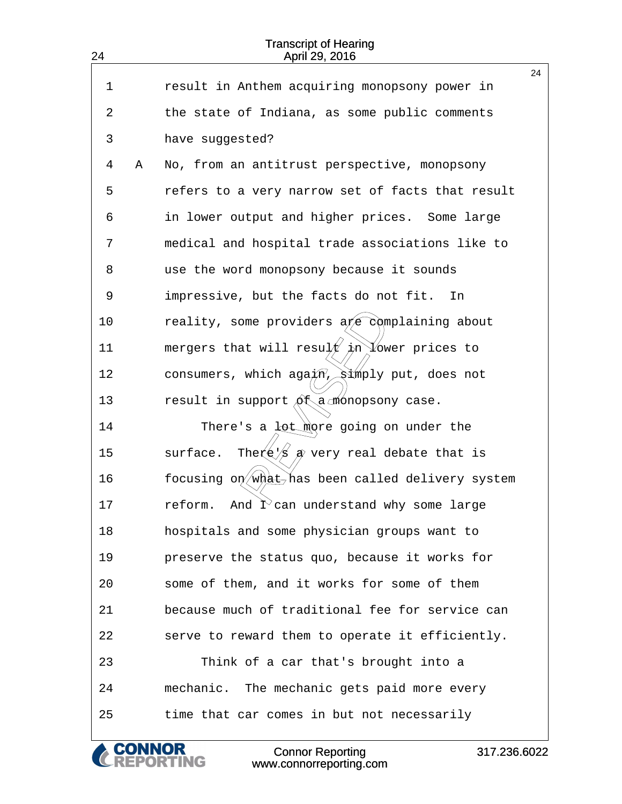| 24 |   | <b>Transcript of Hearing</b><br>April 29, 2016                            |    |
|----|---|---------------------------------------------------------------------------|----|
| 1  |   | result in Anthem acquiring monopsony power in                             | 24 |
| 2  |   |                                                                           |    |
|    |   | the state of Indiana, as some public comments                             |    |
| 3  |   | have suggested?                                                           |    |
| 4  | Α | No, from an antitrust perspective, monopsony                              |    |
| 5  |   | refers to a very narrow set of facts that result                          |    |
| 6  |   | in lower output and higher prices. Some large                             |    |
| 7  |   | medical and hospital trade associations like to                           |    |
| 8  |   | use the word monopsony because it sounds                                  |    |
| 9  |   | impressive, but the facts do not fit.<br>In                               |    |
| 10 |   | reality, some providers a e complaining about                             |    |
| 11 |   | mergers that will result $\phi$ n Vower prices to                         |    |
| 12 |   | consumers, which aga $\pi$ , $\sinh y$ put, does not                      |    |
| 13 |   | result in support $\delta$ t a monopsony case.                            |    |
| 14 |   | There's a lot more going on under the                                     |    |
| 15 |   | The $\left(\frac{1}{\beta}\right)$ a very real debate that is<br>surface. |    |
| 16 |   | focusing on what has been called delivery system                          |    |
| 17 |   | And $\hat{\Gamma}$ can understand why some large<br>reform.               |    |
| 18 |   | hospitals and some physician groups want to                               |    |
| 19 |   | preserve the status quo, because it works for                             |    |
| 20 |   | some of them, and it works for some of them                               |    |
| 21 |   | because much of traditional fee for service can                           |    |
| 22 |   | serve to reward them to operate it efficiently.                           |    |
| 23 |   | Think of a car that's brought into a                                      |    |
| 24 |   | mechanic. The mechanic gets paid more every                               |    |
| 25 |   | time that car comes in but not necessarily                                |    |

Connor Reporting

CONNOR www.connorreporting.com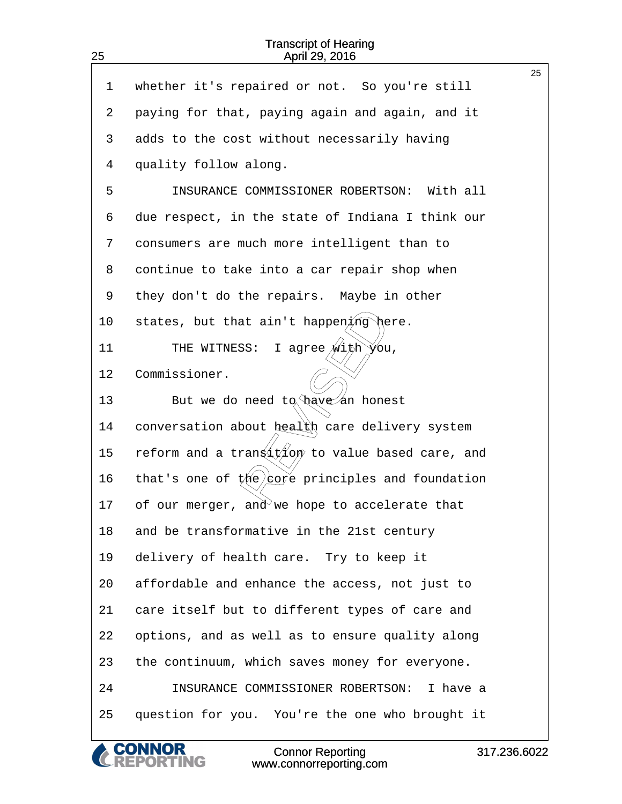25

| 1  | whether it's repaired or not. So you're still                 | 25 |
|----|---------------------------------------------------------------|----|
|    |                                                               |    |
| 2  | paying for that, paying again and again, and it               |    |
| 3  | adds to the cost without necessarily having                   |    |
| 4  | quality follow along.                                         |    |
| 5  | INSURANCE COMMISSIONER ROBERTSON: With all                    |    |
| 6  | due respect, in the state of Indiana I think our              |    |
| 7  | consumers are much more intelligent than to                   |    |
| 8  | continue to take into a car repair shop when                  |    |
| 9  | they don't do the repairs. Maybe in other                     |    |
| 10 | states, but that ain't happening here.                        |    |
| 11 | I agree $\sqrt{\text{with } y}$ ou,<br>THE WITNESS:           |    |
| 12 | Commissioner.                                                 |    |
| 13 | But we do need $tq \rightarrow \infty$ have an honest         |    |
| 14 | conversation about health care delivery system                |    |
| 15 | reform and a trangition to value based care, and              |    |
| 16 | that's one of $t$ ( <i>ie</i> ) est principles and foundation |    |
| 17 | of our merger, and we hope to accelerate that                 |    |
| 18 | and be transformative in the 21st century                     |    |
| 19 | delivery of health care. Try to keep it                       |    |
| 20 | affordable and enhance the access, not just to                |    |
| 21 | care itself but to different types of care and                |    |
| 22 | options, and as well as to ensure quality along               |    |
| 23 | the continuum, which saves money for everyone.                |    |
| 24 | INSURANCE COMMISSIONER ROBERTSON: I have a                    |    |
| 25 | question for you. You're the one who brought it               |    |

**CONNOR<br>REPORTING** Connor Reporting www.connorreporting.com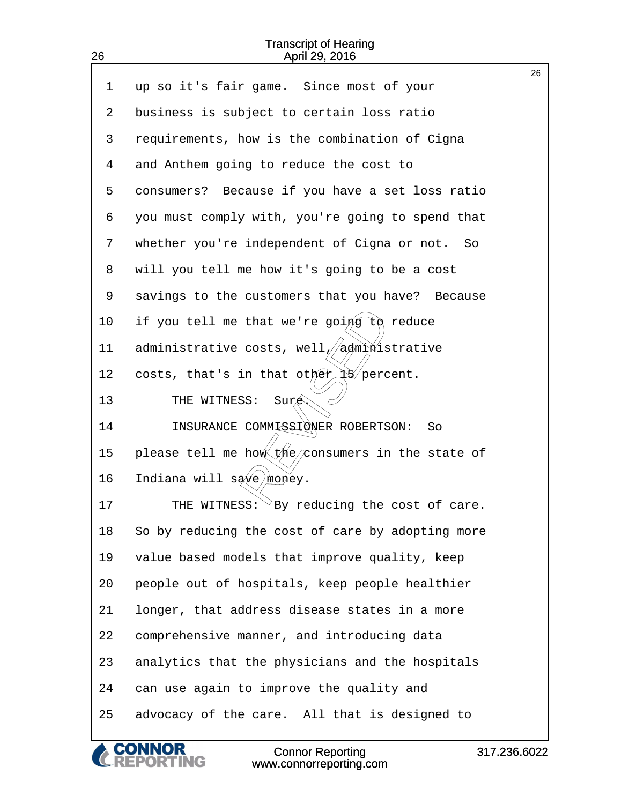| 26      | April 29, 2016                                              |    |
|---------|-------------------------------------------------------------|----|
| 1       | up so it's fair game. Since most of your                    | 26 |
| 2       | business is subject to certain loss ratio                   |    |
| 3       | requirements, how is the combination of Cigna               |    |
| 4       | and Anthem going to reduce the cost to                      |    |
| 5       | consumers? Because if you have a set loss ratio             |    |
| 6       | you must comply with, you're going to spend that            |    |
| 7       | whether you're independent of Cigna or not. So              |    |
| 8       | will you tell me how it's going to be a cost                |    |
| 9       | savings to the customers that you have? Because             |    |
| $10 \,$ | if you tell me that we're going $\partial \alpha$<br>reduce |    |
| 11      | administrative costs, well//administrative                  |    |
| 12      | costs, that's in that other $\frac{1}{3}$ percent.          |    |
| 13      | THE WITNESS:<br>Sure                                        |    |
| 14      | INSURANCE COMMISSIONER ROBERTSON:<br>So                     |    |
| 15      | please tell me how the consumers in the state of            |    |
| 16      | Indiana will save money.                                    |    |
| 17      | THE WITNESS: $\rm{^\vee}$ By reducing the cost of care.     |    |
| 18      | So by reducing the cost of care by adopting more            |    |
| 19      | value based models that improve quality, keep               |    |
| 20      | people out of hospitals, keep people healthier              |    |
| 21      | longer, that address disease states in a more               |    |
| 22      | comprehensive manner, and introducing data                  |    |
| 23      | analytics that the physicians and the hospitals             |    |
| 24      | can use again to improve the quality and                    |    |
| 25      | advocacy of the care. All that is designed to               |    |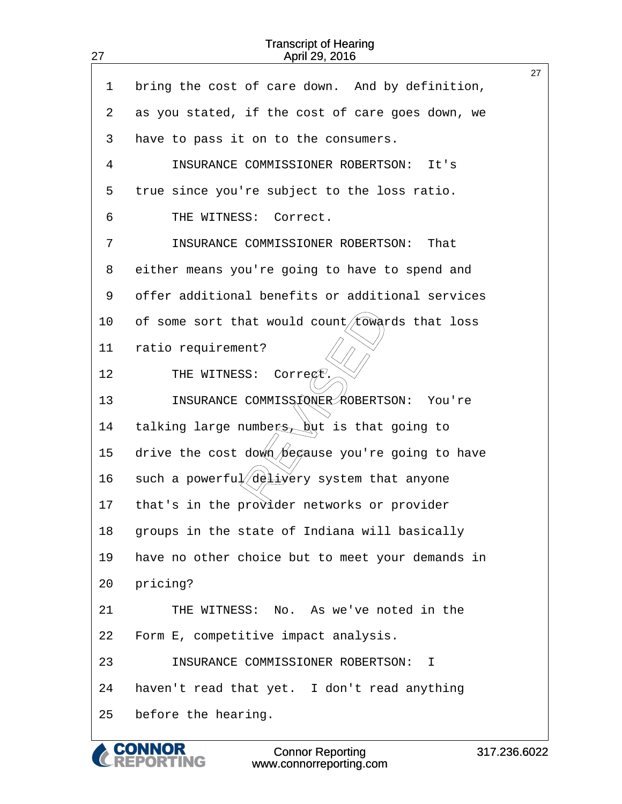| 27              | April 29, 2016                                        |    |
|-----------------|-------------------------------------------------------|----|
| $\mathbf 1$     | bring the cost of care down. And by definition,       | 27 |
| 2               | as you stated, if the cost of care goes down, we      |    |
| 3               | have to pass it on to the consumers.                  |    |
| 4               | INSURANCE COMMISSIONER ROBERTSON:<br>It's             |    |
| 5               | true since you're subject to the loss ratio.          |    |
| 6               | THE WITNESS: Correct.                                 |    |
| 7               | INSURANCE COMMISSIONER ROBERTSON:<br>That             |    |
| 8               | either means you're going to have to spend and        |    |
| 9               | offer additional benefits or additional services      |    |
| 10 <sub>1</sub> | of some sort that would count/towards that loss       |    |
| 11              | ratio requirement?                                    |    |
| 12              | THE WITNESS:<br>$\text{Corre}\xspace(t)$              |    |
| 13              | INSURANCE COMMISSIONER ROBERTSON: You're              |    |
| 14              | talking large numbers, $\frac{1}{2}$ is that going to |    |
| 15              | drive the cost down begause you're going to have      |    |
| 16              | such a powerful deliyery system that anyone           |    |
| 17              | that's in the provider networks or provider           |    |
| 18              | groups in the state of Indiana will basically         |    |
| 19              | have no other choice but to meet your demands in      |    |
| 20              | pricing?                                              |    |
| 21              | THE WITNESS: No. As we've noted in the                |    |
| 22              | Form E, competitive impact analysis.                  |    |
| 23              | INSURANCE COMMISSIONER ROBERTSON:<br>Ι.               |    |
| 24              | haven't read that yet. I don't read anything          |    |
| 25              | before the hearing.                                   |    |

**CONNOR<br>REPORTING**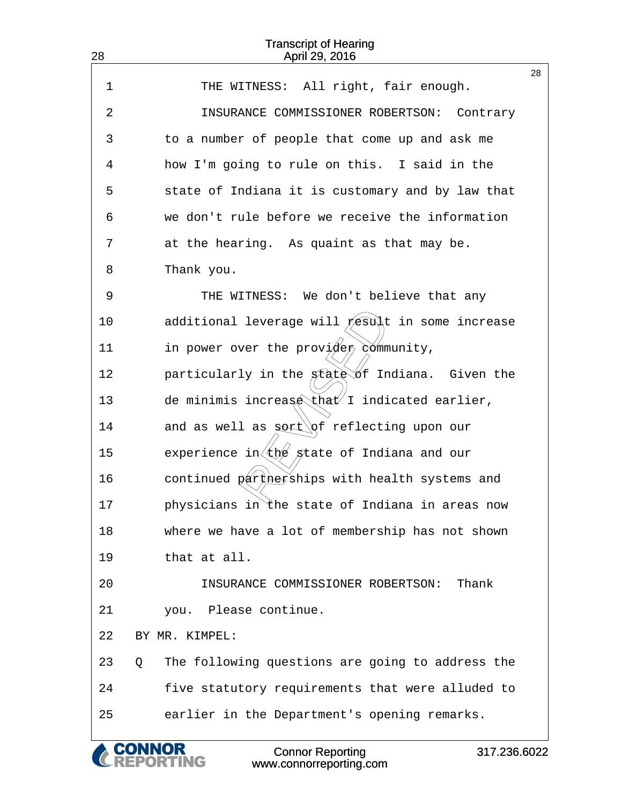| 28 | <b>Transcript of Hearing</b><br>April 29, 2016                      |    |
|----|---------------------------------------------------------------------|----|
| 1  | All right, fair enough.<br>THE WITNESS:                             | 28 |
| 2  | INSURANCE COMMISSIONER ROBERTSON:<br>Contrary                       |    |
| 3  | to a number of people that come up and ask me                       |    |
| 4  | how I'm going to rule on this. I said in the                        |    |
| 5  | state of Indiana it is customary and by law that                    |    |
| 6  | we don't rule before we receive the information                     |    |
| 7  | at the hearing. As quaint as that may be.                           |    |
| 8  | Thank you.                                                          |    |
| 9  | THE WITNESS: We don't believe that any                              |    |
| 10 | additional leverage will $/$ esult in some increase                 |    |
| 11 | in power over the provider community,                               |    |
| 12 |                                                                     |    |
|    | particularly in the state of Indiana. Given the                     |    |
| 13 | de minimis increase that I indicated earlier,                       |    |
| 14 | and as well as $\text{sort}(\s f$ reflecting upon our               |    |
| 15 | experience in $\left( \frac{1}{k} \right)$ state of Indiana and our |    |
| 16 | continued partherships with health systems and                      |    |
| 17 | physicians in the state of Indiana in areas now                     |    |
| 18 | where we have a lot of membership has not shown                     |    |
| 19 | that at all.                                                        |    |
| 20 | Thank<br>INSURANCE COMMISSIONER ROBERTSON:                          |    |
| 21 | you. Please continue.                                               |    |
| 22 | BY MR. KIMPEL:                                                      |    |
| 23 | The following questions are going to address the<br>Q               |    |
| 24 | five statutory requirements that were alluded to                    |    |
| 25 | earlier in the Department's opening remarks.                        |    |
|    | <b>Connor Reporting</b><br>317.236.6022<br>www.connorreporting.com  |    |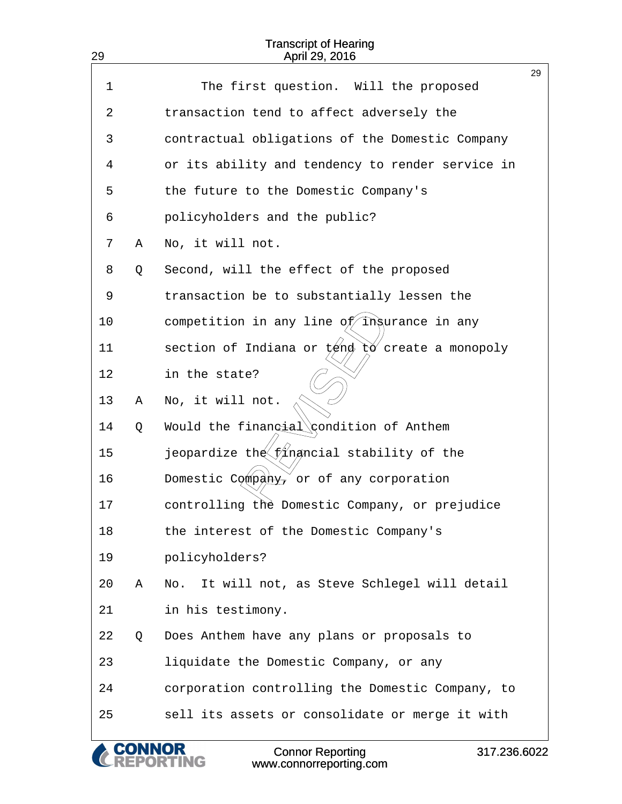| 29 |   | <b>Transcript of Hearing</b><br>April 29, 2016                                  |    |
|----|---|---------------------------------------------------------------------------------|----|
| 1  |   | The first question. Will the proposed                                           | 29 |
|    |   |                                                                                 |    |
| 2  |   | transaction tend to affect adversely the                                        |    |
| 3  |   | contractual obligations of the Domestic Company                                 |    |
| 4  |   | or its ability and tendency to render service in                                |    |
| 5  |   | the future to the Domestic Company's                                            |    |
| 6  |   | policyholders and the public?                                                   |    |
| 7  | Α | No, it will not.                                                                |    |
| 8  | Q | Second, will the effect of the proposed                                         |    |
| 9  |   | transaction be to substantially lessen the                                      |    |
| 10 |   | competition in any line of ingurance in any                                     |    |
| 11 |   | section of Indiana or tend to create a monopoly                                 |    |
| 12 |   | in the state?                                                                   |    |
| 13 | Α | No, it will not.                                                                |    |
| 14 | Q | Would the financial condition of Anthem                                         |    |
| 15 |   | jeopardize the financial stability of the                                       |    |
| 16 |   | Domestic Company, or of any corporation                                         |    |
| 17 |   | controlling the Domestic Company, or prejudice                                  |    |
| 18 |   | the interest of the Domestic Company's                                          |    |
| 19 |   | policyholders?                                                                  |    |
| 20 | Α | It will not, as Steve Schlegel will detail<br>No.                               |    |
| 21 |   | in his testimony.                                                               |    |
| 22 | Q | Does Anthem have any plans or proposals to                                      |    |
| 23 |   | liquidate the Domestic Company, or any                                          |    |
| 24 |   | corporation controlling the Domestic Company, to                                |    |
| 25 |   | sell its assets or consolidate or merge it with                                 |    |
|    |   | <b>Connor Reporting</b><br>317.236.6022<br><b>NG</b><br>www.connorreporting.com |    |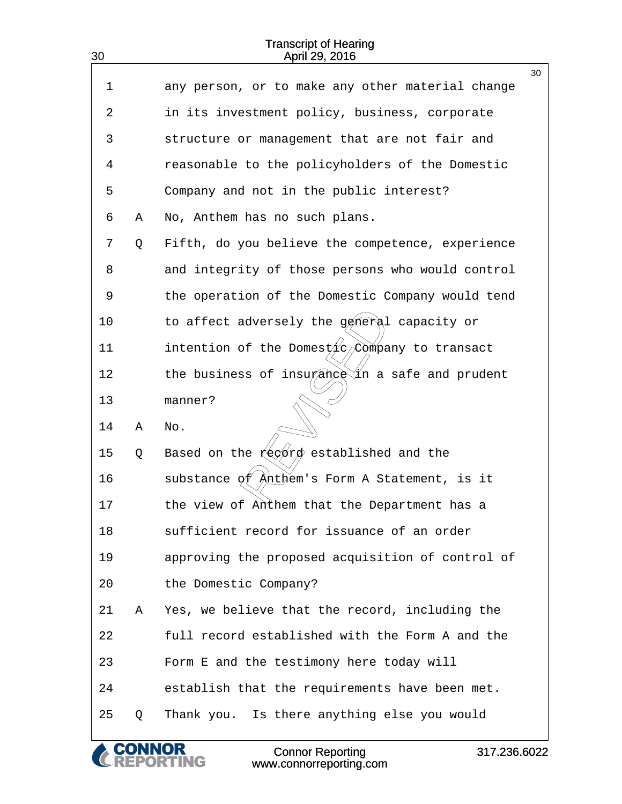| 30 |   | <b>Transcript of Hearing</b><br>April 29, 2016                     |    |
|----|---|--------------------------------------------------------------------|----|
| 1  |   | any person, or to make any other material change                   | 30 |
| 2  |   | in its investment policy, business, corporate                      |    |
| 3  |   | structure or management that are not fair and                      |    |
| 4  |   | reasonable to the policyholders of the Domestic                    |    |
| 5  |   | Company and not in the public interest?                            |    |
| 6  | Α | No, Anthem has no such plans.                                      |    |
| 7  | Q | Fifth, do you believe the competence, experience                   |    |
| 8  |   | and integrity of those persons who would control                   |    |
| 9  |   | the operation of the Domestic Company would tend                   |    |
| 10 |   | to affect adversely the géneral capacity or                        |    |
| 11 |   | intention of the Domes $\nu \nmid c \nearrow c$ ompany to transact |    |
| 12 |   | the business of insurance in a safe and prudent                    |    |
| 13 |   | manner?                                                            |    |
| 14 | Α | No.                                                                |    |
| 15 | Q | Based on the record established and the                            |    |
| 16 |   | substance of Anthem's Form A Statement, is it                      |    |
| 17 |   | the view of Anthem that the Department has a                       |    |
| 18 |   | sufficient record for issuance of an order                         |    |
| 19 |   | approving the proposed acquisition of control of                   |    |
| 20 |   | the Domestic Company?                                              |    |
| 21 | Α | Yes, we believe that the record, including the                     |    |
| 22 |   | full record established with the Form A and the                    |    |
| 23 |   | Form E and the testimony here today will                           |    |
| 24 |   | establish that the requirements have been met.                     |    |
| 25 | Q | Thank you. Is there anything else you would                        |    |
|    |   | <b>Connor Reporting</b><br>317.236.6022<br>www.connorreporting.com |    |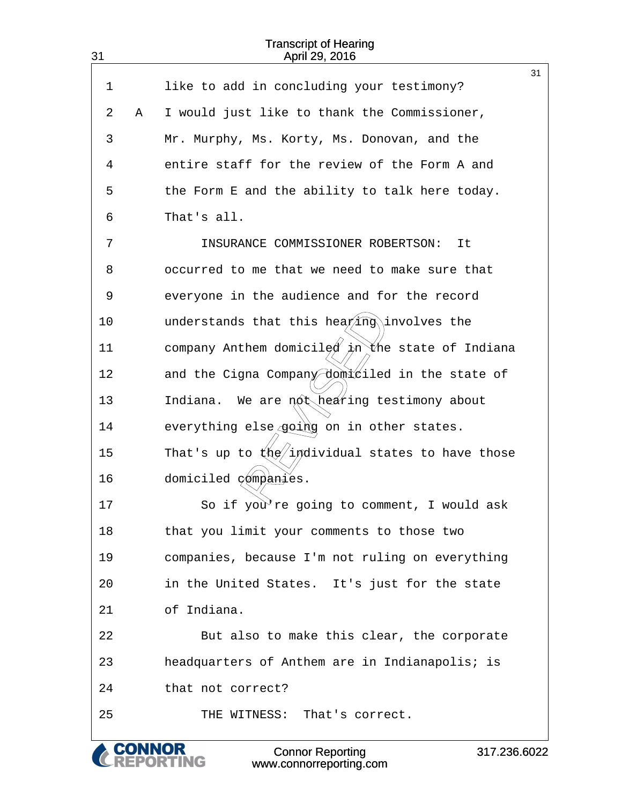| 31          |   | <b>Transcript of Hearing</b><br>April 29, 2016                     |    |
|-------------|---|--------------------------------------------------------------------|----|
| $\mathbf 1$ |   | like to add in concluding your testimony?                          | 31 |
| 2           | Α | I would just like to thank the Commissioner,                       |    |
| 3           |   | Mr. Murphy, Ms. Korty, Ms. Donovan, and the                        |    |
| 4           |   | entire staff for the review of the Form A and                      |    |
| 5           |   | the Form E and the ability to talk here today.                     |    |
| 6           |   | That's all.                                                        |    |
| 7           |   | INSURANCE COMMISSIONER ROBERTSON:<br>It                            |    |
| 8           |   | occurred to me that we need to make sure that                      |    |
| 9           |   | everyone in the audience and for the record                        |    |
| 10          |   | understands that this hea $\not\gamma$ ing involves the            |    |
| 11          |   | company Anthem domiciled in the state of Indiana                   |    |
| 12          |   | and the Cigna Company domiciled in the state of                    |    |
| 13          |   | Indiana. We are not hearing testimony about                        |    |
| 14          |   | everything else going on in other states.                          |    |
| 15          |   | That's up to $(kq/indivial)$ states to have those                  |    |
| 16          |   | domiciled gómpanies.                                               |    |
| 17          |   | So if you re going to comment, I would ask                         |    |
| 18          |   | that you limit your comments to those two                          |    |
| 19          |   | companies, because I'm not ruling on everything                    |    |
| 20          |   | in the United States. It's just for the state                      |    |
| 21          |   | of Indiana.                                                        |    |
| 22          |   | But also to make this clear, the corporate                         |    |
| 23          |   | headquarters of Anthem are in Indianapolis; is                     |    |
| 24          |   | that not correct?                                                  |    |
| 25          |   | THE WITNESS: That's correct.                                       |    |
|             |   | <b>Connor Reporting</b><br>317.236.6022<br>www.connorreporting.com |    |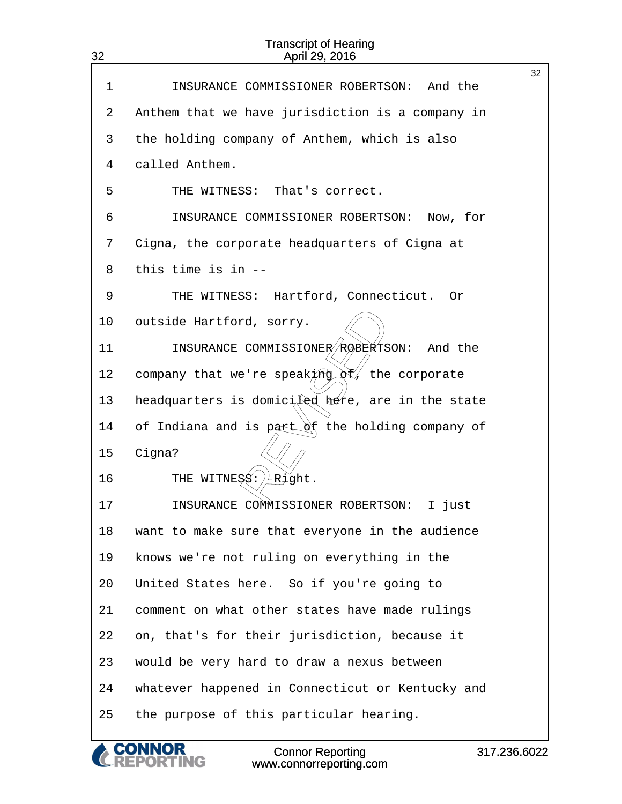| 32 | <b>Transcript of Hearing</b><br>April 29, 2016             |    |  |  |
|----|------------------------------------------------------------|----|--|--|
| 1  | INSURANCE COMMISSIONER ROBERTSON: And the                  | 32 |  |  |
| 2  | Anthem that we have jurisdiction is a company in           |    |  |  |
| 3  | the holding company of Anthem, which is also               |    |  |  |
| 4  | called Anthem.                                             |    |  |  |
| 5  | THE WITNESS:<br>That's correct.                            |    |  |  |
| 6  | INSURANCE COMMISSIONER ROBERTSON: Now, for                 |    |  |  |
| 7  | Cigna, the corporate headquarters of Cigna at              |    |  |  |
| 8  | this time is in --                                         |    |  |  |
|    |                                                            |    |  |  |
| 9  | Hartford, Connecticut. Or<br>THE WITNESS:                  |    |  |  |
| 10 | outside Hartford, sorry.                                   |    |  |  |
| 11 | INSURANCE COMMISSIONER ROBERTSON:<br>And the               |    |  |  |
| 12 | company that we're speaking $\phi \hat{k}$ , the corporate |    |  |  |
| 13 | headquarters is domicited here, are in the state           |    |  |  |
| 14 | of Indiana and is part of the holding company of           |    |  |  |
| 15 | Cigna?                                                     |    |  |  |
| 16 | THE WITNESS: LRight.                                       |    |  |  |
| 17 | INSURANCE COMMISSIONER ROBERTSON: I just                   |    |  |  |
| 18 | want to make sure that everyone in the audience            |    |  |  |
| 19 | knows we're not ruling on everything in the                |    |  |  |
| 20 | United States here. So if you're going to                  |    |  |  |
| 21 | comment on what other states have made rulings             |    |  |  |
| 22 | on, that's for their jurisdiction, because it              |    |  |  |
| 23 | would be very hard to draw a nexus between                 |    |  |  |
| 24 | whatever happened in Connecticut or Kentucky and           |    |  |  |
| 25 | the purpose of this particular hearing.                    |    |  |  |
|    |                                                            |    |  |  |

**CONNOR<br>REPORTING**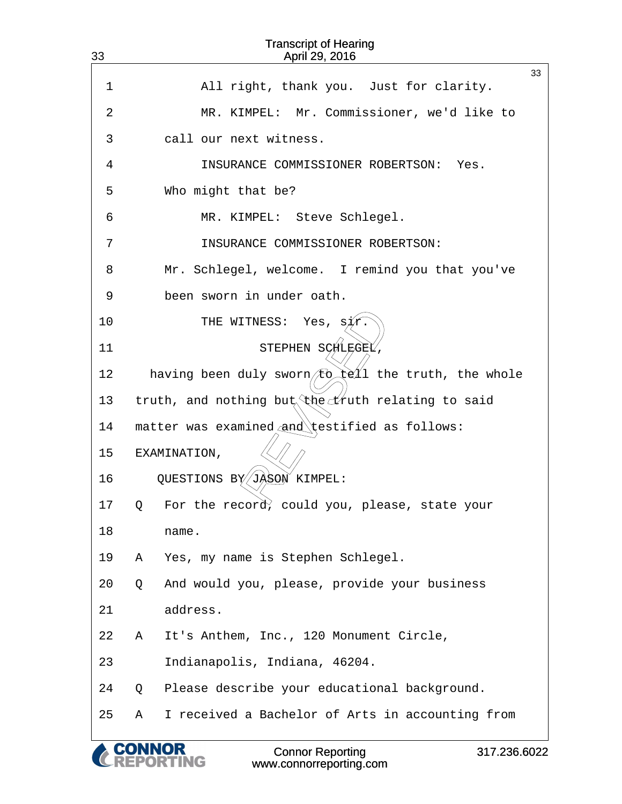| 33 |   | <b>Transcript of Hearing</b><br>April 29, 2016      |              |
|----|---|-----------------------------------------------------|--------------|
|    |   |                                                     | 33           |
| 1  |   | All right, thank you. Just for clarity.             |              |
| 2  |   | MR. KIMPEL: Mr. Commissioner, we'd like to          |              |
| 3  |   | call our next witness.                              |              |
| 4  |   | INSURANCE COMMISSIONER ROBERTSON:<br>Yes.           |              |
| 5  |   | Who might that be?                                  |              |
| 6  |   | MR. KIMPEL: Steve Schlegel.                         |              |
| 7  |   | INSURANCE COMMISSIONER ROBERTSON:                   |              |
| 8  |   | Mr. Schlegel, welcome. I remind you that you've     |              |
| 9  |   | been sworn in under oath.                           |              |
| 10 |   | THE WITNESS:<br>Yes,<br>S⁄l⁄r                       |              |
| 11 |   | STEPHEN SCHLEGEL                                    |              |
| 12 |   | having been duly sworn to tell the truth, the whole |              |
| 13 |   | truth, and nothing but the truth relating to said   |              |
| 14 |   | matter was examined and testified as follows:       |              |
| 15 |   | EXAMINATION,                                        |              |
| 16 |   | QUESTIONS BY JASON KIMPEL:                          |              |
| 17 | Q | For the record, could you, please, state your       |              |
| 18 |   | name.                                               |              |
| 19 | Α | Yes, my name is Stephen Schlegel.                   |              |
| 20 | Q | And would you, please, provide your business        |              |
| 21 |   | address.                                            |              |
| 22 | Α | It's Anthem, Inc., 120 Monument Circle,             |              |
| 23 |   | Indianapolis, Indiana, 46204.                       |              |
| 24 | Q | Please describe your educational background.        |              |
| 25 | Α | I received a Bachelor of Arts in accounting from    |              |
|    |   | <b>CONNOR</b><br><b>Connor Reporting</b>            | 317.236.6022 |

www.connorreporting.com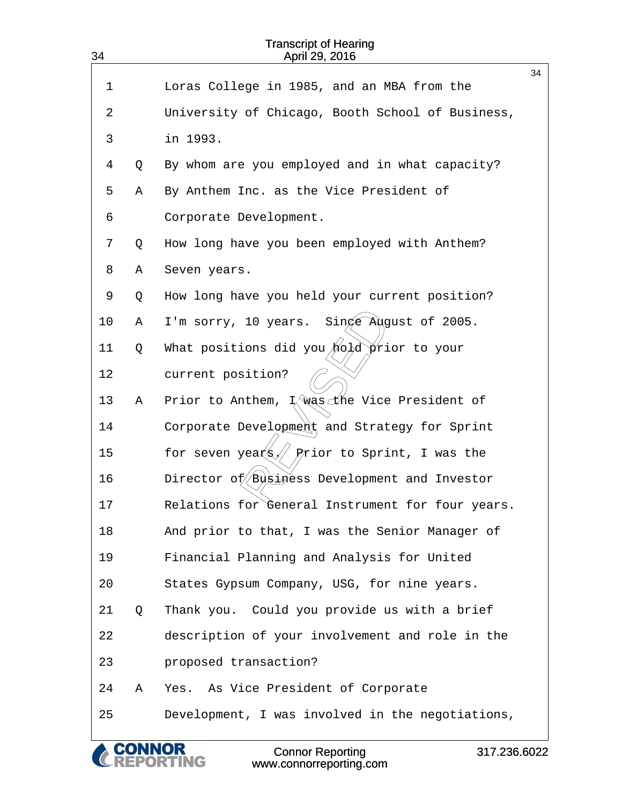| <b>Transcript of Hearing</b><br>34<br>April 29, 2016 |   |                                                                               |    |  |
|------------------------------------------------------|---|-------------------------------------------------------------------------------|----|--|
| 1                                                    |   | Loras College in 1985, and an MBA from the                                    | 34 |  |
| 2                                                    |   | University of Chicago, Booth School of Business,                              |    |  |
| 3                                                    |   | in 1993.                                                                      |    |  |
| 4                                                    | Q | By whom are you employed and in what capacity?                                |    |  |
| 5                                                    | Α | By Anthem Inc. as the Vice President of                                       |    |  |
| 6                                                    |   | Corporate Development.                                                        |    |  |
| 7                                                    | Q | How long have you been employed with Anthem?                                  |    |  |
| 8                                                    | Α | Seven years.                                                                  |    |  |
| 9                                                    | Q | How long have you held your current position?                                 |    |  |
| 10                                                   | Α | $Sing$ Adgust of 2005.<br>I'm sorry, 10 years.                                |    |  |
| 11                                                   | Q | What positions did you $\bigwedge^2$ $\bigwedge^2$ $\bigwedge^2$ rior to your |    |  |
| 12                                                   |   | current position?                                                             |    |  |
| 13                                                   | Α | L was the Vice President of<br>Prior to Anthem,                               |    |  |
| 14                                                   |   | Corporate Development and Strategy for Sprint                                 |    |  |
| 15                                                   |   | Prior to Sprint, I was the<br>for seven years $\!/\!/$                        |    |  |
| 16                                                   |   | Director of Business Development and Investor                                 |    |  |
| 17                                                   |   | Relations for General Instrument for four years.                              |    |  |
| 18                                                   |   | And prior to that, I was the Senior Manager of                                |    |  |
| 19                                                   |   | Financial Planning and Analysis for United                                    |    |  |
| 20                                                   |   | States Gypsum Company, USG, for nine years.                                   |    |  |
| 21                                                   | Q | Thank you. Could you provide us with a brief                                  |    |  |
| 22                                                   |   | description of your involvement and role in the                               |    |  |
| 23                                                   |   | proposed transaction?                                                         |    |  |
| 24                                                   | Α | Yes. As Vice President of Corporate                                           |    |  |
| 25                                                   |   | Development, I was involved in the negotiations,                              |    |  |

Connor Reporting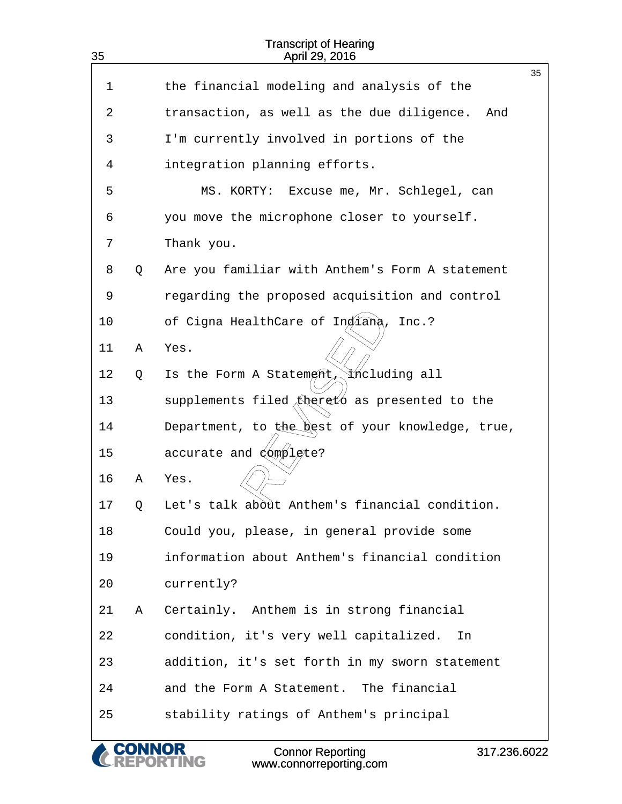| <b>Transcript of Hearing</b><br>35<br>April 29, 2016 |   |                                                   |    |  |
|------------------------------------------------------|---|---------------------------------------------------|----|--|
| 1                                                    |   | the financial modeling and analysis of the        | 35 |  |
|                                                      |   |                                                   |    |  |
| 2                                                    |   | transaction, as well as the due diligence.<br>And |    |  |
| 3                                                    |   | I'm currently involved in portions of the         |    |  |
| 4                                                    |   | integration planning efforts.                     |    |  |
| 5                                                    |   | MS. KORTY: Excuse me, Mr. Schlegel, can           |    |  |
| 6                                                    |   | you move the microphone closer to yourself.       |    |  |
| 7                                                    |   | Thank you.                                        |    |  |
| 8                                                    | Q | Are you familiar with Anthem's Form A statement   |    |  |
| 9                                                    |   | regarding the proposed acquisition and control    |    |  |
| 10                                                   |   | of Cigna HealthCare of Indiana,<br>Inc.?          |    |  |
| 11                                                   | Α | Yes.                                              |    |  |
| 12                                                   | Q | including all<br>Is the Form A Statement          |    |  |
| 13                                                   |   | supplements filed theret as presented to the      |    |  |
| 14                                                   |   | Department, to the best of your knowledge, true,  |    |  |
| 15                                                   |   | accurate and complete?                            |    |  |
| 16                                                   | Α | Yes.                                              |    |  |
| 17                                                   | Q | Let's talk about Anthem's financial condition.    |    |  |
| 18                                                   |   | Could you, please, in general provide some        |    |  |
| 19                                                   |   | information about Anthem's financial condition    |    |  |
| 20                                                   |   | currently?                                        |    |  |
| 21                                                   | Α | Certainly. Anthem is in strong financial          |    |  |
| 22                                                   |   | condition, it's very well capitalized.<br>In      |    |  |
| 23                                                   |   | addition, it's set forth in my sworn statement    |    |  |
| 24                                                   |   | and the Form A Statement. The financial           |    |  |
| 25                                                   |   | stability ratings of Anthem's principal           |    |  |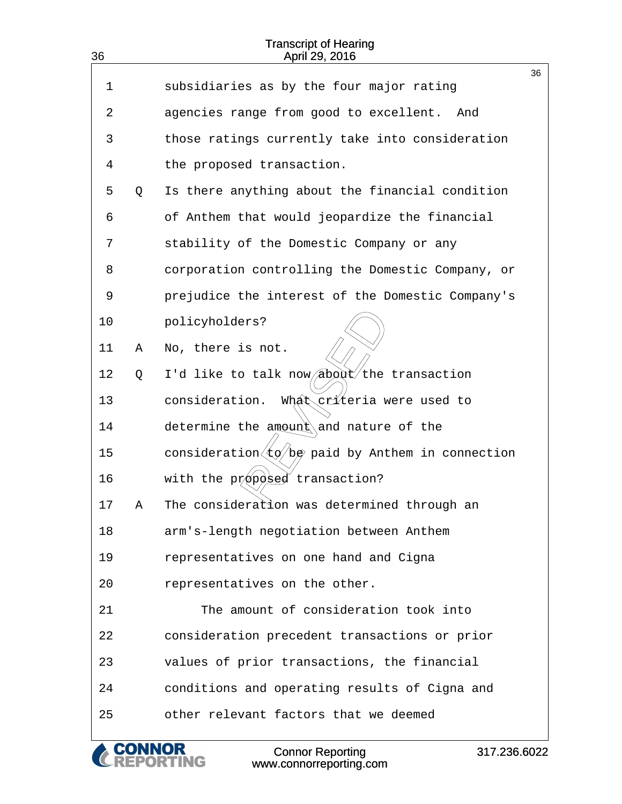| 36 |   | <b>Transcript of Hearing</b><br>April 29, 2016                                     |    |
|----|---|------------------------------------------------------------------------------------|----|
|    |   |                                                                                    | 36 |
| 1  |   | subsidiaries as by the four major rating                                           |    |
| 2  |   | agencies range from good to excellent. And                                         |    |
| 3  |   | those ratings currently take into consideration                                    |    |
| 4  |   | the proposed transaction.                                                          |    |
| 5  | Q | Is there anything about the financial condition                                    |    |
| 6  |   | of Anthem that would jeopardize the financial                                      |    |
| 7  |   | stability of the Domestic Company or any                                           |    |
| 8  |   | corporation controlling the Domestic Company, or                                   |    |
| 9  |   | prejudice the interest of the Domestic Company's                                   |    |
| 10 |   | policyholders?                                                                     |    |
| 11 | Α | No, there is not.                                                                  |    |
| 12 | Q | I'd like to talk now about the transaction                                         |    |
| 13 |   | What criteria were used to<br>consideration.                                       |    |
| 14 |   | determine the $amound$ and nature of the                                           |    |
| 15 |   | consideration $\langle \text{t} \phi / \text{b} \phi$ paid by Anthem in connection |    |
| 16 |   | with the propbsed transaction?                                                     |    |
| 17 | Α | The consideration was determined through an                                        |    |
| 18 |   | arm's-length negotiation between Anthem                                            |    |
| 19 |   | representatives on one hand and Cigna                                              |    |
| 20 |   | representatives on the other.                                                      |    |
| 21 |   | The amount of consideration took into                                              |    |
| 22 |   | consideration precedent transactions or prior                                      |    |
| 23 |   | values of prior transactions, the financial                                        |    |
| 24 |   | conditions and operating results of Cigna and                                      |    |
| 25 |   | other relevant factors that we deemed                                              |    |
|    |   | <b>Connor Reporting</b><br>317.236.6022<br>www.connorreporting.com                 |    |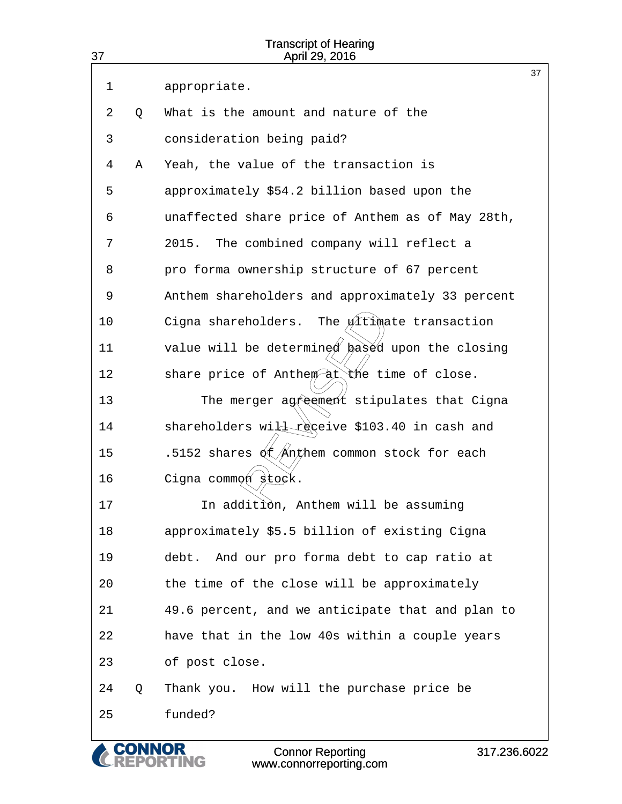| 37 |   | <b>Transcript of Hearing</b><br>April 29, 2016                     |    |
|----|---|--------------------------------------------------------------------|----|
| 1  |   | appropriate.                                                       | 37 |
| 2  | Q | What is the amount and nature of the                               |    |
| 3  |   | consideration being paid?                                          |    |
| 4  | Α | Yeah, the value of the transaction is                              |    |
| 5  |   | approximately \$54.2 billion based upon the                        |    |
| 6  |   | unaffected share price of Anthem as of May 28th,                   |    |
| 7  |   | 2015.<br>The combined company will reflect a                       |    |
| 8  |   | pro forma ownership structure of 67 percent                        |    |
| 9  |   | Anthem shareholders and approximately 33 percent                   |    |
| 10 |   | The $\sqrt{1}$ timate transaction<br>Cigna shareholders.           |    |
| 11 |   | value will be determined based upon the closing                    |    |
| 12 |   | share price of Anthem at the time of close.                        |    |
| 13 |   | The merger agreement stipulates that Cigna                         |    |
| 14 |   | shareholders will receive \$103.40 in cash and                     |    |
| 15 |   | .5152 shares $\oint \sqrt{A}n\phi$ hem common stock for each       |    |
| 16 |   | Cigna commøn stock.                                                |    |
| 17 |   | In addition, Anthem will be assuming                               |    |
| 18 |   | approximately \$5.5 billion of existing Cigna                      |    |
| 19 |   | And our pro forma debt to cap ratio at<br>debt.                    |    |
| 20 |   | the time of the close will be approximately                        |    |
| 21 |   | 49.6 percent, and we anticipate that and plan to                   |    |
| 22 |   | have that in the low 40s within a couple years                     |    |
| 23 |   | of post close.                                                     |    |
| 24 | Q | Thank you. How will the purchase price be                          |    |
| 25 |   | funded?                                                            |    |
|    |   | <b>Connor Reporting</b><br>317.236.6022<br>www.connorreporting.com |    |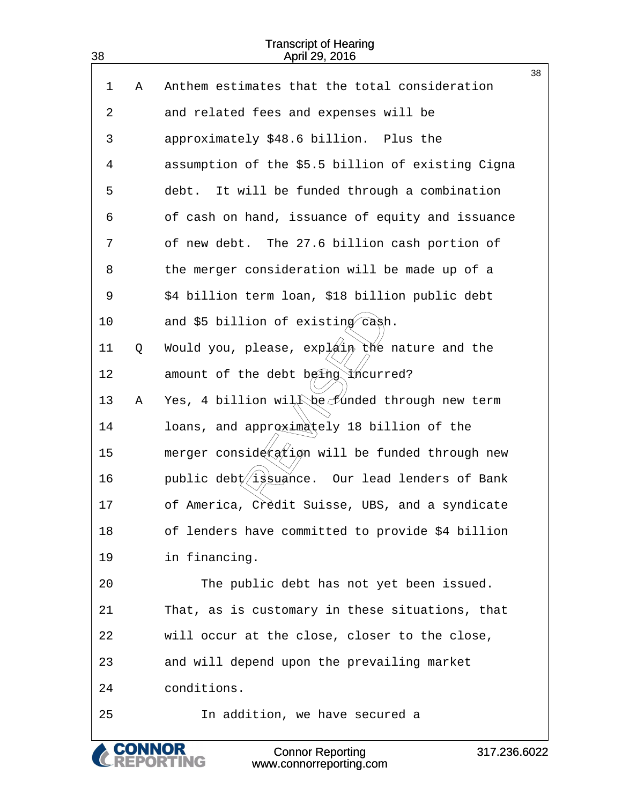| 1              | Α | Anthem estimates that the total consideration                     | 38 |
|----------------|---|-------------------------------------------------------------------|----|
| 2              |   | and related fees and expenses will be                             |    |
| 3              |   | approximately \$48.6 billion. Plus the                            |    |
| $\overline{4}$ |   | assumption of the \$5.5 billion of existing Cigna                 |    |
| 5              |   | It will be funded through a combination<br>debt.                  |    |
| 6              |   | of cash on hand, issuance of equity and issuance                  |    |
| 7              |   | of new debt. The 27.6 billion cash portion of                     |    |
| 8              |   | the merger consideration will be made up of a                     |    |
| 9              |   | \$4 billion term loan, \$18 billion public debt                   |    |
| 10             |   | and \$5 billion of existing cash.                                 |    |
| 11             | Q | Would you, please, $exp\{2i\pi x\}$ the nature and the            |    |
| 12             |   | amount of the debt being incurred?                                |    |
| 13             | Α | Yes, 4 billion will be funded through new term                    |    |
| 14             |   | loans, and approximately 18 billion of the                        |    |
| 15             |   | merger consideration will be funded through new                   |    |
| 16             |   | public debt issuance. Our lead lenders of Bank                    |    |
| 17             |   | of America, Credit Suisse, UBS, and a syndicate                   |    |
| 18             |   | of lenders have committed to provide \$4 billion                  |    |
| 19             |   | in financing.                                                     |    |
| 20             |   | The public debt has not yet been issued.                          |    |
| 21             |   | That, as is customary in these situations, that                   |    |
| 22             |   | will occur at the close, closer to the close,                     |    |
| 23             |   | and will depend upon the prevailing market                        |    |
| 24             |   | conditions.                                                       |    |
| 25             |   | In addition, we have secured a                                    |    |
|                |   | <b>Connor Reporting</b><br>317.236.602<br>www.connorreporting.com |    |

www.connorreporting.com

 $022$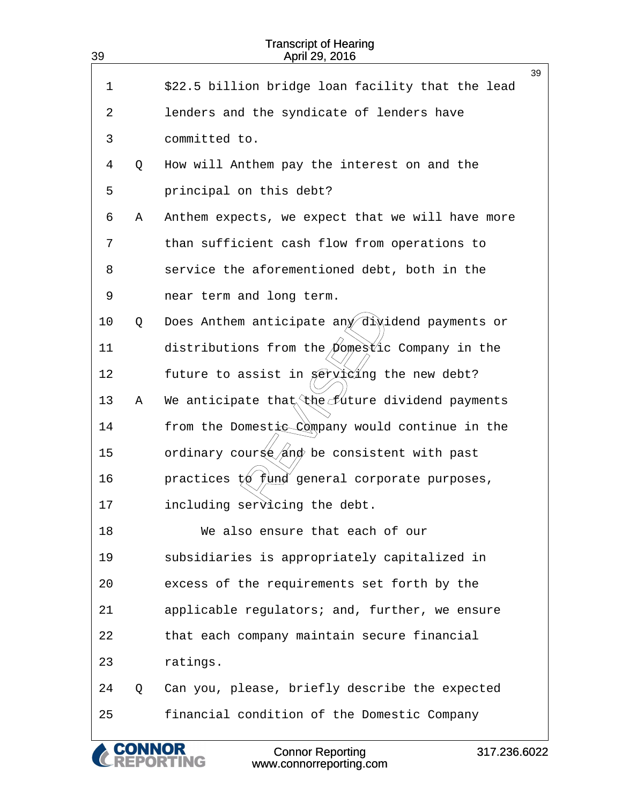| 39 |   | <b>Transcript of Hearing</b><br>April 29, 2016                     |
|----|---|--------------------------------------------------------------------|
|    |   | 39                                                                 |
| 1  |   | \$22.5 billion bridge loan facility that the lead                  |
| 2  |   | lenders and the syndicate of lenders have                          |
| 3  |   | committed to.                                                      |
| 4  | Q | How will Anthem pay the interest on and the                        |
| 5  |   | principal on this debt?                                            |
| 6  | Α | Anthem expects, we expect that we will have more                   |
| 7  |   | than sufficient cash flow from operations to                       |
| 8  |   | service the aforementioned debt, both in the                       |
| 9  |   | near term and long term.                                           |
| 10 | Q | Does Anthem anticipate any dividend payments or                    |
| 11 |   | distributions from the <i>pomestic</i> Company in the              |
| 12 |   | future to assist in Serviding the new debt?                        |
| 13 | Α | We anticipate that the future dividend payments                    |
| 14 |   | from the Domestic Company would continue in the                    |
| 15 |   | ordinary course/and be consistent with past                        |
| 16 |   | practices $t\phi$ <i>fund</i> general corporate purposes,          |
| 17 |   | including servicing the debt.                                      |
| 18 |   | We also ensure that each of our                                    |
| 19 |   | subsidiaries is appropriately capitalized in                       |
| 20 |   | excess of the requirements set forth by the                        |
| 21 |   | applicable regulators; and, further, we ensure                     |
| 22 |   | that each company maintain secure financial                        |
| 23 |   | ratings.                                                           |
| 24 | Q | Can you, please, briefly describe the expected                     |
| 25 |   | financial condition of the Domestic Company                        |
|    |   | <b>Connor Reporting</b><br>317.236.6022<br>www.connorreporting.com |

www.connorreporting.com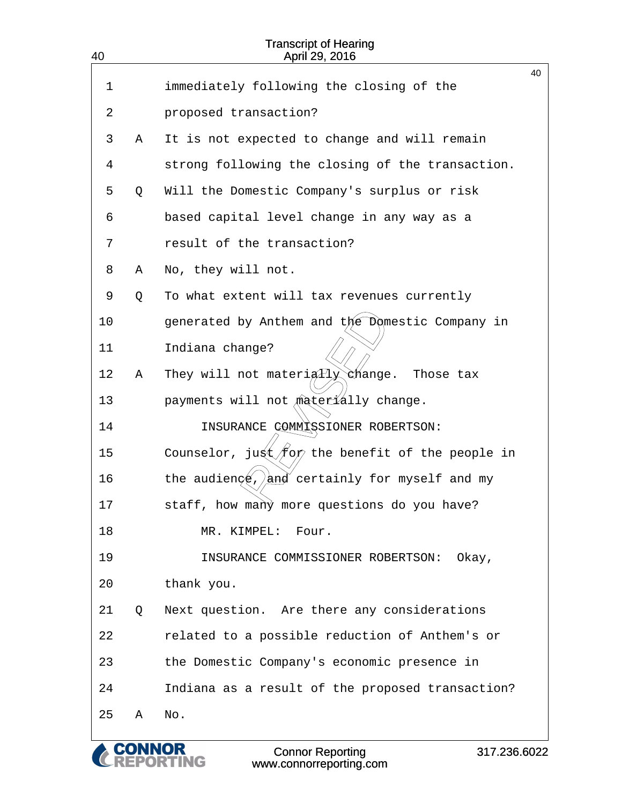| 40 |   | <b>Transcript of Hearing</b><br>April 29, 2016                                  |    |
|----|---|---------------------------------------------------------------------------------|----|
| 1  |   | immediately following the closing of the                                        | 40 |
|    |   |                                                                                 |    |
| 2  |   | proposed transaction?                                                           |    |
| 3  | Α | It is not expected to change and will remain                                    |    |
| 4  |   | strong following the closing of the transaction.                                |    |
| 5  | Q | Will the Domestic Company's surplus or risk                                     |    |
| 6  |   | based capital level change in any way as a                                      |    |
| 7  |   | result of the transaction?                                                      |    |
| 8  | Α | No, they will not.                                                              |    |
| 9  | Q | To what extent will tax revenues currently                                      |    |
| 10 |   | generated by Anthem and the Domestic Company in                                 |    |
| 11 |   | Indiana change?                                                                 |    |
| 12 | Α | They will not materigtly change.<br>Those tax                                   |    |
| 13 |   | payments will not materially change.                                            |    |
| 14 |   | INSURANCE COMMISSIONER ROBERTSON:                                               |    |
| 15 |   | Counselor, jugt $f_{\infty}$ the benefit of the people in                       |    |
| 16 |   | the audienge, $\frac{1}{2}$ certainly for myself and my                         |    |
| 17 |   | staff, how many more questions do you have?                                     |    |
| 18 |   | MR. KIMPEL:<br>Four.                                                            |    |
| 19 |   | INSURANCE COMMISSIONER ROBERTSON:<br>Okay,                                      |    |
| 20 |   | thank you.                                                                      |    |
| 21 | Q | Next question. Are there any considerations                                     |    |
| 22 |   | related to a possible reduction of Anthem's or                                  |    |
| 23 |   | the Domestic Company's economic presence in                                     |    |
| 24 |   | Indiana as a result of the proposed transaction?                                |    |
| 25 | Α | No.                                                                             |    |
|    |   | 317.236.6022<br><b>Connor Reporting</b><br><b>NG</b><br>www.connorreporting.com |    |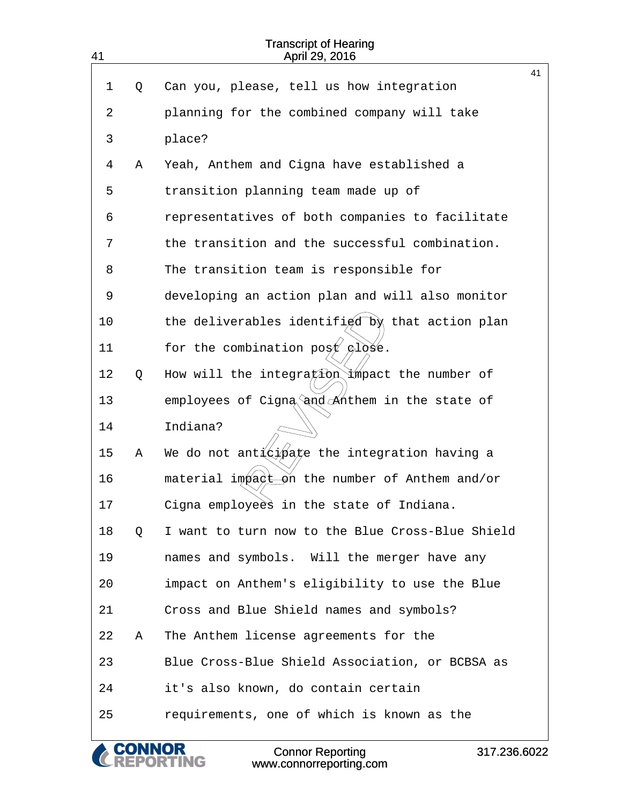| 41 |   | <b>Transcript of Hearing</b><br>April 29, 2016           |    |
|----|---|----------------------------------------------------------|----|
| 1  | Q | Can you, please, tell us how integration                 | 41 |
|    |   |                                                          |    |
| 2  |   | planning for the combined company will take              |    |
| 3  |   | place?                                                   |    |
| 4  | Α | Yeah, Anthem and Cigna have established a                |    |
| 5  |   | transition planning team made up of                      |    |
| 6  |   | representatives of both companies to facilitate          |    |
| 7  |   | the transition and the successful combination.           |    |
| 8  |   | The transition team is responsible for                   |    |
| 9  |   | developing an action plan and will also monitor          |    |
| 10 |   | the deliverables identified by that action plan          |    |
| 11 |   | for the combination post $\varphi$ lose.                 |    |
| 12 | Q | How will the integration impact the number of            |    |
| 13 |   | employees of Cigna and Anthem in the state of            |    |
| 14 |   | Indiana?                                                 |    |
| 15 | Α | We do not ant $\frac{1}{2}$ ate the integration having a |    |
| 16 |   | material impact on the number of Anthem and/or           |    |
| 17 |   | Cigna employees in the state of Indiana.                 |    |
| 18 | Q | I want to turn now to the Blue Cross-Blue Shield         |    |
| 19 |   | names and symbols. Will the merger have any              |    |
| 20 |   | impact on Anthem's eligibility to use the Blue           |    |
| 21 |   | Cross and Blue Shield names and symbols?                 |    |
| 22 | Α | The Anthem license agreements for the                    |    |
| 23 |   | Blue Cross-Blue Shield Association, or BCBSA as          |    |
| 24 |   | it's also known, do contain certain                      |    |
| 25 |   | requirements, one of which is known as the               |    |

CONNOR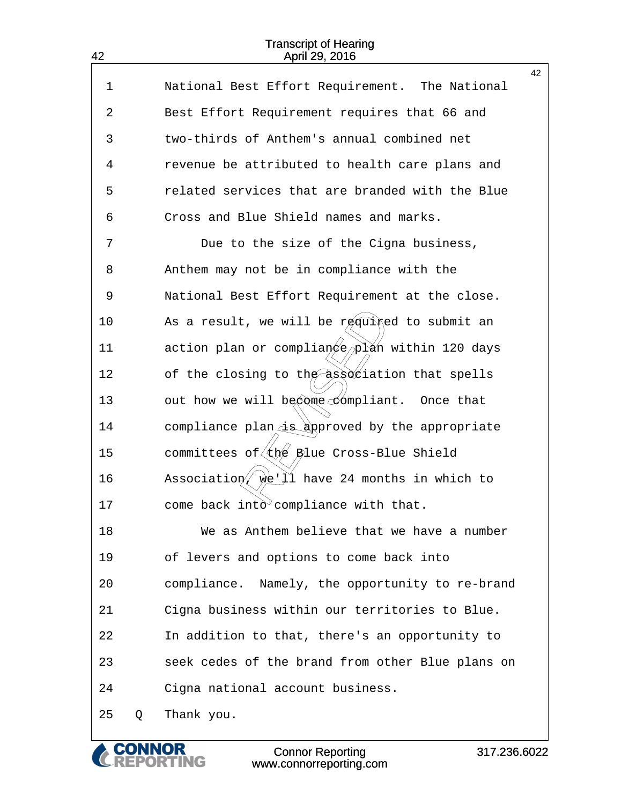42

| 1  |   | National Best Effort Requirement. The National      | 42 |
|----|---|-----------------------------------------------------|----|
| 2  |   | Best Effort Requirement requires that 66 and        |    |
| 3  |   | two-thirds of Anthem's annual combined net          |    |
| 4  |   | revenue be attributed to health care plans and      |    |
| 5  |   | related services that are branded with the Blue     |    |
| 6  |   | Cross and Blue Shield names and marks.              |    |
| 7  |   | Due to the size of the Cigna business,              |    |
| 8  |   | Anthem may not be in compliance with the            |    |
| 9  |   | National Best Effort Requirement at the close.      |    |
| 10 |   | As a result, we will be required to submit an       |    |
| 11 |   | action plan or complian en Nan within 120 days      |    |
| 12 |   | of the closing to the association that spells       |    |
| 13 |   | out how we will become compliant. Once that         |    |
| 14 |   | compliance plan is approved by the appropriate      |    |
| 15 |   | committees of (the Blue Cross-Blue Shield           |    |
| 16 |   | Association, $w = \pm i$ have 24 months in which to |    |
| 17 |   | come back into compliance with that.                |    |
| 18 |   | We as Anthem believe that we have a number          |    |
| 19 |   | of levers and options to come back into             |    |
| 20 |   | compliance. Namely, the opportunity to re-brand     |    |
| 21 |   | Cigna business within our territories to Blue.      |    |
| 22 |   | In addition to that, there's an opportunity to      |    |
| 23 |   | seek cedes of the brand from other Blue plans on    |    |
| 24 |   | Cigna national account business.                    |    |
| 25 | Q | Thank you.                                          |    |

**CONNOR<br>REPORTING** 

C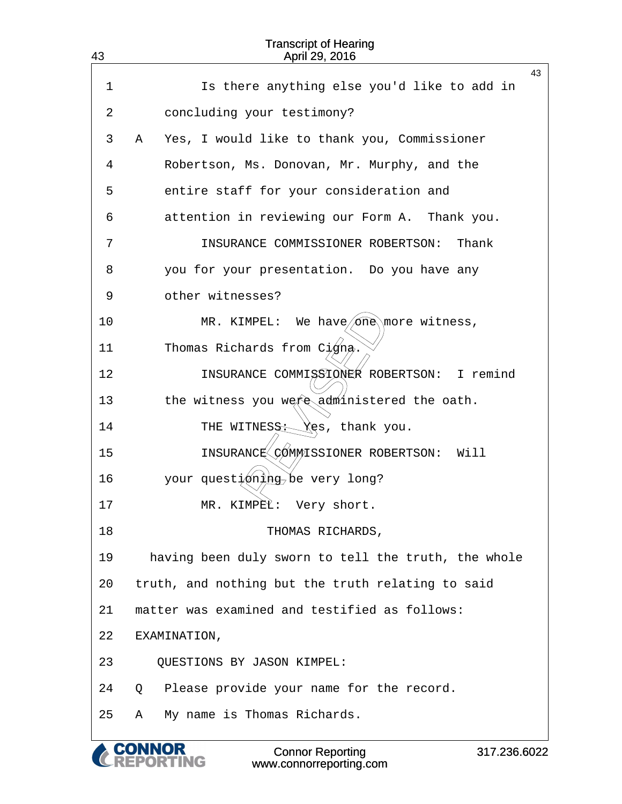| 43 | <b>Transcript of Hearing</b><br>April 29, 2016      |
|----|-----------------------------------------------------|
|    | 43                                                  |
| 1  | Is there anything else you'd like to add in         |
| 2  | concluding your testimony?                          |
| 3  | Yes, I would like to thank you, Commissioner<br>Α   |
| 4  | Robertson, Ms. Donovan, Mr. Murphy, and the         |
| 5  | entire staff for your consideration and             |
| 6  | attention in reviewing our Form A. Thank you.       |
| 7  | INSURANCE COMMISSIONER ROBERTSON:<br>Thank          |
| 8  | you for your presentation. Do you have any          |
| 9  | other witnesses?                                    |
| 10 | MR. KIMPEL: We have/one\more witness,               |
| 11 | Thomas Richards from $C\cancel{1}$ gna.             |
| 12 | INSURANCE COMMISSIONER ROBERTSON: I remind          |
| 13 | the witness you were administered the oath.         |
| 14 | THE WITNESS: Yes, thank you.                        |
| 15 | INSURANC& COMMISSIONER ROBERTSON:<br>Will           |
| 16 | your questióning be very long?                      |
| 17 | MR. KIMPEL: Very short.                             |
| 18 | THOMAS RICHARDS,                                    |
| 19 | having been duly sworn to tell the truth, the whole |
| 20 | truth, and nothing but the truth relating to said   |
| 21 | matter was examined and testified as follows:       |
| 22 | EXAMINATION,                                        |
| 23 | QUESTIONS BY JASON KIMPEL:                          |
| 24 | Please provide your name for the record.<br>Q       |
| 25 | My name is Thomas Richards.<br>Α                    |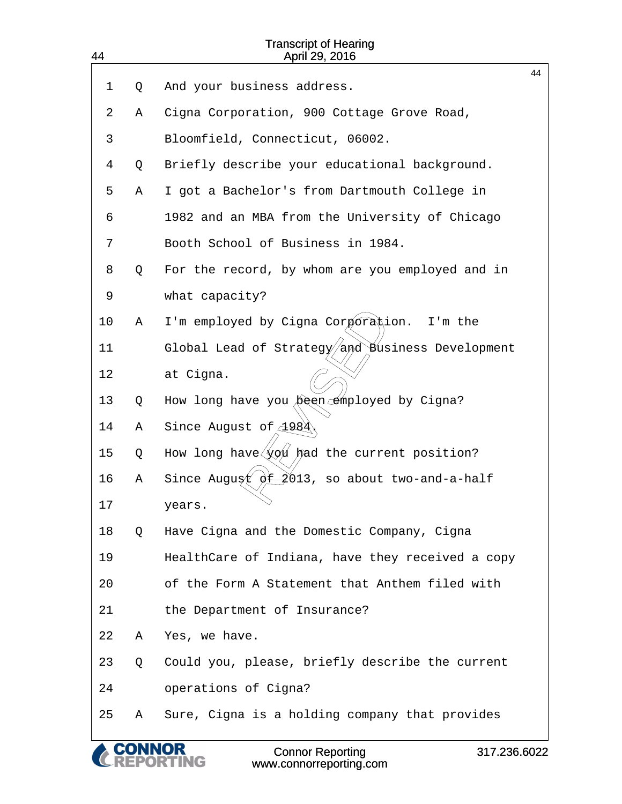| 44 |        | <b>Transcript of Hearing</b><br>April 29, 2016         |    |
|----|--------|--------------------------------------------------------|----|
| 1  | Q      | And your business address.                             | 44 |
| 2  | Α      | Cigna Corporation, 900 Cottage Grove Road,             |    |
| 3  |        | Bloomfield, Connecticut, 06002.                        |    |
| 4  | Q      | Briefly describe your educational background.          |    |
| 5  | Α      | I got a Bachelor's from Dartmouth College in           |    |
| 6  |        | 1982 and an MBA from the University of Chicago         |    |
| 7  |        | Booth School of Business in 1984.                      |    |
| 8  | Q      | For the record, by whom are you employed and in        |    |
| 9  |        | what capacity?                                         |    |
| 10 | Α      | I'm employed by Cigna Corporation.<br>I'm the          |    |
| 11 |        | Global Lead of Strategy and Business Development       |    |
| 12 |        |                                                        |    |
|    |        | at Cigna.                                              |    |
| 13 | Q      | How long have you been employed by Cigna?              |    |
| 14 | Α      | Since August of 4984                                   |    |
| 15 | Q      | How long have $\sqrt{x}$ had the current position?     |    |
| 16 | Α      | Since Augugt $\phi \pm 2013$ , so about two-and-a-half |    |
| 17 |        | years.                                                 |    |
| 18 | Q      | Have Cigna and the Domestic Company, Cigna             |    |
| 19 |        | HealthCare of Indiana, have they received a copy       |    |
| 20 |        | of the Form A Statement that Anthem filed with         |    |
| 21 |        | the Department of Insurance?                           |    |
| 22 | Α      | Yes, we have.                                          |    |
| 23 | Q      | Could you, please, briefly describe the current        |    |
| 24 |        | operations of Cigna?                                   |    |
| 25 | Α      | Sure, Cigna is a holding company that provides         |    |
|    | CONNOR | <b>Connor Reporting</b><br>317.236.6022                |    |

www.connorreporting.com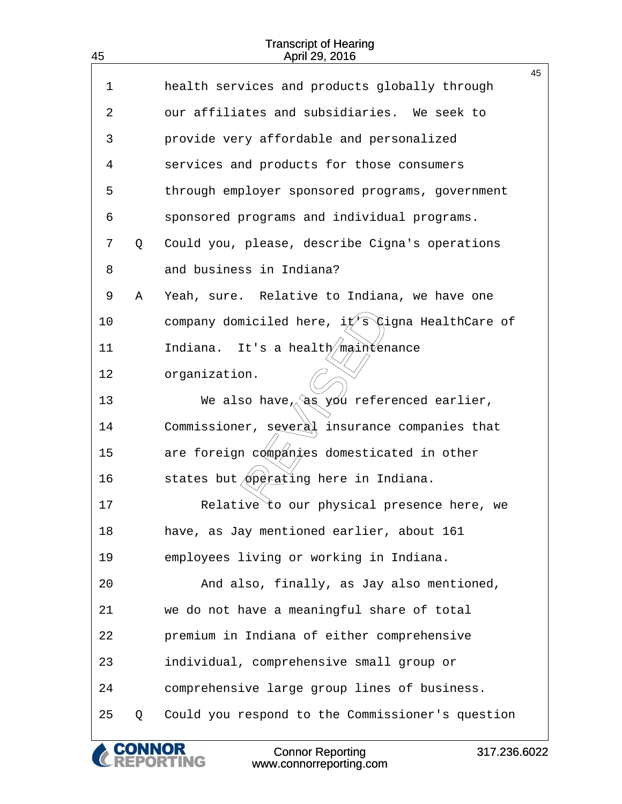45

|    |   | <b>Connor Reporting</b><br>317.236.6022<br>www.connorreporting.com |    |
|----|---|--------------------------------------------------------------------|----|
| 25 | Q | Could you respond to the Commissioner's question                   |    |
| 24 |   | comprehensive large group lines of business.                       |    |
| 23 |   | individual, comprehensive small group or                           |    |
| 22 |   | premium in Indiana of either comprehensive                         |    |
| 21 |   | we do not have a meaningful share of total                         |    |
| 20 |   | And also, finally, as Jay also mentioned,                          |    |
| 19 |   | employees living or working in Indiana.                            |    |
| 18 |   | have, as Jay mentioned earlier, about 161                          |    |
| 17 |   | Relative to our physical presence here, we                         |    |
| 16 |   | states but operating here in Indiana.                              |    |
| 15 |   | are foreign companies domesticated in other                        |    |
| 14 |   | Commissioner, several insurance companies that                     |    |
| 13 |   | We also have $\sqrt{a}$ $\frac{y}{y}$ referenced earlier,          |    |
| 12 |   | organization.                                                      |    |
| 11 |   | It's a health/maintenance<br>Indiana.                              |    |
| 10 |   | company domiciled here, $i\sqrt{f}$ (igna HealthCare of            |    |
| 9  | Α | Yeah, sure. Relative to Indiana, we have one                       |    |
| 8  |   | and business in Indiana?                                           |    |
| 7  | Q | Could you, please, describe Cigna's operations                     |    |
| 6  |   | sponsored programs and individual programs.                        |    |
| 5  |   | through employer sponsored programs, government                    |    |
| 4  |   | services and products for those consumers                          |    |
| 3  |   | provide very affordable and personalized                           |    |
| 2  |   | our affiliates and subsidiaries. We seek to                        |    |
| 1  |   | health services and products globally through                      | 45 |
|    |   |                                                                    |    |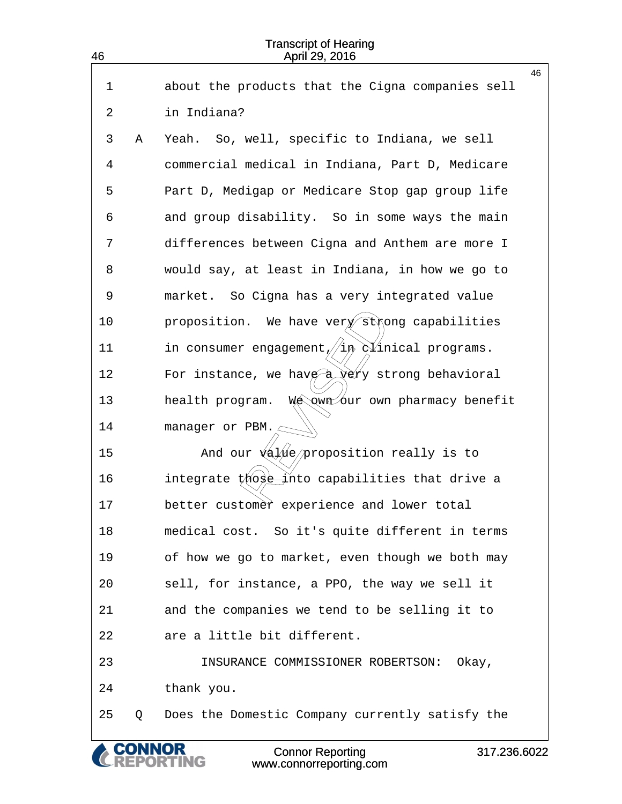| 46 |   | <b>Transcript of Hearing</b><br>April 29, 2016                       |
|----|---|----------------------------------------------------------------------|
|    |   | 46                                                                   |
| 1  |   | about the products that the Cigna companies sell                     |
| 2  |   | in Indiana?                                                          |
| 3  | Α | Yeah. So, well, specific to Indiana, we sell                         |
| 4  |   | commercial medical in Indiana, Part D, Medicare                      |
| 5  |   | Part D, Medigap or Medicare Stop gap group life                      |
| 6  |   | and group disability. So in some ways the main                       |
| 7  |   | differences between Cigna and Anthem are more I                      |
| 8  |   | would say, at least in Indiana, in how we go to                      |
| 9  |   | market. So Cigna has a very integrated value                         |
| 10 |   | proposition. We have very strong capabilities                        |
| 11 |   |                                                                      |
| 12 |   | For instance, we have $\frac{1}{2}$ verty strong behavioral          |
| 13 |   | We awn own pharmacy benefit<br>health program.                       |
| 14 |   | manager or PBM. $\subset$                                            |
| 15 |   | And our $\sqrt{a}$ / $\sqrt{a}$ / $\sqrt{p}$ roposition really is to |
| 16 |   | integrate those into capabilities that drive a                       |
| 17 |   | better customer experience and lower total                           |
| 18 |   | medical cost. So it's quite different in terms                       |
| 19 |   | of how we go to market, even though we both may                      |
| 20 |   | sell, for instance, a PPO, the way we sell it                        |
| 21 |   | and the companies we tend to be selling it to                        |
| 22 |   | are a little bit different.                                          |
| 23 |   | INSURANCE COMMISSIONER ROBERTSON:<br>Okay,                           |
| 24 |   | thank you.                                                           |
| 25 | Q | Does the Domestic Company currently satisfy the                      |
|    |   | <b>Connor Reporting</b><br>317.236.6022<br>www.connorreporting.com   |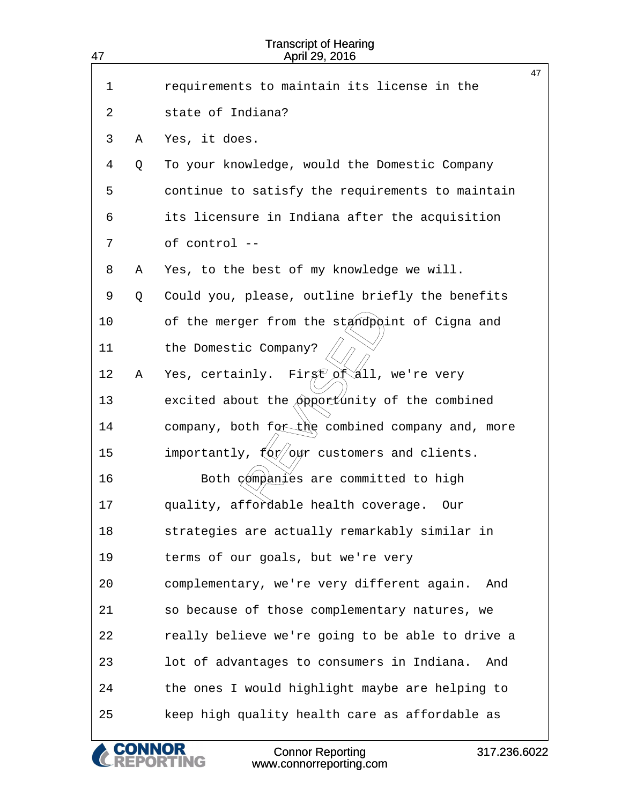| 47 |   | <b>Transcript of Hearing</b><br>April 29, 2016                           |    |
|----|---|--------------------------------------------------------------------------|----|
|    |   |                                                                          | 47 |
| 1  |   | requirements to maintain its license in the                              |    |
| 2  |   | state of Indiana?                                                        |    |
| 3  | Α | Yes, it does.                                                            |    |
| 4  | Q | To your knowledge, would the Domestic Company                            |    |
| 5  |   | continue to satisfy the requirements to maintain                         |    |
| 6  |   | its licensure in Indiana after the acquisition                           |    |
| 7  |   | of control --                                                            |    |
| 8  | Α | Yes, to the best of my knowledge we will.                                |    |
| 9  | Q | Could you, please, outline briefly the benefits                          |    |
| 10 |   | of the merger from the standpoint of Cigna and                           |    |
| 11 |   | the Domestic Company?                                                    |    |
| 12 | Α | Firgt of all, we're very<br>Yes, certainly.                              |    |
| 13 |   | excited about the opportunity of the combined                            |    |
| 14 |   | company, both for the combined company and, more                         |    |
| 15 |   | importantly, $\frac{2}{3}$ (ox) $\frac{2}{3}$ customers and clients.     |    |
| 16 |   | Both companies are committed to high                                     |    |
| 17 |   | quality, affordable health coverage.<br>Our                              |    |
| 18 |   | strategies are actually remarkably similar in                            |    |
| 19 |   | terms of our goals, but we're very                                       |    |
| 20 |   | complementary, we're very different again.<br>And                        |    |
| 21 |   | so because of those complementary natures, we                            |    |
| 22 |   | really believe we're going to be able to drive a                         |    |
| 23 |   | lot of advantages to consumers in Indiana.<br>And                        |    |
| 24 |   | the ones I would highlight maybe are helping to                          |    |
| 25 |   | keep high quality health care as affordable as                           |    |
|    |   | <b>Connor Reporting</b><br>317.236.6022<br>NG<br>www.connorreporting.com |    |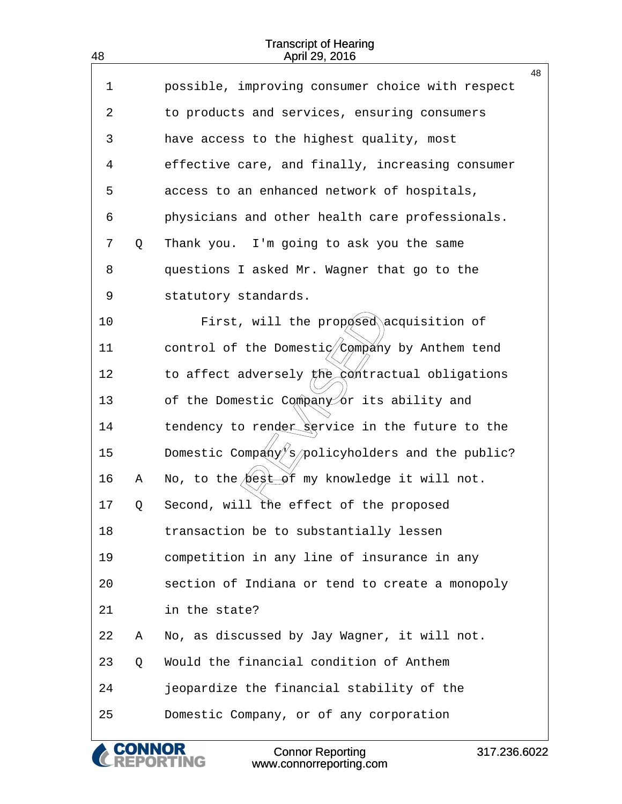|             |   |                                                  | 48 |
|-------------|---|--------------------------------------------------|----|
| $\mathbf 1$ |   | possible, improving consumer choice with respect |    |
| 2           |   | to products and services, ensuring consumers     |    |
| 3           |   | have access to the highest quality, most         |    |
| 4           |   | effective care, and finally, increasing consumer |    |
| 5           |   | access to an enhanced network of hospitals,      |    |
| 6           |   | physicians and other health care professionals.  |    |
| 7           | Q | Thank you. I'm going to ask you the same         |    |
| 8           |   | questions I asked Mr. Wagner that go to the      |    |
| 9           |   | statutory standards.                             |    |
| 10          |   | First, will the proposed acquisition of          |    |
| 11          |   | control of the Domestic/Company by Anthem tend   |    |
| 12          |   | to affect adversely the contractual obligations  |    |
| 13          |   | of the Domestic Company or its ability and       |    |
| 14          |   | tendency to render service in the future to the  |    |
| 15          |   | Domestic Company/s/policyholders and the public? |    |
| 16          | Α | No, to the best of my knowledge it will not.     |    |
| 17          | Q | Second, will the effect of the proposed          |    |
| 18          |   | transaction be to substantially lessen           |    |
| 19          |   | competition in any line of insurance in any      |    |
| 20          |   | section of Indiana or tend to create a monopoly  |    |
| 21          |   | in the state?                                    |    |
| 22          | Α | No, as discussed by Jay Wagner, it will not.     |    |
| 23          | Q | Would the financial condition of Anthem          |    |
| 24          |   | jeopardize the financial stability of the        |    |
| 25          |   | Domestic Company, or of any corporation          |    |
|             |   |                                                  |    |

& CONNOR<br>CREPORTING

48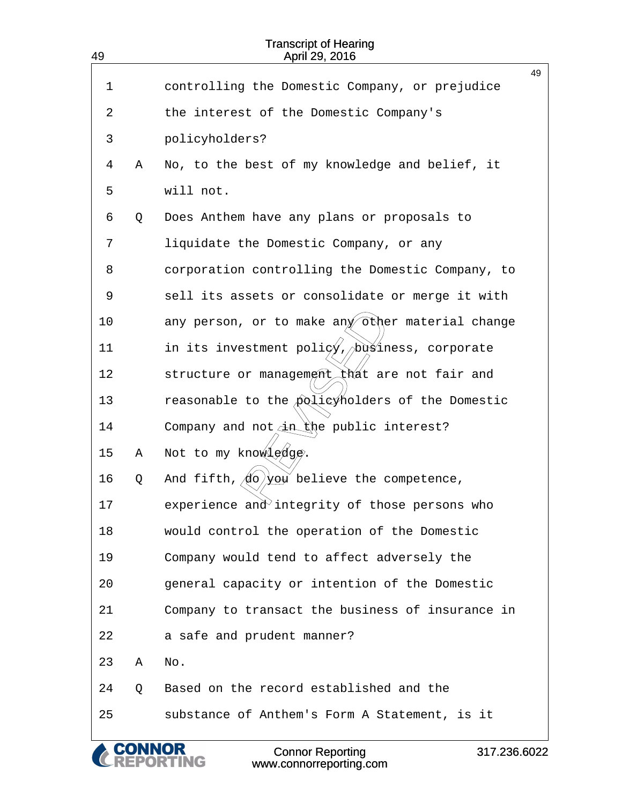| 49 |   | <b>Transcript of Hearing</b><br>April 29, 2016                                  |    |
|----|---|---------------------------------------------------------------------------------|----|
|    |   |                                                                                 | 49 |
| 1  |   | controlling the Domestic Company, or prejudice                                  |    |
| 2  |   | the interest of the Domestic Company's                                          |    |
| 3  |   | policyholders?                                                                  |    |
| 4  | Α | No, to the best of my knowledge and belief, it                                  |    |
| 5  |   | will not.                                                                       |    |
| 6  | Q | Does Anthem have any plans or proposals to                                      |    |
| 7  |   | liquidate the Domestic Company, or any                                          |    |
| 8  |   | corporation controlling the Domestic Company, to                                |    |
| 9  |   | sell its assets or consolidate or merge it with                                 |    |
| 10 |   | any person, or to make any other material change                                |    |
| 11 |   | in its investment poli $\phi'$ , business, corporate                            |    |
| 12 |   | structure or management that are not fair and                                   |    |
| 13 |   | reasonable to the policyholders of the Domestic                                 |    |
| 14 |   | Company and not in the public interest?                                         |    |
| 15 | Α | Not to my knowledge.                                                            |    |
| 16 | Q | And fifth, $\langle \phi \rangle$ you believe the competence,                   |    |
| 17 |   | experience and integrity of those persons who                                   |    |
| 18 |   | would control the operation of the Domestic                                     |    |
| 19 |   | Company would tend to affect adversely the                                      |    |
| 20 |   | general capacity or intention of the Domestic                                   |    |
| 21 |   | Company to transact the business of insurance in                                |    |
| 22 |   | a safe and prudent manner?                                                      |    |
| 23 | Α | No.                                                                             |    |
| 24 | Q | Based on the record established and the                                         |    |
| 25 |   | substance of Anthem's Form A Statement, is it                                   |    |
|    |   | <b>Connor Reporting</b><br>317.236.6022<br><b>JG</b><br>www.connorreporting.com |    |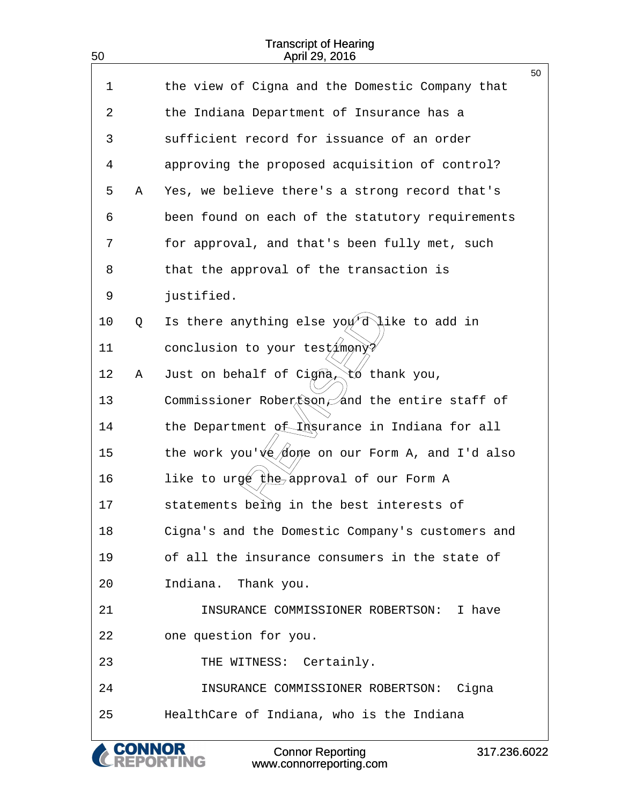50

| $\mathbf 1$ |   | the view of Cigna and the Domestic Company that                | 50 |
|-------------|---|----------------------------------------------------------------|----|
| 2           |   | the Indiana Department of Insurance has a                      |    |
| 3           |   | sufficient record for issuance of an order                     |    |
| 4           |   | approving the proposed acquisition of control?                 |    |
| 5           | Α | Yes, we believe there's a strong record that's                 |    |
| 6           |   | been found on each of the statutory requirements               |    |
| 7           |   | for approval, and that's been fully met, such                  |    |
| 8           |   | that the approval of the transaction is                        |    |
| 9           |   | justified.                                                     |    |
| 10          | Q | Is there anything else $\gamma \circ \psi$ d ike to add in     |    |
| 11          |   | conclusion to your testimony?                                  |    |
| 12          | Α | Just on behalf of $Cigna \wedge$<br>tó thank you,              |    |
| 13          |   | Commissioner Robertson and the entire staff of                 |    |
| 14          |   | the Department of Insurance in Indiana for all                 |    |
| 15          |   | the work you' $\sqrt{\frac{1}{2}}$ on our Form A, and I'd also |    |
| 16          |   | like to urgé the approval of our Form A                        |    |
| 17          |   | statements being in the best interests of                      |    |
| 18          |   | Cigna's and the Domestic Company's customers and               |    |
| 19          |   | of all the insurance consumers in the state of                 |    |
| 20          |   | Indiana. Thank you.                                            |    |
| 21          |   | INSURANCE COMMISSIONER ROBERTSON: I have                       |    |
| 22          |   | one question for you.                                          |    |
| 23          |   | THE WITNESS: Certainly.                                        |    |
| 24          |   | INSURANCE COMMISSIONER ROBERTSON: Cigna                        |    |
| 25          |   | HealthCare of Indiana, who is the Indiana                      |    |
|             |   |                                                                |    |

& CONNOR<br>CREPORTING Connor Reporting www.connorreporting.com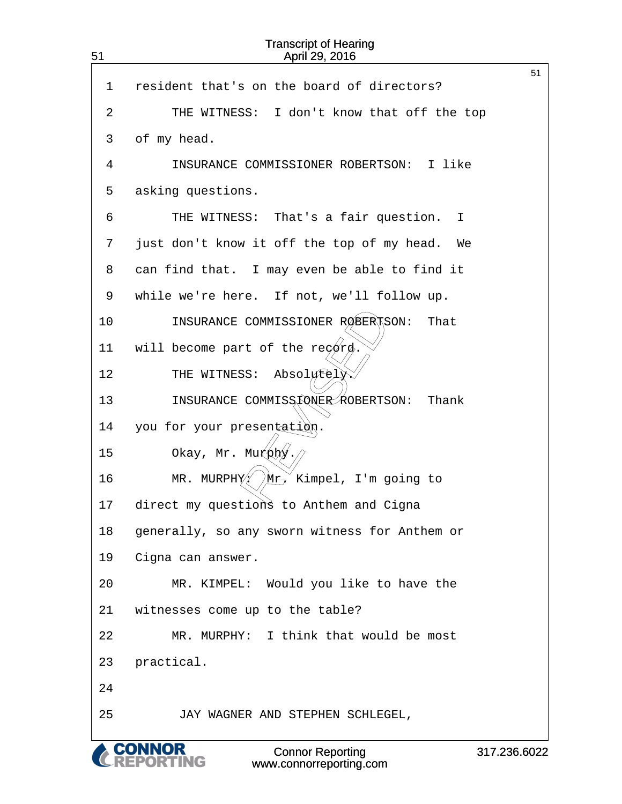| 51 | <b>Transcript of Hearing</b><br>April 29, 2016     |                |
|----|----------------------------------------------------|----------------|
| 1  | resident that's on the board of directors?         | 51             |
| 2  | THE WITNESS: I don't know that off the top         |                |
| 3  | of my head.                                        |                |
| 4  | INSURANCE COMMISSIONER ROBERTSON: I like           |                |
| 5  | asking questions.                                  |                |
| 6  | THE WITNESS: That's a fair question.<br>Ι.         |                |
| 7  | just don't know it off the top of my head.<br>We   |                |
| 8  | can find that. I may even be able to find it       |                |
| 9  | while we're here. If not, we'll follow up.         |                |
| 10 | INSURANCE COMMISSIONER ROBERTSON:<br>That          |                |
| 11 | will become part of the regard.                    |                |
| 12 | Absolutely<br>THE WITNESS:                         |                |
| 13 | INSURANCE COMMISSIONER ROBERTSON:<br>Thank         |                |
| 14 | you for your presentation.                         |                |
| 15 | Okay, Mr. Murphy                                   |                |
| 16 | MR. MURPHY $\sqrt{M_{\rm T}}$ Kimpel, I'm going to |                |
| 17 | direct my questions to Anthem and Cigna            |                |
| 18 | generally, so any sworn witness for Anthem or      |                |
| 19 | Cigna can answer.                                  |                |
| 20 | MR. KIMPEL: Would you like to have the             |                |
| 21 | witnesses come up to the table?                    |                |
| 22 | MR. MURPHY: I think that would be most             |                |
| 23 | practical.                                         |                |
| 24 |                                                    |                |
| 25 | JAY WAGNER AND STEPHEN SCHLEGEL,                   |                |
|    | <b>A CONNOR</b><br><b>Connor Reporting</b>         | 317, 236, 6022 |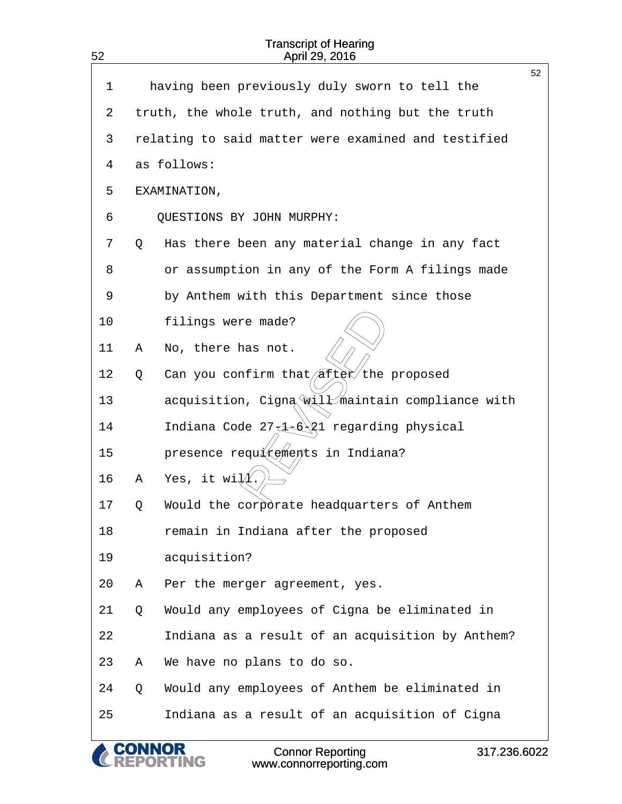| 52 |   | <b>Transcript of Hearing</b><br>April 29, 2016                           |    |
|----|---|--------------------------------------------------------------------------|----|
| 1  |   | having been previously duly sworn to tell the                            | 52 |
| 2  |   | truth, the whole truth, and nothing but the truth                        |    |
| 3  |   | relating to said matter were examined and testified                      |    |
| 4  |   | as follows:                                                              |    |
| 5  |   | EXAMINATION,                                                             |    |
| 6  |   | QUESTIONS BY JOHN MURPHY:                                                |    |
| 7  |   | Has there been any material change in any fact                           |    |
|    | Q |                                                                          |    |
| 8  |   | or assumption in any of the Form A filings made                          |    |
| 9  |   | by Anthem with this Department since those                               |    |
| 10 |   | filings were made?                                                       |    |
| 11 | Α | No, there has not.                                                       |    |
| 12 | Q | Can you confirm that $\sqrt{a^2}$ ter the proposed                       |    |
| 13 |   | acquisition, Cigna will maintain compliance with                         |    |
| 14 |   | Indiana Code 27 4 6 21 regarding physical                                |    |
| 15 |   | presence requirements in Indiana?                                        |    |
| 16 | Α | Yes, it wi $\cancel{11}$                                                 |    |
| 17 | Q | Would the corporate headquarters of Anthem                               |    |
| 18 |   | remain in Indiana after the proposed                                     |    |
| 19 |   | acquisition?                                                             |    |
| 20 | Α | Per the merger agreement, yes.                                           |    |
| 21 | Q | Would any employees of Cigna be eliminated in                            |    |
| 22 |   | Indiana as a result of an acquisition by Anthem?                         |    |
| 23 | Α | We have no plans to do so.                                               |    |
| 24 | Q | Would any employees of Anthem be eliminated in                           |    |
| 25 |   | Indiana as a result of an acquisition of Cigna                           |    |
|    |   | <b>Connor Reporting</b><br>317.236.6022<br>NG<br>www.connorreporting.com |    |

Connor Reporting www.connorreporting.com 317.236.6022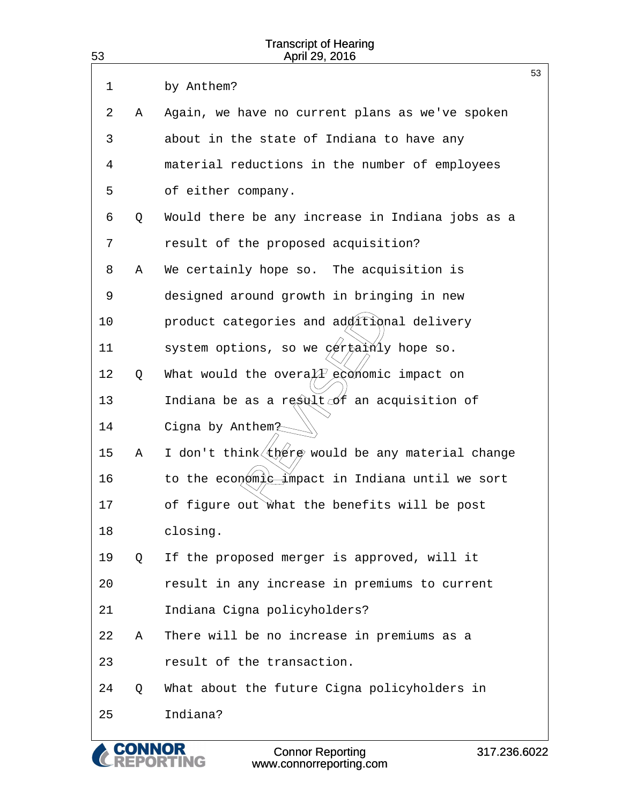| 53 |   | <b>Transcript of Hearing</b><br>April 29, 2016        |    |
|----|---|-------------------------------------------------------|----|
| 1  |   | by Anthem?                                            | 53 |
| 2  | Α | Again, we have no current plans as we've spoken       |    |
| 3  |   | about in the state of Indiana to have any             |    |
| 4  |   | material reductions in the number of employees        |    |
| 5  |   | of either company.                                    |    |
| 6  | Q | Would there be any increase in Indiana jobs as a      |    |
| 7  |   | result of the proposed acquisition?                   |    |
| 8  | Α | We certainly hope so. The acquisition is              |    |
| 9  |   | designed around growth in bringing in new             |    |
| 10 |   | product categories and ad titional delivery           |    |
| 11 |   | system options, so we $\varphi$ ertalnly hope so.     |    |
| 12 | Q | What would the overa $\widehat{A}$ eddnomic impact on |    |
| 13 |   | Indiana be as a result of an acquisition of           |    |
| 14 |   | Cigna by Anthem <sub>2</sub>                          |    |
| 15 | Α | I don't think (there would be any material change     |    |
| 16 |   | to the economic impact in Indiana until we sort       |    |
| 17 |   | of figure out what the benefits will be post          |    |
| 18 |   | closing.                                              |    |
| 19 | Q | If the proposed merger is approved, will it           |    |
| 20 |   | result in any increase in premiums to current         |    |
| 21 |   | Indiana Cigna policyholders?                          |    |
| 22 | Α | There will be no increase in premiums as a            |    |
| 23 |   | result of the transaction.                            |    |
| 24 | Q | What about the future Cigna policyholders in          |    |
| 25 |   | Indiana?                                              |    |

**CONNOR<br>REPORTING**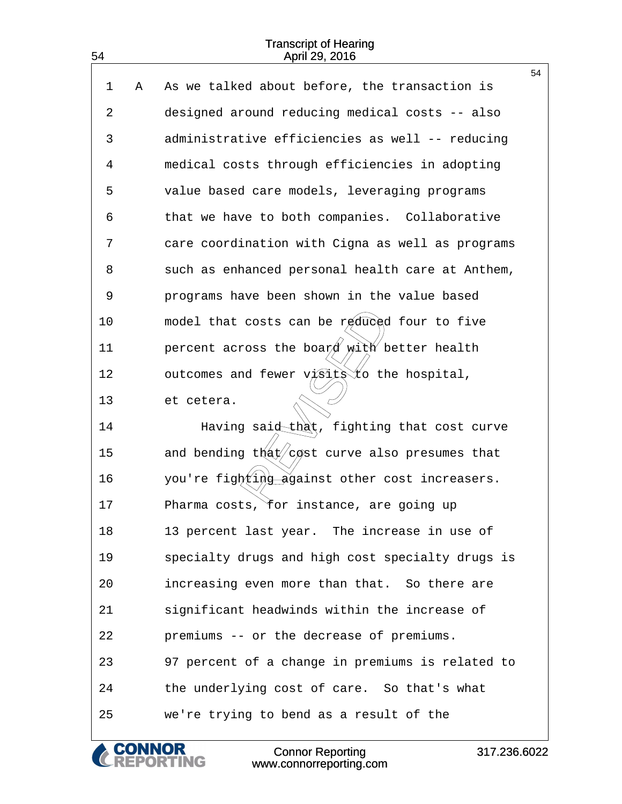|    |   |                                                    | 54 |
|----|---|----------------------------------------------------|----|
| 1  | Α | As we talked about before, the transaction is      |    |
| 2  |   | designed around reducing medical costs -- also     |    |
| 3  |   | administrative efficiencies as well -- reducing    |    |
| 4  |   | medical costs through efficiencies in adopting     |    |
| 5  |   | value based care models, leveraging programs       |    |
| 6  |   | that we have to both companies. Collaborative      |    |
| 7  |   | care coordination with Cigna as well as programs   |    |
| 8  |   | such as enhanced personal health care at Anthem,   |    |
| 9  |   | programs have been shown in the value based        |    |
| 10 |   | model that costs can be reduced four to five       |    |
| 11 |   | percent across the board with better health        |    |
| 12 |   | outcomes and fewer visits to the hospital,         |    |
| 13 |   | et cetera.                                         |    |
| 14 |   | Having said that, fighting that cost curve         |    |
| 15 |   | and bending $t\&rt\cos t$ curve also presumes that |    |
| 16 |   | you're fighting against other cost increasers.     |    |
| 17 |   | Pharma costs, for instance, are going up           |    |
| 18 |   | 13 percent last year. The increase in use of       |    |
| 19 |   | specialty drugs and high cost specialty drugs is   |    |
| 20 |   | increasing even more than that. So there are       |    |
| 21 |   | significant headwinds within the increase of       |    |
| 22 |   | premiums -- or the decrease of premiums.           |    |
| 23 |   | 97 percent of a change in premiums is related to   |    |
| 24 |   | the underlying cost of care. So that's what        |    |
| 25 |   | we're trying to bend as a result of the            |    |

& CONNOR<br>CREPORTING

54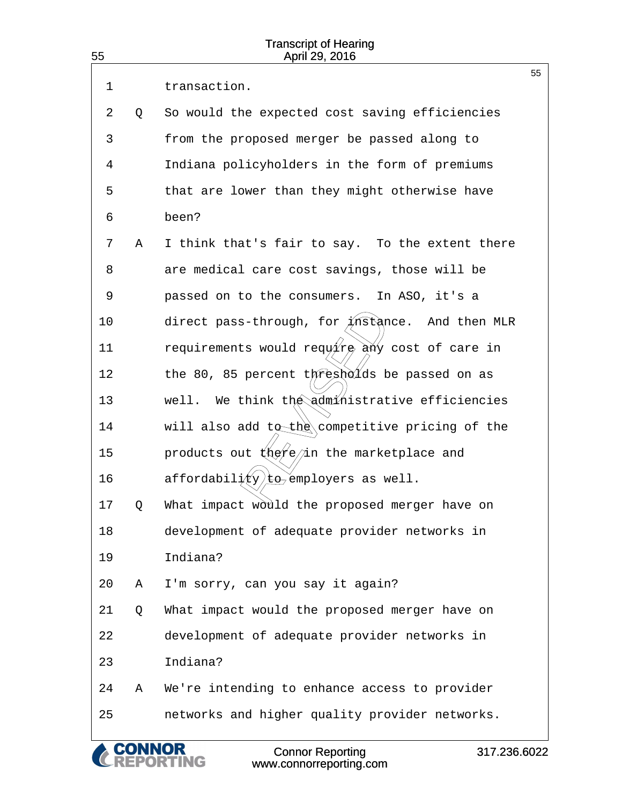| 55 |    | <b>Transcript of Hearing</b><br>April 29, 2016                   |    |
|----|----|------------------------------------------------------------------|----|
| 1  |    | transaction.                                                     | 55 |
| 2  | Q  | So would the expected cost saving efficiencies                   |    |
| 3  |    | from the proposed merger be passed along to                      |    |
| 4  |    | Indiana policyholders in the form of premiums                    |    |
| 5  |    | that are lower than they might otherwise have                    |    |
| 6  |    | been?                                                            |    |
| 7  | Α  | I think that's fair to say. To the extent there                  |    |
| 8  |    | are medical care cost savings, those will be                     |    |
| 9  |    | passed on to the consumers. In ASO, it's a                       |    |
| 10 |    | direct pass-through, for $M$ stance. And then MLR                |    |
| 11 |    | requirements would require any cost of care in                   |    |
| 12 |    | the 80, 85 percent thresholds be passed on as                    |    |
| 13 |    | well. We think the administrative efficiencies                   |    |
| 14 |    | will also add to the competitive pricing of the                  |    |
| 15 |    | products out $(kx)e/\sin$ the marketplace and                    |    |
| 16 |    | affordabil $\frac{i}{\ell}$ y/ $\frac{1}{20}$ employers as well. |    |
| 17 | O. | What impact would the proposed merger have on                    |    |
| 18 |    | development of adequate provider networks in                     |    |
| 19 |    | Indiana?                                                         |    |
| 20 | Α  | I'm sorry, can you say it again?                                 |    |
| 21 | Q  | What impact would the proposed merger have on                    |    |
| 22 |    | development of adequate provider networks in                     |    |
| 23 |    | Indiana?                                                         |    |
| 24 | Α  | We're intending to enhance access to provider                    |    |
| 25 |    | networks and higher quality provider networks.                   |    |
|    |    | <b>CONNOR</b><br><b>Connor Reporting</b><br>317.236.6022         |    |

www.connorreporting.com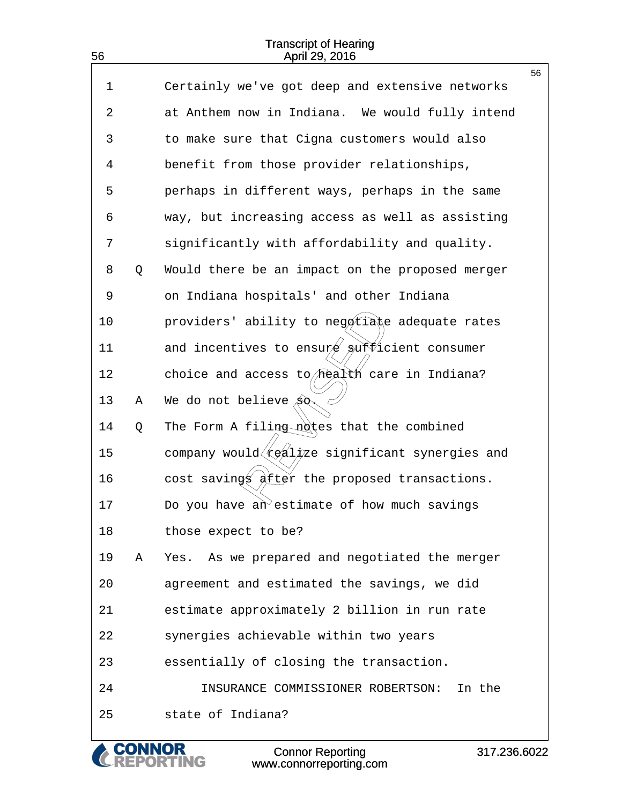56

|    |   |                                                 | 56 |
|----|---|-------------------------------------------------|----|
| 1  |   | Certainly we've got deep and extensive networks |    |
| 2  |   | at Anthem now in Indiana. We would fully intend |    |
| 3  |   | to make sure that Cigna customers would also    |    |
| 4  |   | benefit from those provider relationships,      |    |
| 5  |   | perhaps in different ways, perhaps in the same  |    |
| 6  |   | way, but increasing access as well as assisting |    |
| 7  |   | significantly with affordability and quality.   |    |
| 8  | Q | Would there be an impact on the proposed merger |    |
| 9  |   | on Indiana hospitals' and other Indiana         |    |
| 10 |   | providers' ability to negotiane adequate rates  |    |
| 11 |   | and incentives to ensure sufficient consumer    |    |
| 12 |   | choice and access to health care in Indiana?    |    |
| 13 | Α | We do not believe $\hat{SQ}$                    |    |
| 14 | Q | The Form A filing notes that the combined       |    |
| 15 |   | company would realpze significant synergies and |    |
| 16 |   | cost savings after the proposed transactions.   |    |
| 17 |   | Do you have an estimate of how much savings     |    |
| 18 |   | those expect to be?                             |    |
| 19 | Α | Yes. As we prepared and negotiated the merger   |    |
| 20 |   | agreement and estimated the savings, we did     |    |
| 21 |   | estimate approximately 2 billion in run rate    |    |
| 22 |   | synergies achievable within two years           |    |
| 23 |   | essentially of closing the transaction.         |    |
| 24 |   | INSURANCE COMMISSIONER ROBERTSON:<br>In the     |    |
| 25 |   | state of Indiana?                               |    |
|    |   |                                                 |    |

Connor Reporting www.connorreporting.com

**CONNOR<br>REPORTING** 

C

317.236.6022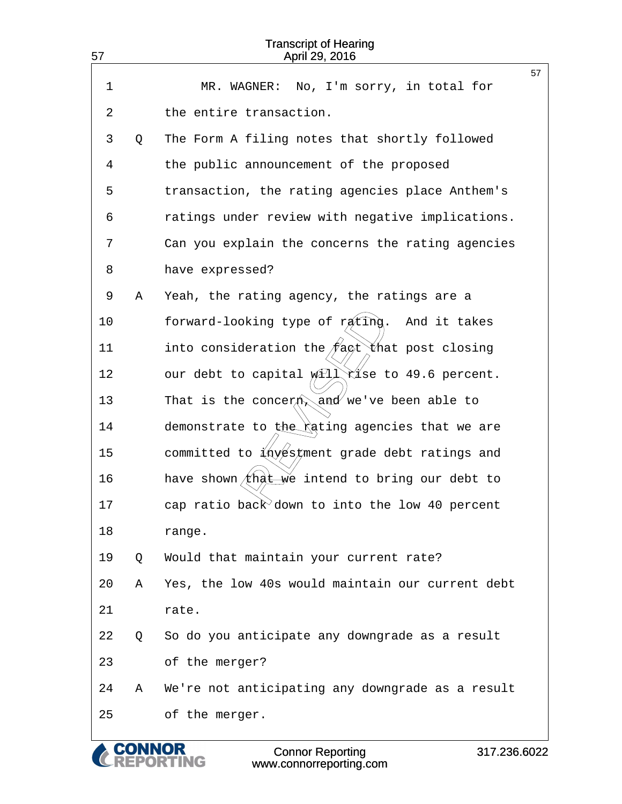| 57 |   | <b>Transcript of Hearing</b><br>April 29, 2016                                                                  |    |
|----|---|-----------------------------------------------------------------------------------------------------------------|----|
| 1  |   | No, I'm sorry, in total for<br>MR. WAGNER:                                                                      | 57 |
| 2  |   | the entire transaction.                                                                                         |    |
| 3  | Q | The Form A filing notes that shortly followed                                                                   |    |
| 4  |   | the public announcement of the proposed                                                                         |    |
| 5  |   | transaction, the rating agencies place Anthem's                                                                 |    |
| 6  |   | ratings under review with negative implications.                                                                |    |
| 7  |   | Can you explain the concerns the rating agencies                                                                |    |
| 8  |   | have expressed?                                                                                                 |    |
| 9  | Α | Yeah, the rating agency, the ratings are a                                                                      |    |
| 10 |   | forward-looking type of rating.<br>And it takes                                                                 |    |
| 11 |   | into consideration the $/\ell$ act that post closing                                                            |    |
| 12 |   | our debt to capital will rise to 49.6 percent.                                                                  |    |
| 13 |   | That is the concerty and we've been able to                                                                     |    |
| 14 |   | demonstrate to the rating agencies that we are                                                                  |    |
| 15 |   | committed to $\frac{1}{2}$ committed to $\frac{1}{2}$ committed to $\frac{1}{2}$ content grade debt ratings and |    |
| 16 |   | have shown that we intend to bring our debt to                                                                  |    |
| 17 |   | cap ratio back down to into the low 40 percent                                                                  |    |
| 18 |   | range.                                                                                                          |    |
| 19 | Q | Would that maintain your current rate?                                                                          |    |
| 20 | Α | Yes, the low 40s would maintain our current debt                                                                |    |
| 21 |   | rate.                                                                                                           |    |
| 22 | Q | So do you anticipate any downgrade as a result                                                                  |    |
| 23 |   | of the merger?                                                                                                  |    |
| 24 | Α | We're not anticipating any downgrade as a result                                                                |    |
| 25 |   | of the merger.                                                                                                  |    |
|    |   | <b>Connor Reporting</b><br>317.236.6022<br>IG<br>www.connorreporting.com                                        |    |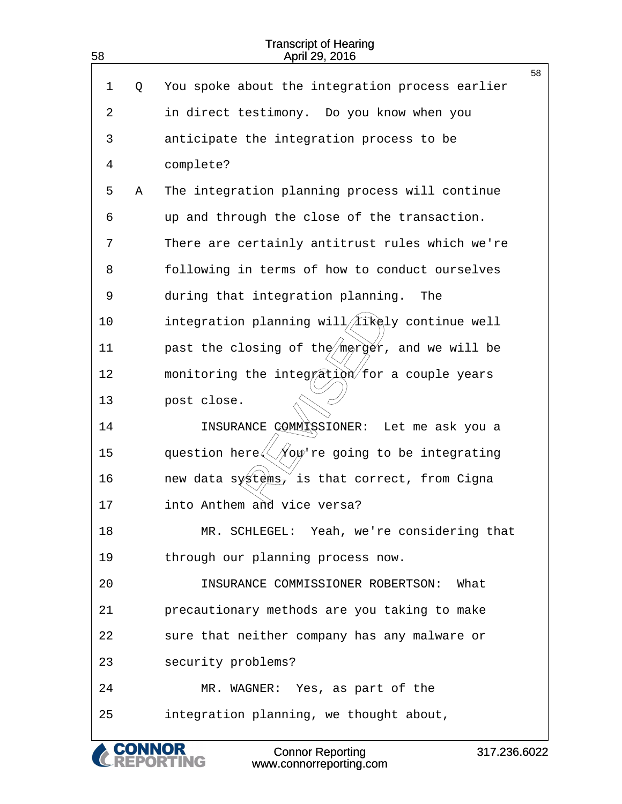| 58 |               | <b>Transcript of Hearing</b><br>April 29, 2016                                                                                                                                                                                                                                                                                                                                    |
|----|---------------|-----------------------------------------------------------------------------------------------------------------------------------------------------------------------------------------------------------------------------------------------------------------------------------------------------------------------------------------------------------------------------------|
| 1  |               | 58<br>You spoke about the integration process earlier                                                                                                                                                                                                                                                                                                                             |
|    | Q             |                                                                                                                                                                                                                                                                                                                                                                                   |
| 2  |               | in direct testimony. Do you know when you                                                                                                                                                                                                                                                                                                                                         |
| 3  |               | anticipate the integration process to be                                                                                                                                                                                                                                                                                                                                          |
| 4  |               | complete?                                                                                                                                                                                                                                                                                                                                                                         |
| 5  | Α             | The integration planning process will continue                                                                                                                                                                                                                                                                                                                                    |
| 6  |               | up and through the close of the transaction.                                                                                                                                                                                                                                                                                                                                      |
| 7  |               | There are certainly antitrust rules which we're                                                                                                                                                                                                                                                                                                                                   |
| 8  |               | following in terms of how to conduct ourselves                                                                                                                                                                                                                                                                                                                                    |
| 9  |               | during that integration planning.<br>The                                                                                                                                                                                                                                                                                                                                          |
| 10 |               | integration planning will/ <i>/Iikely</i> continue well                                                                                                                                                                                                                                                                                                                           |
| 11 |               | past the closing of the merger, and we will be                                                                                                                                                                                                                                                                                                                                    |
| 12 |               | monitoring the integration for a couple years                                                                                                                                                                                                                                                                                                                                     |
| 13 |               | post close.                                                                                                                                                                                                                                                                                                                                                                       |
| 14 |               | INSURANCE COMMISSIONER: Let me ask you a                                                                                                                                                                                                                                                                                                                                          |
| 15 |               | question here $\left\langle \!\!{\,}^{\mathop{}\limits_{\mathop{}\limits^{}}\right.}_{\mathop{}\limits^{}}\right. \hspace{-0.5cm} \left. \mathop{}\limits^{}}\right. \hspace{-0.5cm} \left. \mathop{}\limits^{}}\right. \hspace{-0.5cm} \left. \mathop{}\limits^{}}\right. \hspace{-0.5cm} \left. \mathop{}\limits^{}}\right. \hspace{-0.5cm} \left. \mathop{}\limits^{}}\right)$ |
| 16 |               | new data systems, is that correct, from Cigna                                                                                                                                                                                                                                                                                                                                     |
| 17 |               | into Anthem and vice versa?                                                                                                                                                                                                                                                                                                                                                       |
| 18 |               | MR. SCHLEGEL: Yeah, we're considering that                                                                                                                                                                                                                                                                                                                                        |
| 19 |               | through our planning process now.                                                                                                                                                                                                                                                                                                                                                 |
| 20 |               | INSURANCE COMMISSIONER ROBERTSON:<br>What                                                                                                                                                                                                                                                                                                                                         |
| 21 |               | precautionary methods are you taking to make                                                                                                                                                                                                                                                                                                                                      |
| 22 |               | sure that neither company has any malware or                                                                                                                                                                                                                                                                                                                                      |
| 23 |               | security problems?                                                                                                                                                                                                                                                                                                                                                                |
| 24 |               | MR. WAGNER: Yes, as part of the                                                                                                                                                                                                                                                                                                                                                   |
| 25 |               | integration planning, we thought about,                                                                                                                                                                                                                                                                                                                                           |
|    | <b>CONNOR</b> | <b>Connor Reporting</b><br>317.236.6022                                                                                                                                                                                                                                                                                                                                           |

www.connorreporting.com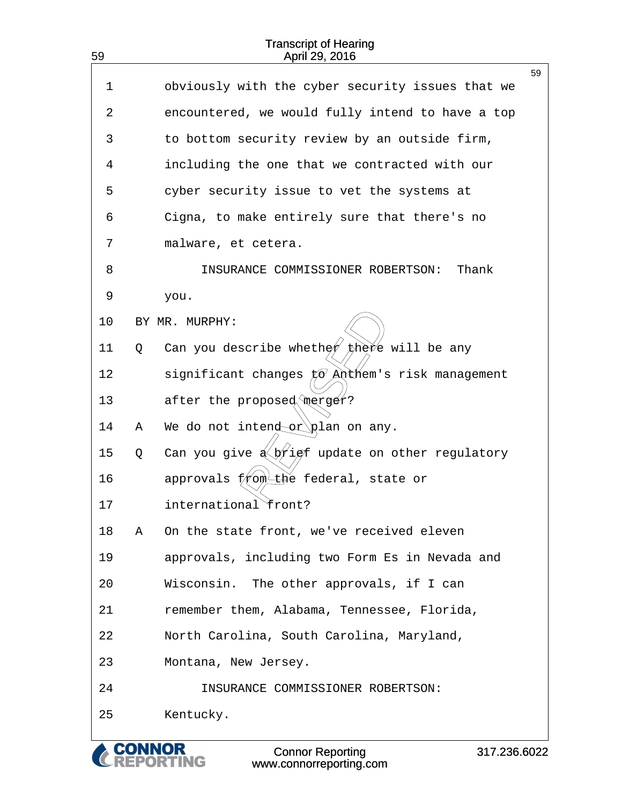| 59 |   | April 29, 2016                                                            |    |
|----|---|---------------------------------------------------------------------------|----|
| 1  |   | obviously with the cyber security issues that we                          | 59 |
| 2  |   | encountered, we would fully intend to have a top                          |    |
| 3  |   | to bottom security review by an outside firm,                             |    |
| 4  |   | including the one that we contracted with our                             |    |
| 5  |   | cyber security issue to vet the systems at                                |    |
| 6  |   | Cigna, to make entirely sure that there's no                              |    |
| 7  |   | malware, et cetera.                                                       |    |
| 8  |   | Thank<br>INSURANCE COMMISSIONER ROBERTSON:                                |    |
| 9  |   | you.                                                                      |    |
| 10 |   | BY MR. MURPHY:                                                            |    |
| 11 | Q | Can you describe whether the vill be any                                  |    |
| 12 |   |                                                                           |    |
| 13 |   | after the proposed merger?                                                |    |
| 14 | Α | We do not intender plan on any.                                           |    |
| 15 | Q | Can you give $\frac{1}{2}$ of update on other regulatory                  |    |
| 16 |   | approvals from the federal, state or                                      |    |
| 17 |   | international front?                                                      |    |
| 18 | Α | On the state front, we've received eleven                                 |    |
| 19 |   | approvals, including two Form Es in Nevada and                            |    |
| 20 |   | Wisconsin. The other approvals, if I can                                  |    |
| 21 |   | remember them, Alabama, Tennessee, Florida,                               |    |
| 22 |   | North Carolina, South Carolina, Maryland,                                 |    |
| 23 |   | Montana, New Jersey.                                                      |    |
| 24 |   | INSURANCE COMMISSIONER ROBERTSON:                                         |    |
| 25 |   | Kentucky.                                                                 |    |
|    |   | <b>Connor Reporting</b><br>317.236.6022<br>NG.<br>www.connorreporting.com |    |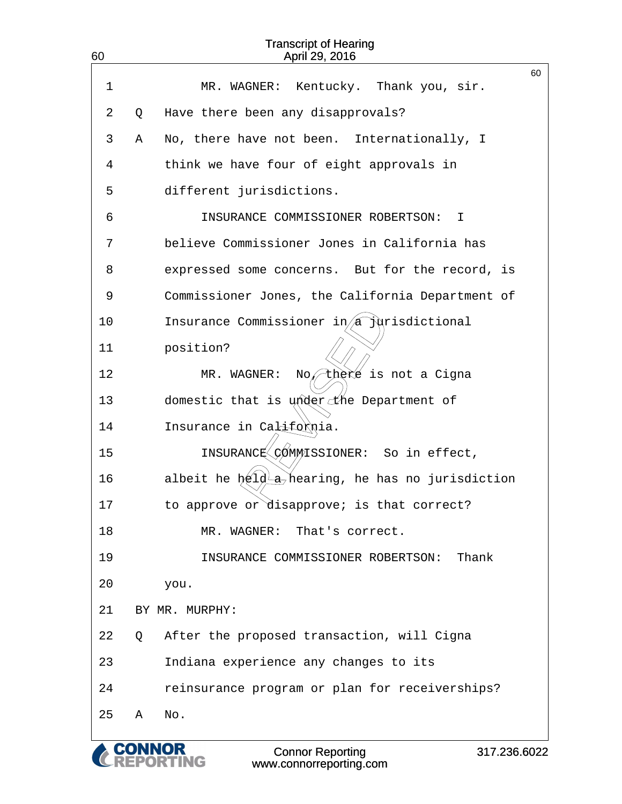| 60 |   | <b>Transcript of Hearing</b><br>April 29, 2016                         |              |
|----|---|------------------------------------------------------------------------|--------------|
| 1  |   | Kentucky. Thank you, sir.<br>MR. WAGNER:                               | 60           |
| 2  | Q | Have there been any disapprovals?                                      |              |
| 3  | Α | No, there have not been. Internationally, I                            |              |
| 4  |   | think we have four of eight approvals in                               |              |
| 5  |   | different jurisdictions.                                               |              |
| 6  |   | INSURANCE COMMISSIONER ROBERTSON:<br>Ι.                                |              |
| 7  |   | believe Commissioner Jones in California has                           |              |
| 8  |   | expressed some concerns. But for the record, is                        |              |
| 9  |   | Commissioner Jones, the California Department of                       |              |
| 10 |   | Insurance Commissioner $i\eta/\hat{a}$ jurisdictional                  |              |
| 11 |   | position?                                                              |              |
| 12 |   | thèré is not a Cigna<br>WAGNER:<br>$MR$ .<br>No⁄                       |              |
| 13 |   | domestic that is under the Department of                               |              |
| 14 |   | Insurance in California.                                               |              |
| 15 |   | INSURANCE COMMISSIONER: So in effect,                                  |              |
| 16 |   | albeit he $\frac{1}{2}$ a <sup>t</sup> hearing, he has no jurisdiction |              |
| 17 |   | to approve or disapprove; is that correct?                             |              |
| 18 |   | MR. WAGNER: That's correct.                                            |              |
| 19 |   | INSURANCE COMMISSIONER ROBERTSON:                                      | Thank        |
| 20 |   | you.                                                                   |              |
| 21 |   | BY MR. MURPHY:                                                         |              |
| 22 | Q | After the proposed transaction, will Cigna                             |              |
| 23 |   | Indiana experience any changes to its                                  |              |
| 24 |   | reinsurance program or plan for receiverships?                         |              |
| 25 | Α | No.                                                                    |              |
|    |   | <b>Connor Reporting</b>                                                | 317.236.6022 |

www.connorreporting.com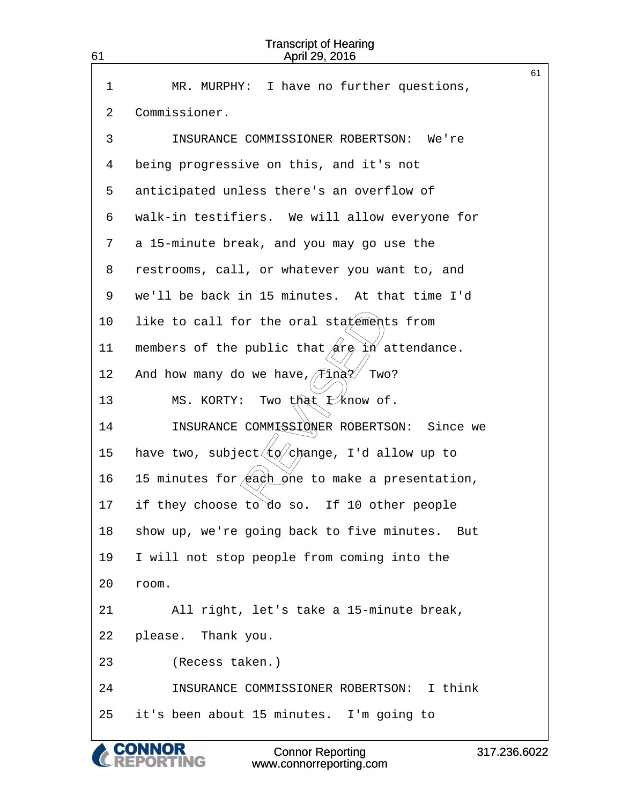| 61 | <b>Transcript of Hearing</b><br>April 29, 2016                               |    |
|----|------------------------------------------------------------------------------|----|
| 1  | I have no further questions,<br>MR. MURPHY:                                  | 61 |
| 2  | Commissioner.                                                                |    |
| 3  | INSURANCE COMMISSIONER ROBERTSON: We're                                      |    |
| 4  | being progressive on this, and it's not                                      |    |
| 5  | anticipated unless there's an overflow of                                    |    |
| 6  | walk-in testifiers. We will allow everyone for                               |    |
| 7  | a 15-minute break, and you may go use the                                    |    |
| 8  | restrooms, call, or whatever you want to, and                                |    |
| 9  | we'll be back in 15 minutes. At that time I'd                                |    |
| 10 | like to call for the oral statements from                                    |    |
| 11 | members of the public that $\sin \theta$ in attendance.                      |    |
| 12 | ∕Tinà?⁄<br>And how many do we have,<br>Two?                                  |    |
| 13 | Two that I know of.<br>MS. KORTY:                                            |    |
| 14 | INSURANCE COMMISSIONER ROBERTSON: Since we                                   |    |
| 15 | have two, subject $\langle \text{t} \phi / c \text{h}$ ange, I'd allow up to |    |
| 16 | 15 minutes for/each one to make a presentation,                              |    |
| 17 | if they choose to do so. If 10 other people                                  |    |
| 18 | show up, we're going back to five minutes. But                               |    |
| 19 | I will not stop people from coming into the                                  |    |
| 20 | room.                                                                        |    |
| 21 | All right, let's take a 15-minute break,                                     |    |
| 22 | please. Thank you.                                                           |    |
| 23 | (Recess taken.)                                                              |    |
| 24 | INSURANCE COMMISSIONER ROBERTSON: I think                                    |    |
| 25 | it's been about 15 minutes. I'm going to                                     |    |
|    |                                                                              |    |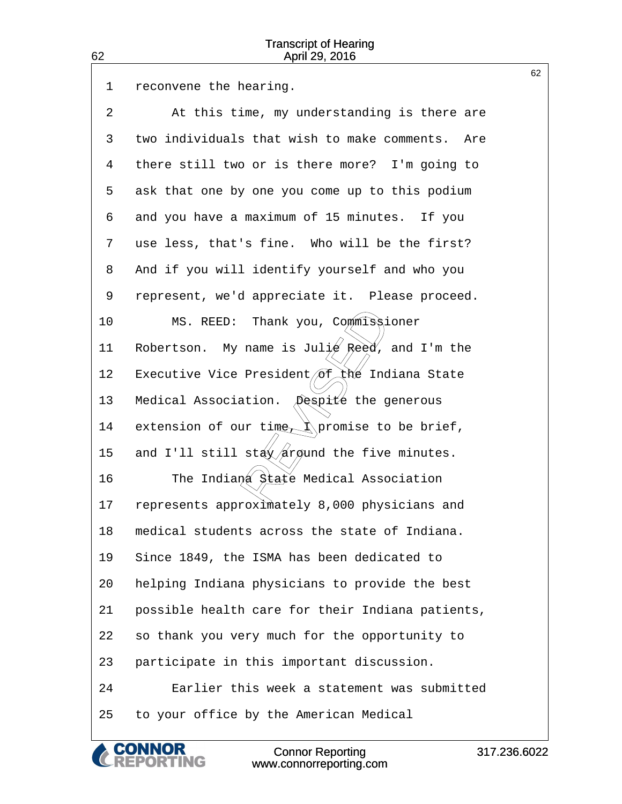62

|    |                                                      | 62 |
|----|------------------------------------------------------|----|
| 1  | reconvene the hearing.                               |    |
| 2  | At this time, my understanding is there are          |    |
| 3  | two individuals that wish to make comments.<br>Are   |    |
| 4  | there still two or is there more? I'm going to       |    |
| 5  | ask that one by one you come up to this podium       |    |
| 6  | and you have a maximum of 15 minutes. If you         |    |
| 7  | use less, that's fine. Who will be the first?        |    |
| 8  | And if you will identify yourself and who you        |    |
| 9  | represent, we'd appreciate it. Please proceed.       |    |
| 10 | MS. REED: Thank you, Commissioner                    |    |
| 11 | Robertson. My name is Julie Reed, and I'm the        |    |
| 12 | Executive Vice President of the Indiana State        |    |
| 13 | Medical Association.<br>Despité the generous         |    |
| 14 | extension of our time $\Lambda$ promise to be brief, |    |
| 15 | and I'll still stay/argund the five minutes.         |    |
| 16 | The Indiana State Medical Association                |    |
| 17 | represents approximately 8,000 physicians and        |    |
| 18 | medical students across the state of Indiana.        |    |
| 19 | Since 1849, the ISMA has been dedicated to           |    |
| 20 | helping Indiana physicians to provide the best       |    |
| 21 | possible health care for their Indiana patients,     |    |
| 22 | so thank you very much for the opportunity to        |    |
| 23 | participate in this important discussion.            |    |
| 24 | Earlier this week a statement was submitted          |    |
| 25 | to your office by the American Medical               |    |
|    |                                                      |    |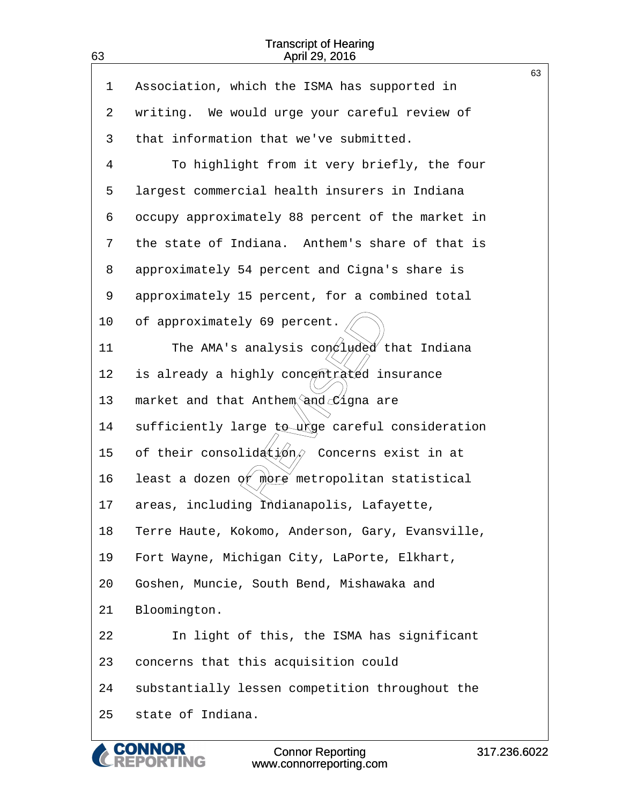63

|         |                                                  | 63 |
|---------|--------------------------------------------------|----|
| 1       | Association, which the ISMA has supported in     |    |
| 2       | writing. We would urge your careful review of    |    |
| 3       | that information that we've submitted.           |    |
| 4       | To highlight from it very briefly, the four      |    |
| 5       | largest commercial health insurers in Indiana    |    |
| 6       | occupy approximately 88 percent of the market in |    |
| 7       | the state of Indiana. Anthem's share of that is  |    |
| 8       | approximately 54 percent and Cigna's share is    |    |
| 9       | approximately 15 percent, for a combined total   |    |
| $10 \,$ | of approximately 69 percent.                     |    |
| 11      | The AMA's analysis con luded that Indiana        |    |
| 12      | is already a highly concentrated insurance       |    |
| 13      | market and that Anthem and Cigna are             |    |
| 14      | sufficiently large to urge careful consideration |    |
| 15      | of their consolidétion, Concerns exist in at     |    |
| 16      | least a dozen of more metropolitan statistical   |    |
| 17      | areas, including Indianapolis, Lafayette,        |    |
| 18      | Terre Haute, Kokomo, Anderson, Gary, Evansville, |    |
| 19      | Fort Wayne, Michigan City, LaPorte, Elkhart,     |    |
| 20      | Goshen, Muncie, South Bend, Mishawaka and        |    |
| 21      | Bloomington.                                     |    |
| 22      | In light of this, the ISMA has significant       |    |
| 23      | concerns that this acquisition could             |    |
| 24      | substantially lessen competition throughout the  |    |
| 25      | state of Indiana.                                |    |
|         |                                                  |    |

& CONNOR<br>CREPORTING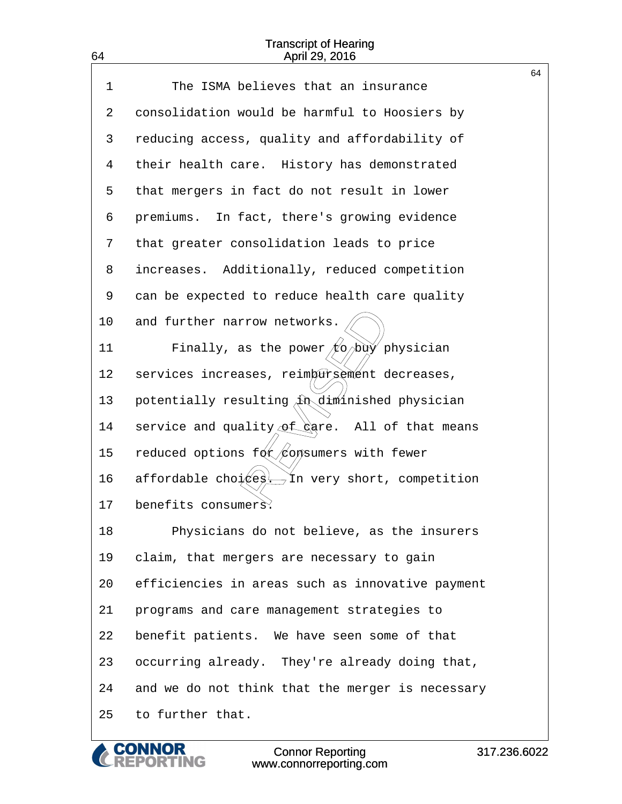64

|             |                                                             | 64 |
|-------------|-------------------------------------------------------------|----|
| $\mathbf 1$ | The ISMA believes that an insurance                         |    |
| 2           | consolidation would be harmful to Hoosiers by               |    |
| 3           | reducing access, quality and affordability of               |    |
| 4           | their health care. History has demonstrated                 |    |
| 5           | that mergers in fact do not result in lower                 |    |
| 6           | premiums. In fact, there's growing evidence                 |    |
| 7           | that greater consolidation leads to price                   |    |
| 8           | increases. Additionally, reduced competition                |    |
| 9           | can be expected to reduce health care quality               |    |
| 10          | and further narrow networks.                                |    |
| 11          | Finally, as the power $\not  \nabla \phi \rangle$ physician |    |
| 12          | services increases, reimbursement decreases,                |    |
| 13          | potentially resulting $\hat{A}$ diminished physician        |    |
| 14          | service and quality of gare. All of that means              |    |
| 15          | reduced options for opsumers with fewer                     |    |
| 16          | affordable choi est. In very short, competition             |    |
| 17          | benefits consumers.                                         |    |
| 18          | Physicians do not believe, as the insurers                  |    |
| 19          | claim, that mergers are necessary to gain                   |    |
| 20          | efficiencies in areas such as innovative payment            |    |
| 21          | programs and care management strategies to                  |    |
| 22          | benefit patients. We have seen some of that                 |    |
| 23          | occurring already. They're already doing that,              |    |
| 24          | and we do not think that the merger is necessary            |    |
| 25          | to further that.                                            |    |

Connor Reporting www.connorreporting.com

**CONNOR<br>REPORTING**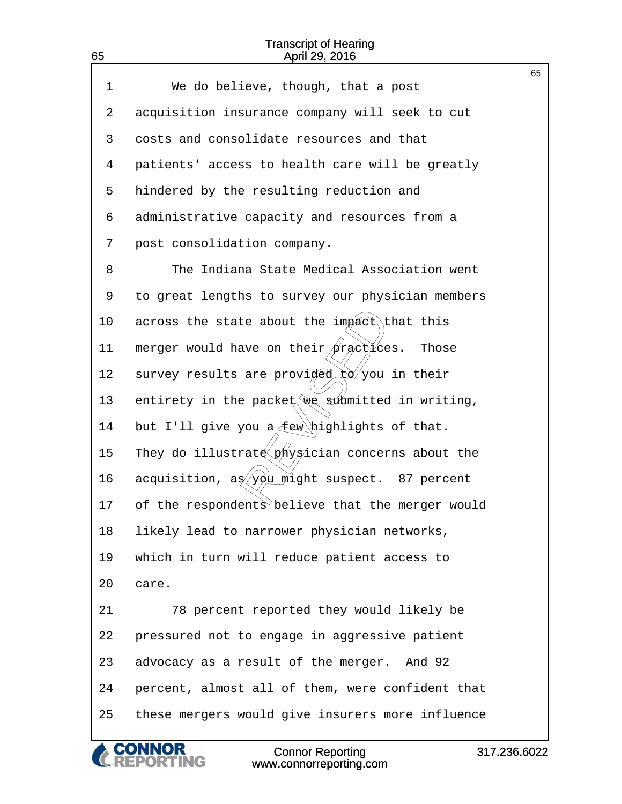65

|    |                                                                  | 65 |
|----|------------------------------------------------------------------|----|
| 1  | We do believe, though, that a post                               |    |
| 2  | acquisition insurance company will seek to cut                   |    |
| 3  | costs and consolidate resources and that                         |    |
| 4  | patients' access to health care will be greatly                  |    |
| 5  | hindered by the resulting reduction and                          |    |
| 6  | administrative capacity and resources from a                     |    |
| 7  | post consolidation company.                                      |    |
| 8  | The Indiana State Medical Association went                       |    |
| 9  | to great lengths to survey our physician members                 |    |
| 10 | across the state about the impact that this                      |    |
| 11 | merger would have on their practices. Those                      |    |
| 12 | survey results are provided to you in their                      |    |
| 13 | entirety in the packet we submitted in writing,                  |    |
| 14 | but I'll give you a few highlights of that.                      |    |
| 15 | They do illustrate physician concerns about the                  |    |
| 16 | acquisition, $a\frac{g}{y}\frac{g}{u}$ might suspect. 87 percent |    |
| 17 | of the respondents believe that the merger would                 |    |
| 18 | likely lead to narrower physician networks,                      |    |
| 19 | which in turn will reduce patient access to                      |    |
| 20 | care.                                                            |    |
| 21 | 78 percent reported they would likely be                         |    |
| 22 | pressured not to engage in aggressive patient                    |    |
| 23 | advocacy as a result of the merger. And 92                       |    |
| 24 | percent, almost all of them, were confident that                 |    |
| 25 | these mergers would give insurers more influence                 |    |
|    |                                                                  |    |

& CONNOR<br>CREPORTING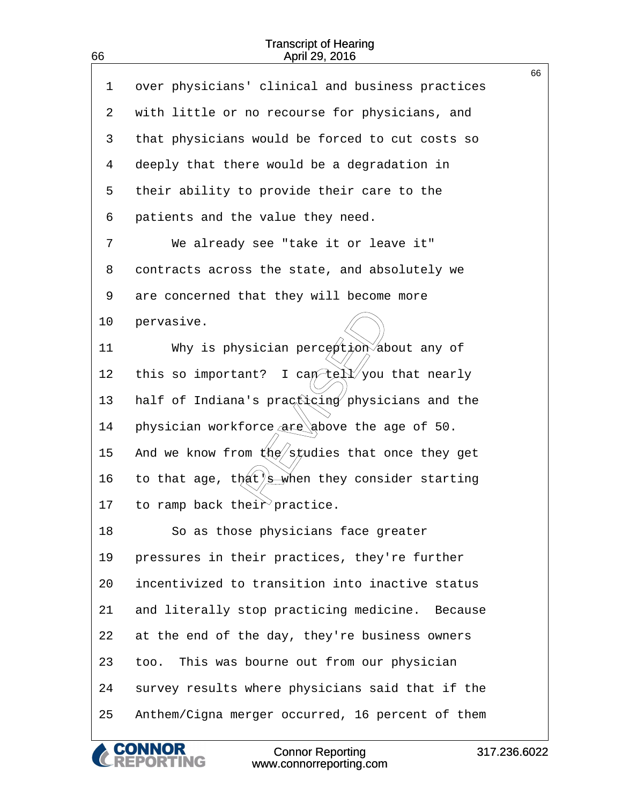|    |                                                      | 66 |
|----|------------------------------------------------------|----|
| 1  | over physicians' clinical and business practices     |    |
| 2  | with little or no recourse for physicians, and       |    |
| 3  | that physicians would be forced to cut costs so      |    |
| 4  | deeply that there would be a degradation in          |    |
| 5  | their ability to provide their care to the           |    |
| 6  | patients and the value they need.                    |    |
| 7  | We already see "take it or leave it"                 |    |
| 8  | contracts across the state, and absolutely we        |    |
| 9  | are concerned that they will become more             |    |
| 10 | pervasive.                                           |    |
| 11 | Why is physician perception about any of             |    |
| 12 | I can tell you that nearly<br>this so important?     |    |
| 13 | half of Indiana's practicing physicians and the      |    |
| 14 | physician workforce $\alpha$ ge above the age of 50. |    |
| 15 | And we know from $k\ll 1$ states that once they get  |    |
| 16 | to that age, that) s when they consider starting     |    |
| 17 | to ramp back their practice.                         |    |
| 18 | So as those physicians face greater                  |    |
| 19 | pressures in their practices, they're further        |    |
| 20 | incentivized to transition into inactive status      |    |
| 21 | and literally stop practicing medicine. Because      |    |
| 22 | at the end of the day, they're business owners       |    |
| 23 | This was bourne out from our physician<br>too.       |    |
| 24 | survey results where physicians said that if the     |    |
| 25 | Anthem/Cigna merger occurred, 16 percent of them     |    |
|    |                                                      |    |

& CONNOR<br>CREPORTING

66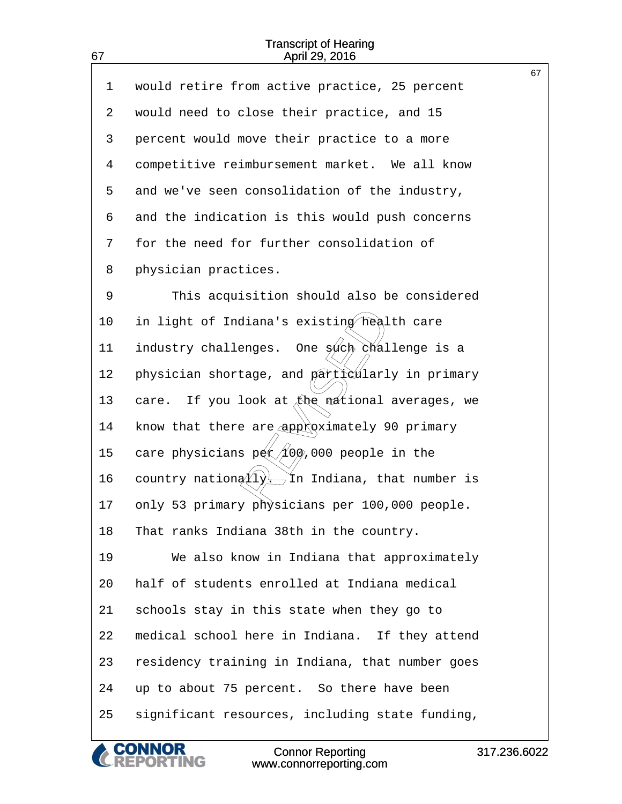67

| $\mathbf 1$ | would retire from active practice, 25 percent     | 67 |
|-------------|---------------------------------------------------|----|
| 2           | would need to close their practice, and 15        |    |
| 3           | percent would move their practice to a more       |    |
| 4           | competitive reimbursement market. We all know     |    |
| 5           | and we've seen consolidation of the industry,     |    |
| 6           | and the indication is this would push concerns    |    |
| 7           | for the need for further consolidation of         |    |
| 8           | physician practices.                              |    |
| 9           | This acquisition should also be considered        |    |
| 10          | in light of Indiana's existing health care        |    |
| 11          | One such challenge is a<br>industry challenges.   |    |
| 12          | physician shortage, and particularly in primary   |    |
| 13          | If you look at the mational averages, we<br>care. |    |
| 14          | know that there are approximately 90 primary      |    |
| 15          | care physicians $p(x)/100$ ,000 people in the     |    |
| 16          | country nation $(1)$ , In Indiana, that number is |    |
| 17          | only 53 primary physicians per 100,000 people.    |    |
| 18          | That ranks Indiana 38th in the country.           |    |
| 19          | We also know in Indiana that approximately        |    |
| 20          | half of students enrolled at Indiana medical      |    |
| 21          | schools stay in this state when they go to        |    |
| 22          | medical school here in Indiana. If they attend    |    |
| 23          | residency training in Indiana, that number goes   |    |
| 24          | up to about 75 percent. So there have been        |    |
| 25          | significant resources, including state funding,   |    |

**CONNOR<br>REPORTING** Connor Reporting www.connorreporting.com

 $\mathcal C$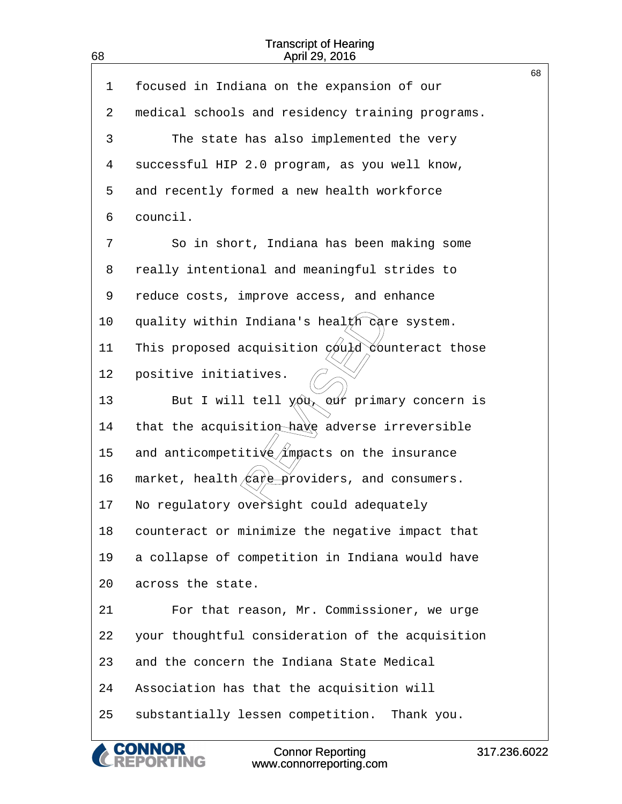|             |                                                                                                | 68 |
|-------------|------------------------------------------------------------------------------------------------|----|
| $\mathbf 1$ | focused in Indiana on the expansion of our                                                     |    |
| 2           | medical schools and residency training programs.                                               |    |
| 3           | The state has also implemented the very                                                        |    |
| 4           | successful HIP 2.0 program, as you well know,                                                  |    |
| 5           | and recently formed a new health workforce                                                     |    |
| 6           | council.                                                                                       |    |
| 7           | So in short, Indiana has been making some                                                      |    |
| 8           | really intentional and meaningful strides to                                                   |    |
| 9           | reduce costs, improve access, and enhance                                                      |    |
| 10          | quality within Indiana's heal $t$ <i>h</i> care system.                                        |    |
| 11          | This proposed acquisition $\varphi$ $\psi$ $\chi$ $\chi$ $\chi$ $\chi$ $\chi$ $\chi$ and those |    |
| 12          | positive initiatives.                                                                          |    |
| 13          | But I will tell $\chi$ oux our primary concern is                                              |    |
| 14          | that the acquisition have adverse irreversible                                                 |    |
| 15          | and anticompetitive/impacts on the insurance                                                   |    |
| 16          | market, health/care providers, and consumers.                                                  |    |
| 17          | No regulatory oversight could adequately                                                       |    |
| 18          | counteract or minimize the negative impact that                                                |    |
| 19          | a collapse of competition in Indiana would have                                                |    |
| 20          | across the state.                                                                              |    |
| 21          | For that reason, Mr. Commissioner, we urge                                                     |    |
| 22          | your thoughtful consideration of the acquisition                                               |    |
| 23          | and the concern the Indiana State Medical                                                      |    |
| 24          | Association has that the acquisition will                                                      |    |
| 25          | substantially lessen competition. Thank you.                                                   |    |
|             |                                                                                                |    |

68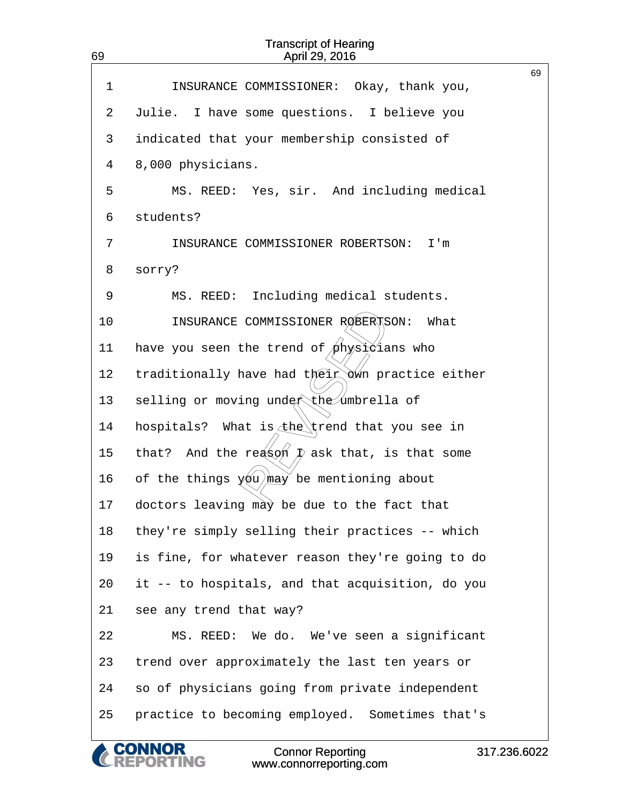| INSURANCE COMMISSIONER: Okay, thank you,                 | 69 |
|----------------------------------------------------------|----|
| Julie.<br>I have some questions. I believe you           |    |
| indicated that your membership consisted of              |    |
| 8,000 physicians.                                        |    |
| MS. REED: Yes, sir. And including medical                |    |
| students?                                                |    |
| INSURANCE COMMISSIONER ROBERTSON:<br>I'm                 |    |
| sorry?                                                   |    |
| MS. REED: Including medical students.                    |    |
| INSURANCE COMMISSIONER ROBERTSON:<br>What                |    |
| have you seen the trend of $\phi$ hysidians who          |    |
| traditionally have had their own practice either         |    |
| selling or moving under the umbrella of                  |    |
| What is $\pm$ he trend that you see in<br>hospitals?     |    |
| And the reason $\bar{p}$ ask that, is that some<br>that? |    |
| of the things $y_0$ may be mentioning about              |    |
| doctors leaving may be due to the fact that              |    |
| they're simply selling their practices -- which          |    |
| is fine, for whatever reason they're going to do         |    |
| it -- to hospitals, and that acquisition, do you         |    |
| see any trend that way?                                  |    |
| MS. REED: We do. We've seen a significant                |    |
| trend over approximately the last ten years or           |    |
| so of physicians going from private independent          |    |
| practice to becoming employed. Sometimes that's          |    |
|                                                          |    |

**CONNOR<br>REPORTING** 

 $\overline{\mathcal{C}}$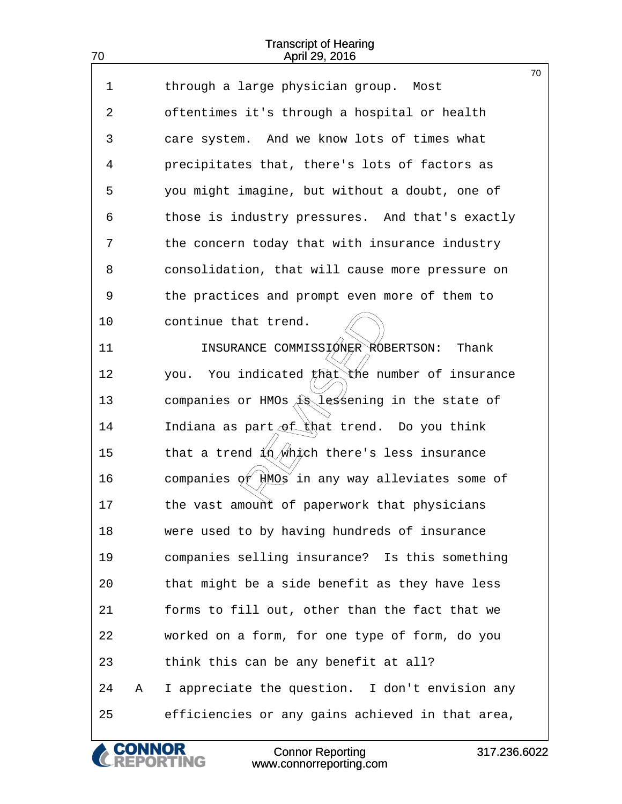70

| $\mathbf 1$ |   | through a large physician group. Most                                                       | 70 |
|-------------|---|---------------------------------------------------------------------------------------------|----|
| 2           |   | oftentimes it's through a hospital or health                                                |    |
| 3           |   | care system. And we know lots of times what                                                 |    |
| 4           |   | precipitates that, there's lots of factors as                                               |    |
| 5           |   | you might imagine, but without a doubt, one of                                              |    |
| 6           |   | those is industry pressures. And that's exactly                                             |    |
| 7           |   | the concern today that with insurance industry                                              |    |
| 8           |   | consolidation, that will cause more pressure on                                             |    |
| 9           |   | the practices and prompt even more of them to                                               |    |
| 10          |   | continue that trend.                                                                        |    |
| 11          |   | INSURANCE COMMISSIØNER ROBERTSON: Thank                                                     |    |
| 12          |   | you. You indicated $f(x)$ the number of insurance                                           |    |
| 13          |   | companies or HMOs $\Lambda$ lessening in the state of                                       |    |
| 14          |   | Indiana as part of that trend. Do you think                                                 |    |
| 15          |   | that a trend $\frac{\left(\frac{1}{2}\right)}{\sqrt{1-\frac{1}{2}}}$ there's less insurance |    |
| 16          |   | companies $\phi f$ $\overleftrightarrow{HMOg}$ in any way alleviates some of                |    |
| 17          |   | the vast amount of paperwork that physicians                                                |    |
| 18          |   | were used to by having hundreds of insurance                                                |    |
| 19          |   | companies selling insurance? Is this something                                              |    |
| 20          |   | that might be a side benefit as they have less                                              |    |
| 21          |   | forms to fill out, other than the fact that we                                              |    |
| 22          |   | worked on a form, for one type of form, do you                                              |    |
| 23          |   | think this can be any benefit at all?                                                       |    |
| 24          | Α | I appreciate the question. I don't envision any                                             |    |
| 25          |   | efficiencies or any gains achieved in that area,                                            |    |

**CONNOR<br>REPORTING** 

C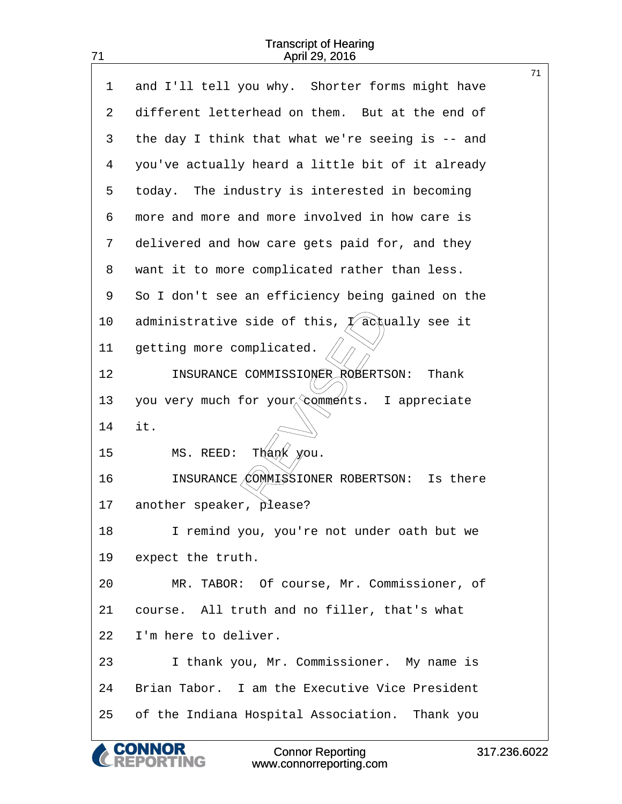|    | <b>Connor Reporting</b><br>317.236.602<br>NG<br>www.connorreporting.com |
|----|-------------------------------------------------------------------------|
| 25 | of the Indiana Hospital Association. Thank you                          |
| 24 | Brian Tabor. I am the Executive Vice President                          |
| 23 | I thank you, Mr. Commissioner. My name is                               |
| 22 | I'm here to deliver.                                                    |
| 21 | course. All truth and no filler, that's what                            |
| 20 | MR. TABOR: Of course, Mr. Commissioner, of                              |
| 19 | expect the truth.                                                       |
| 18 | I remind you, you're not under oath but we                              |
| 17 | another speaker, please?                                                |
| 16 | INSURANCE/COMMISSIONER ROBERTSON:<br>Is there                           |
| 15 | Thank<br>MS. REED:<br>you.                                              |
| 14 | it.                                                                     |
| 13 | you very much for your comments. I appreciate                           |
| 12 | INSURANCE COMMISSIONER ROBERTSON:<br>Thank                              |
| 11 | getting more complicated.                                               |
| 10 | administrative side of this, $\oint$ acqually see it                    |
| 9  | So I don't see an efficiency being gained on the                        |
| 8  | want it to more complicated rather than less.                           |
| 7  | delivered and how care gets paid for, and they                          |
| 6  | more and more and more involved in how care is                          |
| 5  | today. The industry is interested in becoming                           |
| 4  | you've actually heard a little bit of it already                        |
| 3  | the day I think that what we're seeing is -- and                        |
| 2  | different letterhead on them. But at the end of                         |
| 1  | 71<br>and I'll tell you why. Shorter forms might have                   |

Connor Reporting www.connorreporting.com

71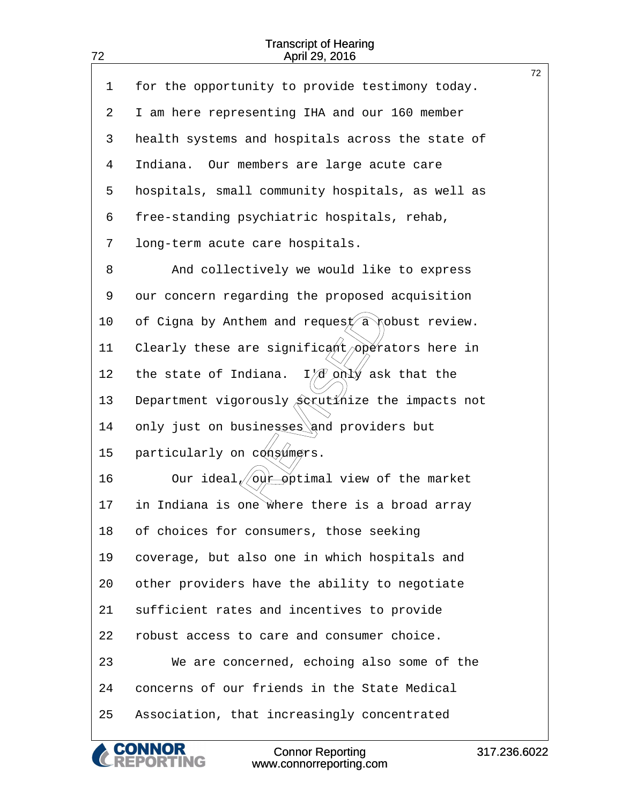<span id="page-72-0"></span>

|    |                                                             | 72 |
|----|-------------------------------------------------------------|----|
| 1  | for the opportunity to provide testimony today.             |    |
| 2  | I am here representing IHA and our 160 member               |    |
| 3  | health systems and hospitals across the state of            |    |
| 4  | Indiana. Our members are large acute care                   |    |
| 5  | hospitals, small community hospitals, as well as            |    |
| 6  | free-standing psychiatric hospitals, rehab,                 |    |
| 7  | long-term acute care hospitals.                             |    |
| 8  | And collectively we would like to express                   |    |
| 9  | our concern regarding the proposed acquisition              |    |
| 10 | of Cigna by Anthem and request $\widehat{a}$ pobust review. |    |
| 11 | Clearly these are significant/operators here in             |    |
| 12 | $I/d$ only ask that the<br>the state of Indiana.            |    |
| 13 | Department vigorously Scrutinize the impacts not            |    |
| 14 | only just on businesses and providers but                   |    |
| 15 | particularly on consumers.                                  |    |
| 16 | Our ideal/ our pptimal view of the market                   |    |
| 17 | in Indiana is one where there is a broad array              |    |
| 18 | of choices for consumers, those seeking                     |    |
| 19 | coverage, but also one in which hospitals and               |    |
| 20 | other providers have the ability to negotiate               |    |
| 21 | sufficient rates and incentives to provide                  |    |
| 22 | robust access to care and consumer choice.                  |    |
| 23 | We are concerned, echoing also some of the                  |    |
| 24 | concerns of our friends in the State Medical                |    |
| 25 | Association, that increasingly concentrated                 |    |
|    |                                                             |    |

Connor Reporting

**CONNOR<br>REPORTING** 

 $\mathcal C$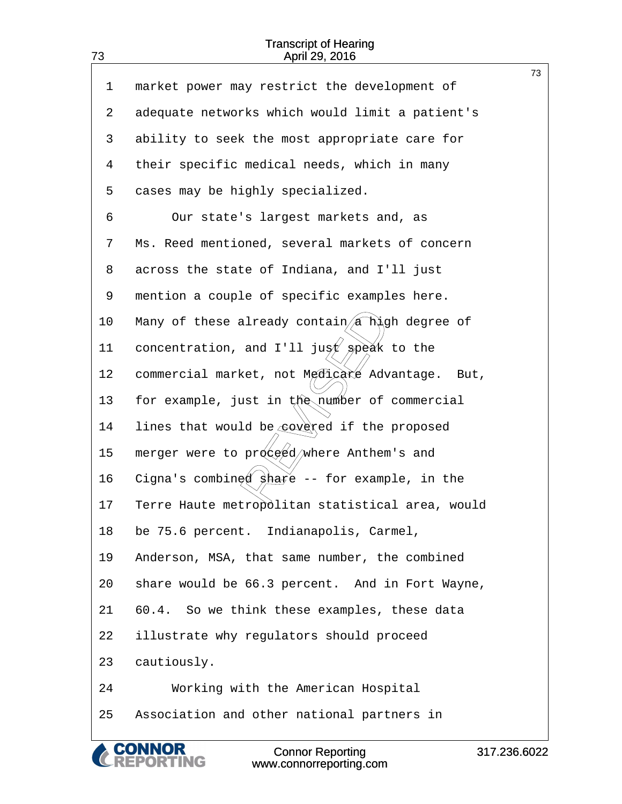<span id="page-73-0"></span>

|    |                                                  | 73 |
|----|--------------------------------------------------|----|
| 1  | market power may restrict the development of     |    |
| 2  | adequate networks which would limit a patient's  |    |
| 3  | ability to seek the most appropriate care for    |    |
| 4  | their specific medical needs, which in many      |    |
| 5  | cases may be highly specialized.                 |    |
| 6  | Our state's largest markets and, as              |    |
| 7  | Ms. Reed mentioned, several markets of concern   |    |
| 8  | across the state of Indiana, and I'll just       |    |
| 9  | mention a couple of specific examples here.      |    |
| 10 | Many of these already contain/a high degree of   |    |
| 11 | concentration, and I'll just speak to the        |    |
| 12 | commercial market, not Medicare Advantage. But,  |    |
| 13 | for example, just in the number of commercial    |    |
| 14 | lines that would be covered if the proposed      |    |
| 15 | merger were to proged/where Anthem's and         |    |
| 16 | Cigna's combined share -- for example, in the    |    |
| 17 | Terre Haute metropólitan statistical area, would |    |
| 18 | be 75.6 percent. Indianapolis, Carmel,           |    |
| 19 | Anderson, MSA, that same number, the combined    |    |
| 20 | share would be 66.3 percent. And in Fort Wayne,  |    |
| 21 | 60.4. So we think these examples, these data     |    |
| 22 | illustrate why regulators should proceed         |    |
| 23 | cautiously.                                      |    |
| 24 | Working with the American Hospital               |    |
| 25 | Association and other national partners in       |    |
|    |                                                  |    |

**CONNOR<br>REPORTING** 

 $\mathcal C$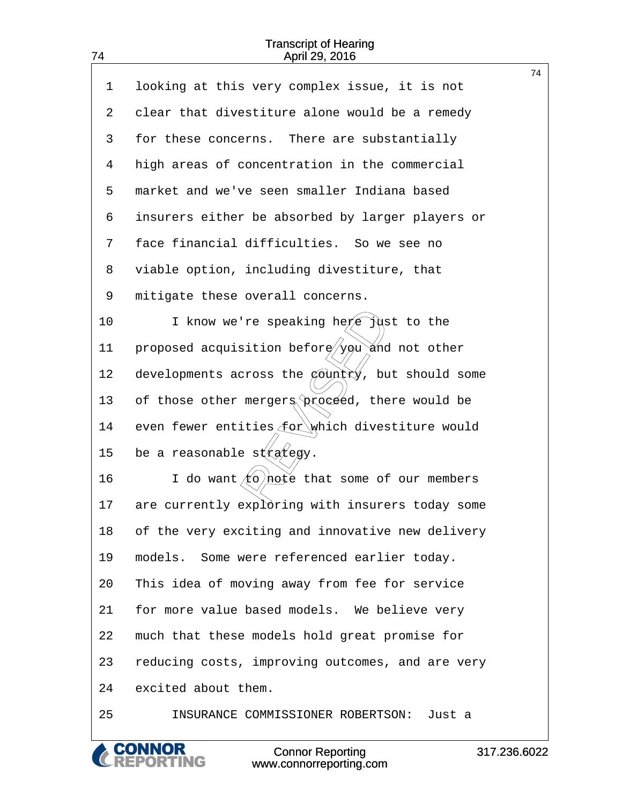<span id="page-74-0"></span>74

|    |                                                                                   | 74 |
|----|-----------------------------------------------------------------------------------|----|
| 1  | looking at this very complex issue, it is not                                     |    |
| 2  | clear that divestiture alone would be a remedy                                    |    |
| 3  | for these concerns. There are substantially                                       |    |
| 4  | high areas of concentration in the commercial                                     |    |
| 5  | market and we've seen smaller Indiana based                                       |    |
| 6  | insurers either be absorbed by larger players or                                  |    |
| 7  | face financial difficulties. So we see no                                         |    |
| 8  | viable option, including divestiture, that                                        |    |
| 9  | mitigate these overall concerns.                                                  |    |
| 10 | I know we're speaking here just to the                                            |    |
| 11 | proposed acquisition beforg/you and not other                                     |    |
| 12 | developments across the $\phi$ ountry, but should some                            |    |
| 13 | of those other mergers proceed, there would be                                    |    |
| 14 | even fewer entities for which divestiture would                                   |    |
| 15 | be a reasonable $s$ $(x_0/x_0)/x$ .                                               |    |
| 16 | I do want $\angle$ $\left(\phi\right)$ $\frac{h}{h}\phi$ that some of our members |    |
| 17 | are currently exploring with insurers today some                                  |    |
| 18 | of the very exciting and innovative new delivery                                  |    |
| 19 | models. Some were referenced earlier today.                                       |    |
| 20 | This idea of moving away from fee for service                                     |    |
| 21 | for more value based models. We believe very                                      |    |
| 22 | much that these models hold great promise for                                     |    |
| 23 | reducing costs, improving outcomes, and are very                                  |    |
| 24 | excited about them.                                                               |    |
| 25 | INSURANCE COMMISSIONER ROBERTSON:<br>Just a                                       |    |
|    |                                                                                   |    |

**CONNOR<br>REPORTING** 

C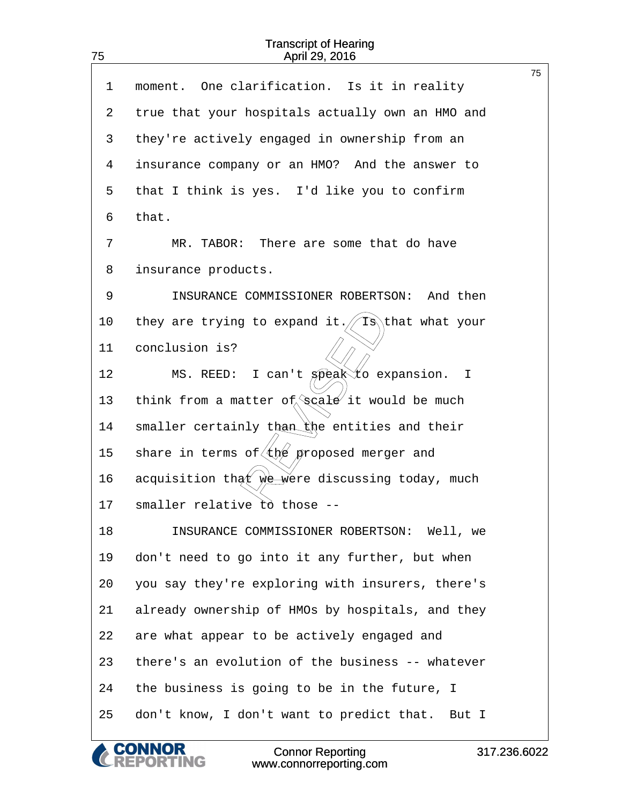<span id="page-75-0"></span>75

|    |                                                                       | 75 |
|----|-----------------------------------------------------------------------|----|
| 1  | moment. One clarification. Is it in reality                           |    |
| 2  | true that your hospitals actually own an HMO and                      |    |
| 3  | they're actively engaged in ownership from an                         |    |
| 4  | insurance company or an HMO? And the answer to                        |    |
| 5  | that I think is yes. I'd like you to confirm                          |    |
| 6  | that.                                                                 |    |
| 7  | MR. TABOR: There are some that do have                                |    |
| 8  | insurance products.                                                   |    |
| 9  | INSURANCE COMMISSIONER ROBERTSON: And then                            |    |
| 10 | they are trying to expand it. $\sqrt{18}$ that what your              |    |
| 11 | conclusion is?                                                        |    |
| 12 | MS. REED: I can't speak to expansion. I                               |    |
| 13 | think from a matter of $\sqrt{2}$ and $\frac{d}{dx}$ it would be much |    |
| 14 | smaller certainly than the entities and their                         |    |
| 15 | share in terms of $\left( \frac{f}{f}\right)$ proposed merger and     |    |
| 16 | acquisition that we were discussing today, much                       |    |
| 17 | smaller relative to those --                                          |    |
| 18 | INSURANCE COMMISSIONER ROBERTSON: Well, we                            |    |
| 19 | don't need to go into it any further, but when                        |    |
| 20 | you say they're exploring with insurers, there's                      |    |
| 21 | already ownership of HMOs by hospitals, and they                      |    |
| 22 | are what appear to be actively engaged and                            |    |
| 23 | there's an evolution of the business -- whatever                      |    |
| 24 | the business is going to be in the future, I                          |    |
| 25 | don't know, I don't want to predict that. But I                       |    |

Connor Reporting www.connorreporting.com

**CONNOR<br>REPORTING**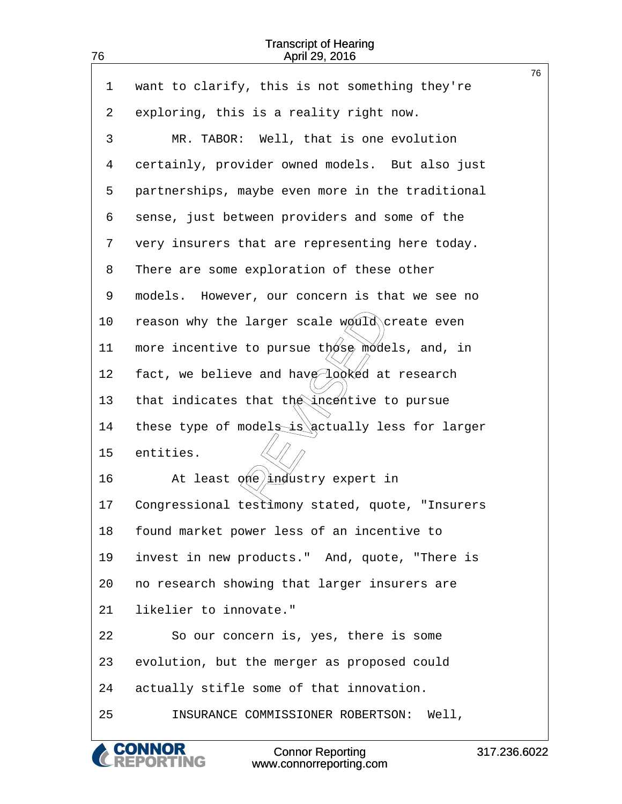<span id="page-76-0"></span>

| $\mathbf{1}$ | want to clarify, this is not something they're   | 76 |
|--------------|--------------------------------------------------|----|
| 2            | exploring, this is a reality right now.          |    |
| 3            | MR. TABOR: Well, that is one evolution           |    |
| 4            | certainly, provider owned models. But also just  |    |
| 5            | partnerships, maybe even more in the traditional |    |
| 6            | sense, just between providers and some of the    |    |
| 7            | very insurers that are representing here today.  |    |
| 8            | There are some exploration of these other        |    |
| 9            | models. However, our concern is that we see no   |    |
| 10           | reason why the larger scale would create even    |    |
| 11           | more incentive to pursue those models, and, in   |    |
| 12           | fact, we believe and have looked at research     |    |
| 13           | that indicates that the incentive to pursue      |    |
| 14           | these type of models is actually less for larger |    |
| 15           | entities.                                        |    |
| 16           | At least øne industry expert in                  |    |
| 17           | Congressional testimony stated, quote, "Insurers |    |
| 18           | found market power less of an incentive to       |    |
| 19           | invest in new products." And, quote, "There is   |    |
| 20           | no research showing that larger insurers are     |    |
| 21           | likelier to innovate."                           |    |
| 22           | So our concern is, yes, there is some            |    |
| 23           | evolution, but the merger as proposed could      |    |
| 24           | actually stifle some of that innovation.         |    |
| 25           | INSURANCE COMMISSIONER ROBERTSON: Well,          |    |
|              |                                                  |    |

**CONNOR<br>REPORTING**  $\mathcal C$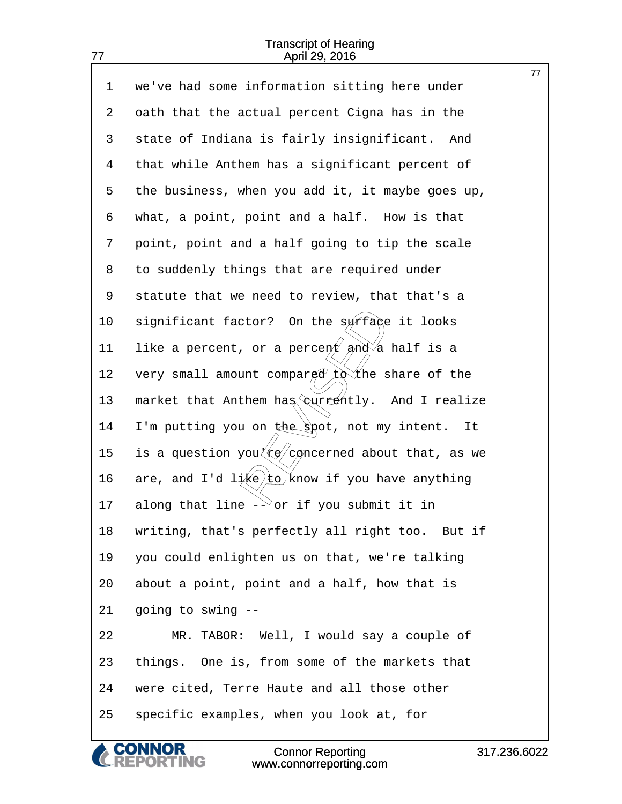|    |                                                             | 77 |
|----|-------------------------------------------------------------|----|
| 1  | we've had some information sitting here under               |    |
| 2  | oath that the actual percent Cigna has in the               |    |
| 3  | state of Indiana is fairly insignificant. And               |    |
| 4  | that while Anthem has a significant percent of              |    |
| 5  | the business, when you add it, it maybe goes up,            |    |
| 6  | what, a point, point and a half. How is that                |    |
| 7  | point, point and a half going to tip the scale              |    |
| 8  | to suddenly things that are required under                  |    |
| 9  | statute that we need to review, that that's a               |    |
| 10 | significant factor? On the surfage it looks                 |    |
| 11 | like a percent, or a percent and a half is a                |    |
| 12 | very small amount compared to the share of the              |    |
| 13 | market that Anthem has <i>currently</i> . And I realize     |    |
| 14 | I'm putting you on the spot, not my intent.<br>It           |    |
| 15 | is a question you $\frac{1}{x}$ concerned about that, as we |    |
| 16 | are, and I'd $1/(k\epsilon)$ to know if you have anything   |    |
| 17 | along that line $-\sqrt{2}$ or if you submit it in          |    |
| 18 | writing, that's perfectly all right too. But if             |    |
| 19 | you could enlighten us on that, we're talking               |    |
| 20 | about a point, point and a half, how that is                |    |
| 21 | going to swing --                                           |    |
| 22 | MR. TABOR: Well, I would say a couple of                    |    |
| 23 | things. One is, from some of the markets that               |    |
| 24 | were cited, Terre Haute and all those other                 |    |
| 25 | specific examples, when you look at, for                    |    |
|    |                                                             |    |

**CONNOR<br>REPORTING** 

C

<span id="page-77-0"></span>77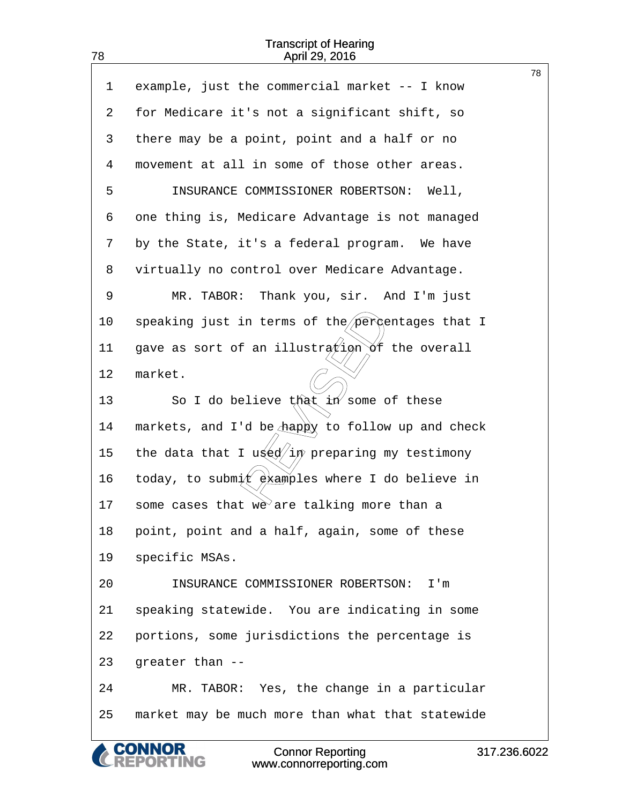|    |                                                  | 78 |
|----|--------------------------------------------------|----|
| 1  | example, just the commercial market -- I know    |    |
| 2  | for Medicare it's not a significant shift, so    |    |
| 3  | there may be a point, point and a half or no     |    |
| 4  | movement at all in some of those other areas.    |    |
| 5  | INSURANCE COMMISSIONER ROBERTSON: Well,          |    |
| 6  | one thing is, Medicare Advantage is not managed  |    |
| 7  | by the State, it's a federal program. We have    |    |
| 8  | virtually no control over Medicare Advantage.    |    |
| 9  | MR. TABOR: Thank you, sir. And I'm just          |    |
| 10 | speaking just in terms of the percentages that I |    |
| 11 | gave as sort of an illustration of the overall   |    |
| 12 | market.                                          |    |
| 13 | So I do believe that $4n$ some of these          |    |
| 14 | markets, and I'd be happy to follow up and check |    |
| 15 | the data that I uged/in preparing my testimony   |    |
| 16 | today, to submit examples where I do believe in  |    |
| 17 | some cases that we are talking more than a       |    |
| 18 | point, point and a half, again, some of these    |    |
| 19 | specific MSAs.                                   |    |
| 20 | INSURANCE COMMISSIONER ROBERTSON:<br>I'm         |    |
| 21 | speaking statewide. You are indicating in some   |    |
| 22 | portions, some jurisdictions the percentage is   |    |
| 23 | greater than --                                  |    |
| 24 | MR. TABOR: Yes, the change in a particular       |    |
| 25 | market may be much more than what that statewide |    |
|    |                                                  |    |

<span id="page-78-0"></span>78

**CONNOR<br>REPORTING** 

 $\alpha$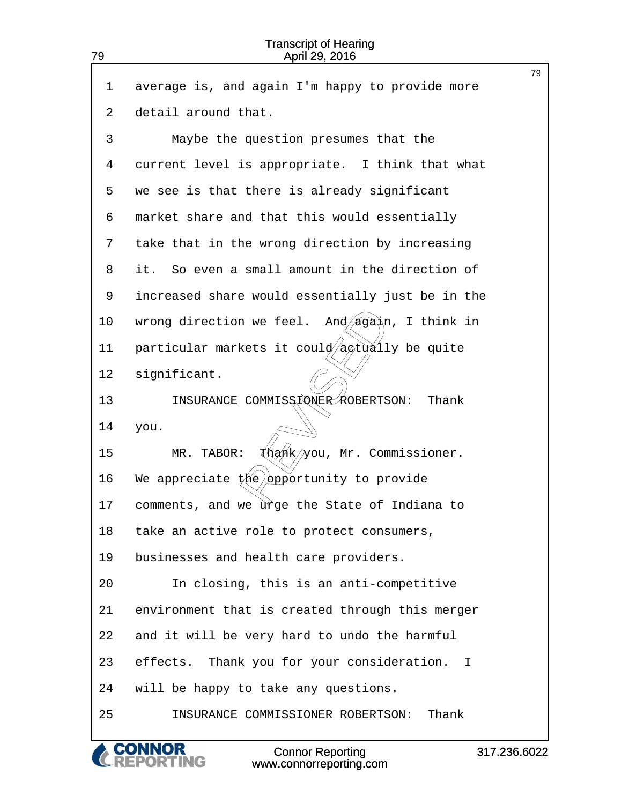<span id="page-79-0"></span>

| 79 | <b>Transcript of Hearing</b><br>April 29, 2016    |    |
|----|---------------------------------------------------|----|
| 1  | average is, and again I'm happy to provide more   | 79 |
| 2  | detail around that.                               |    |
| 3  | Maybe the question presumes that the              |    |
|    |                                                   |    |
| 4  | current level is appropriate. I think that what   |    |
| 5  | we see is that there is already significant       |    |
| 6  | market share and that this would essentially      |    |
| 7  | take that in the wrong direction by increasing    |    |
| 8  | So even a small amount in the direction of<br>it. |    |
| 9  | increased share would essentially just be in the  |    |
| 10 | And/again, I think in<br>wrong direction we feel. |    |
| 11 | particular markets it could/actually be quite     |    |
| 12 | significant.                                      |    |
| 13 | INSURANCE COMMISSEONER ROBERTSON:<br>Thank        |    |
| 14 | you.                                              |    |
| 15 | thank/you, Mr. Commissioner.<br>MR. TABOR:        |    |
| 16 | We appreciate $\sharp$ he opportunity to provide  |    |
| 17 | comments, and we urge the State of Indiana to     |    |
| 18 | take an active role to protect consumers,         |    |
| 19 | businesses and health care providers.             |    |
| 20 | In closing, this is an anti-competitive           |    |
| 21 | environment that is created through this merger   |    |
| 22 | and it will be very hard to undo the harmful      |    |
| 23 | effects. Thank you for your consideration. I      |    |
| 24 | will be happy to take any questions.              |    |
| 25 | INSURANCE COMMISSIONER ROBERTSON:<br>Thank        |    |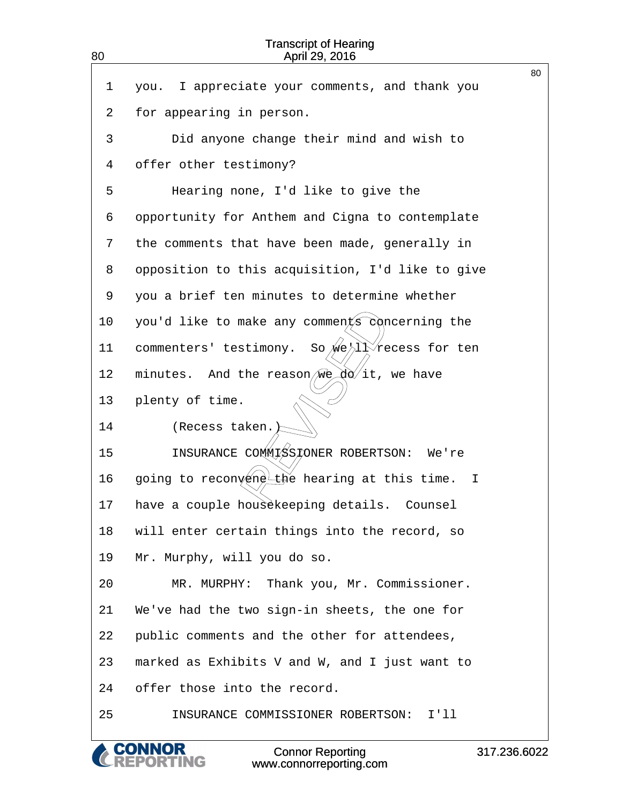<span id="page-80-0"></span>

| 80 | <b>Transcript of Hearing</b><br>April 29, 2016                     |    |
|----|--------------------------------------------------------------------|----|
| 1  | I appreciate your comments, and thank you<br>you.                  | 80 |
| 2  | for appearing in person.                                           |    |
| 3  | Did anyone change their mind and wish to                           |    |
| 4  | offer other testimony?                                             |    |
| 5  | Hearing none, I'd like to give the                                 |    |
| 6  | opportunity for Anthem and Cigna to contemplate                    |    |
| 7  | the comments that have been made, generally in                     |    |
| 8  | opposition to this acquisition, I'd like to give                   |    |
| 9  | you a brief ten minutes to determine whether                       |    |
| 10 | you'd like to make any comments concerning the                     |    |
| 11 | So we/ll recess for ten<br>commenters' testimony.                  |    |
| 12 | And the reason $\mathbb{W} \in \mathbb{R}$ it, we have<br>minutes. |    |
| 13 | plenty of time.                                                    |    |
| 14 | (Recess taken. )                                                   |    |
| 15 | INSURANCE COMMISSIONER ROBERTSON: We're                            |    |
| 16 | going to reconvene the hearing at this time.<br>I.                 |    |
| 17 | have a couple housekeeping details. Counsel                        |    |
| 18 | will enter certain things into the record, so                      |    |
| 19 | Mr. Murphy, will you do so.                                        |    |
| 20 | MR. MURPHY: Thank you, Mr. Commissioner.                           |    |
| 21 | We've had the two sign-in sheets, the one for                      |    |
| 22 | public comments and the other for attendees,                       |    |
| 23 | marked as Exhibits V and W, and I just want to                     |    |
| 24 | offer those into the record.                                       |    |
| 25 | INSURANCE COMMISSIONER ROBERTSON: I'll                             |    |
|    |                                                                    |    |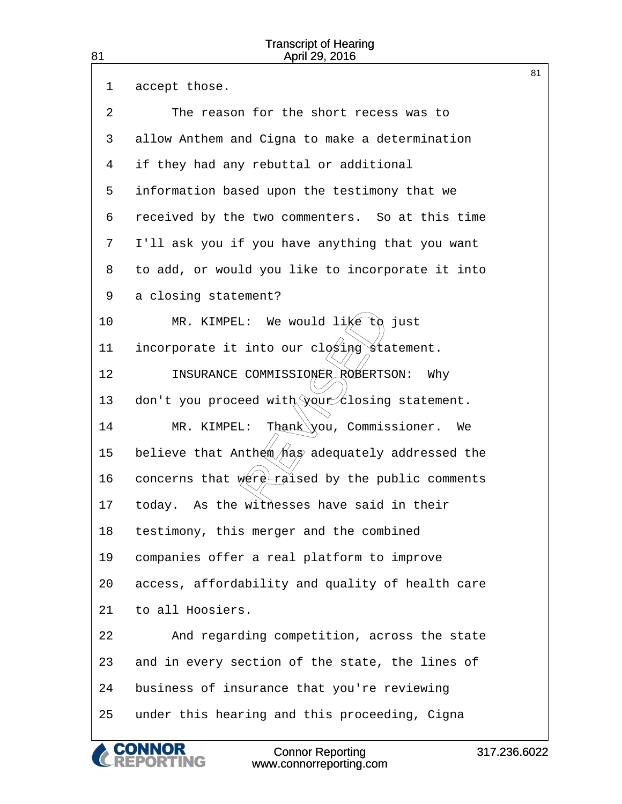<span id="page-81-0"></span>

|    |                                                           | 81 |
|----|-----------------------------------------------------------|----|
| 1  | accept those.                                             |    |
| 2  | The reason for the short recess was to                    |    |
| 3  | allow Anthem and Cigna to make a determination            |    |
| 4  | if they had any rebuttal or additional                    |    |
| 5  | information based upon the testimony that we              |    |
| 6  | received by the two commenters. So at this time           |    |
| 7  | I'll ask you if you have anything that you want           |    |
| 8  | to add, or would you like to incorporate it into          |    |
| 9  | a closing statement?                                      |    |
| 10 | MR. KIMPEL: We would $\lim_{k \to \infty} \log k$<br>just |    |
| 11 | incorporate it into our closing statement.                |    |
| 12 | INSURANCE COMMISSIONER ROBERTSON: Why                     |    |
| 13 | don't you proceed with your closing statement.            |    |
| 14 | $\texttt{Task}\x$ ou, Commissioner.<br>MR. KIMPEL:<br>We  |    |
| 15 | believe that Anthem has adequately addressed the          |    |
| 16 | concerns that were raised by the public comments          |    |
| 17 | today. As the withesses have said in their                |    |
| 18 | testimony, this merger and the combined                   |    |
| 19 | companies offer a real platform to improve                |    |
| 20 | access, affordability and quality of health care          |    |
| 21 | to all Hoosiers.                                          |    |
| 22 | And regarding competition, across the state               |    |
| 23 | and in every section of the state, the lines of           |    |
| 24 | business of insurance that you're reviewing               |    |
| 25 | under this hearing and this proceeding, Cigna             |    |
|    |                                                           |    |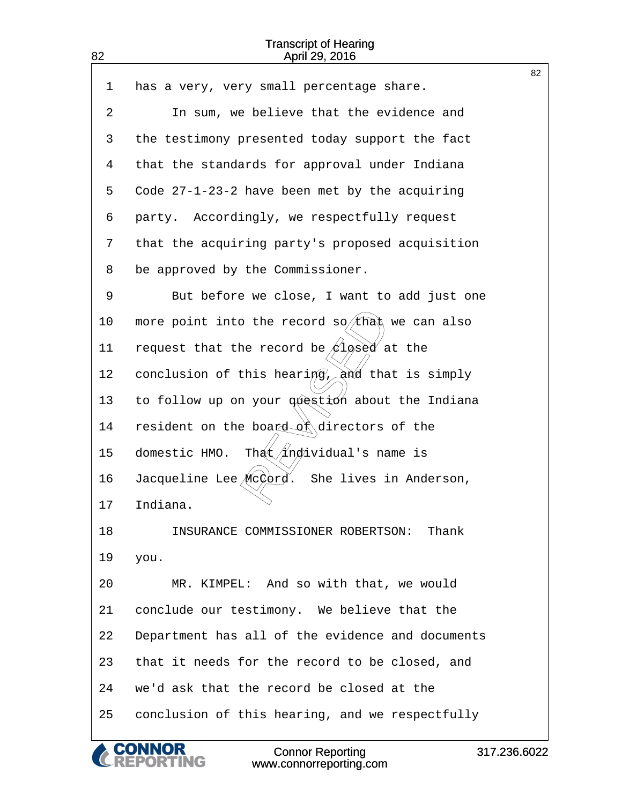|    |                                                             | 82 |
|----|-------------------------------------------------------------|----|
| 1  | has a very, very small percentage share.                    |    |
| 2  | In sum, we believe that the evidence and                    |    |
| 3  | the testimony presented today support the fact              |    |
| 4  | that the standards for approval under Indiana               |    |
| 5  | Code 27-1-23-2 have been met by the acquiring               |    |
| 6  | party. Accordingly, we respectfully request                 |    |
| 7  | that the acquiring party's proposed acquisition             |    |
| 8  | be approved by the Commissioner.                            |    |
| 9  | But before we close, I want to add just one                 |    |
| 10 | more point into the record $s\phi$ (that we can also        |    |
| 11 | request that the record be $\cancel{\#}1\cancel{\#}$ at the |    |
| 12 | conclusion of this hearing, and that is simply              |    |
| 13 | to follow up on your question about the Indiana             |    |
| 14 | resident on the board of directors of the                   |    |
| 15 | That/individual's name is<br>domestic HMO.                  |    |
| 16 | Jacqueline Lee McCord. She lives in Anderson,               |    |
| 17 | Indiana.                                                    |    |
| 18 | INSURANCE COMMISSIONER ROBERTSON:<br>Thank                  |    |
| 19 | you.                                                        |    |
| 20 | MR. KIMPEL: And so with that, we would                      |    |
| 21 | conclude our testimony. We believe that the                 |    |
| 22 | Department has all of the evidence and documents            |    |
| 23 | that it needs for the record to be closed, and              |    |
| 24 | we'd ask that the record be closed at the                   |    |
| 25 | conclusion of this hearing, and we respectfully             |    |
|    |                                                             |    |

& CONNOR<br>CREPORTING

<span id="page-82-0"></span>82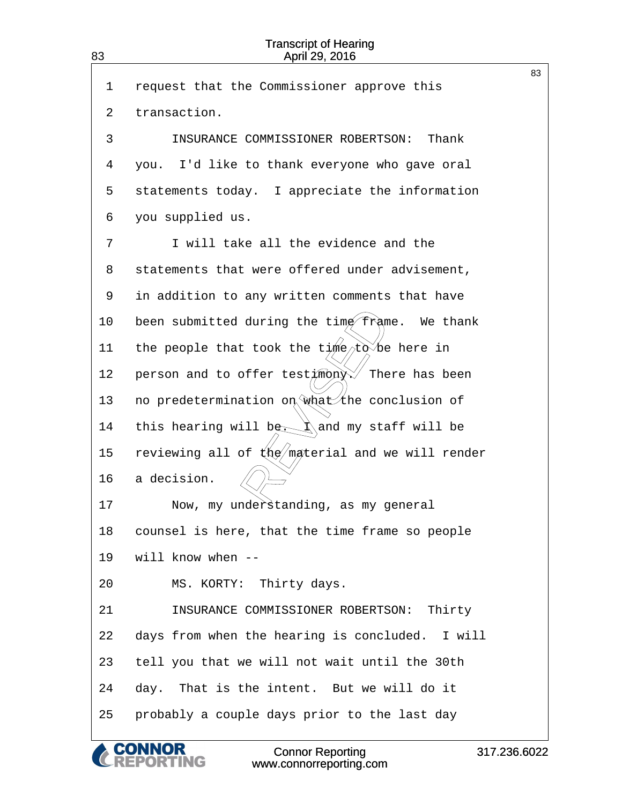<span id="page-83-0"></span>

| 83 | <b>Transcript of Hearing</b><br>April 29, 2016        |    |
|----|-------------------------------------------------------|----|
| 1  | request that the Commissioner approve this            | 83 |
| 2  | transaction.                                          |    |
| 3  | INSURANCE COMMISSIONER ROBERTSON:<br>Thank            |    |
| 4  | you. I'd like to thank everyone who gave oral         |    |
| 5  | statements today. I appreciate the information        |    |
| 6  | you supplied us.                                      |    |
| 7  | I will take all the evidence and the                  |    |
| 8  | statements that were offered under advisement,        |    |
| 9  | in addition to any written comments that have         |    |
| 10 | been submitted during the time frame. We thank        |    |
| 11 | the people that took the time/tobe here in            |    |
| 12 | person and to offer test/mony X<br>There has been     |    |
| 13 | no predetermination on what the conclusion of         |    |
| 14 | this hearing will bere kand my staff will be          |    |
| 15 | reviewing all of $k\ll 1$ material and we will render |    |
| 16 | a decision.                                           |    |
| 17 | Now, my understanding, as my general                  |    |
| 18 | counsel is here, that the time frame so people        |    |
| 19 | will know when --                                     |    |
| 20 | MS. KORTY: Thirty days.                               |    |
| 21 | INSURANCE COMMISSIONER ROBERTSON: Thirty              |    |
| 22 | days from when the hearing is concluded. I will       |    |
| 23 | tell you that we will not wait until the 30th         |    |
| 24 | day. That is the intent. But we will do it            |    |
| 25 | probably a couple days prior to the last day          |    |

**CONNOR<br>REPORTING**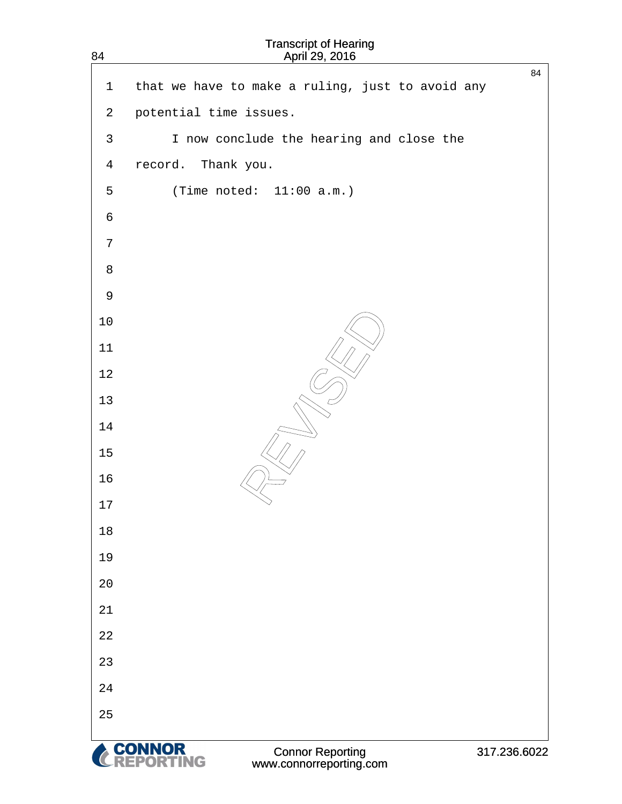<span id="page-84-0"></span>

| $\mathbf{1}$    | that we have to make a ruling, just to avoid any | 84           |
|-----------------|--------------------------------------------------|--------------|
| $\overline{a}$  | potential time issues.                           |              |
| $\mathsf{3}$    | I now conclude the hearing and close the         |              |
| $\overline{4}$  | record. Thank you.                               |              |
| 5               | (Time noted: $11:00$ a.m.)                       |              |
| $\sqrt{6}$      |                                                  |              |
| $7\phantom{.0}$ |                                                  |              |
| $\,8\,$         |                                                  |              |
| $\mathsf 9$     |                                                  |              |
| $10$            |                                                  |              |
| 11              |                                                  |              |
| 12              |                                                  |              |
| 13              |                                                  |              |
| 14              |                                                  |              |
| $15$            |                                                  |              |
| 16              |                                                  |              |
| 17              |                                                  |              |
| 18              |                                                  |              |
| 19              |                                                  |              |
| 20              |                                                  |              |
| 21              |                                                  |              |
| 22<br>23        |                                                  |              |
| 24              |                                                  |              |
| 25              |                                                  |              |
|                 |                                                  |              |
|                 | <b>A. CONNOR</b><br>Connor Donorting             | 247.226.6025 |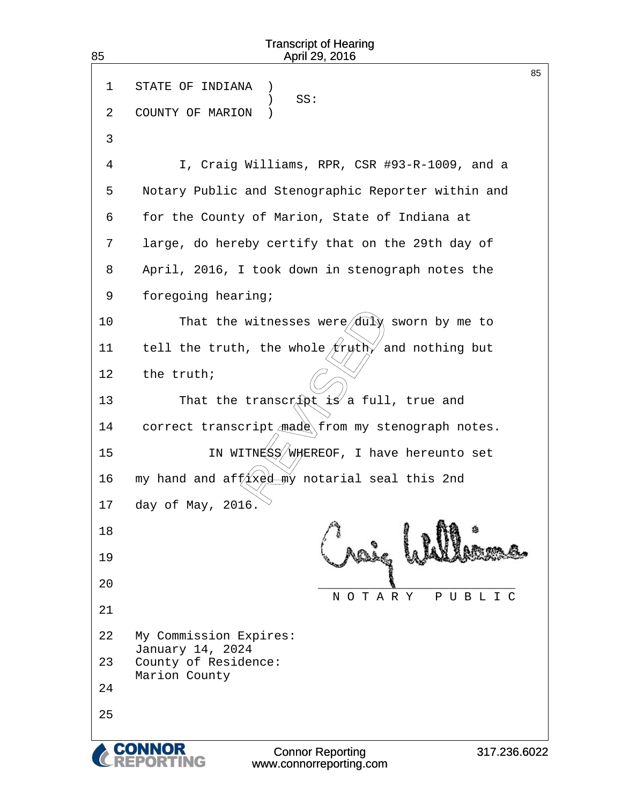| <b>Transcript of Hearing</b><br>85<br>April 29, 2016 |                                                     |  |  |
|------------------------------------------------------|-----------------------------------------------------|--|--|
| 1<br>2                                               | 85<br>STATE OF INDIANA<br>SS:<br>COUNTY OF MARION   |  |  |
| 3                                                    |                                                     |  |  |
| 4                                                    | I, Craig Williams, RPR, CSR #93-R-1009, and a       |  |  |
| 5                                                    | Notary Public and Stenographic Reporter within and  |  |  |
| 6                                                    | for the County of Marion, State of Indiana at       |  |  |
| 7                                                    | large, do hereby certify that on the 29th day of    |  |  |
| 8                                                    | April, 2016, I took down in stenograph notes the    |  |  |
| 9                                                    | foregoing hearing;                                  |  |  |
| 10                                                   | That the witnesses were $\sqrt{du}$ sworn by me to  |  |  |
| 11                                                   | tell the truth, the whole $/2$ roth and nothing but |  |  |
| 12                                                   | the truth;                                          |  |  |
| 13                                                   | That the transcript is a full, true and             |  |  |
| 14                                                   | correct transcript made from my stenograph notes.   |  |  |
| 15                                                   | IN WITNESS/WAEREOF, I have hereunto set             |  |  |
| 16                                                   | my hand and aff xed my notarial seal this 2nd       |  |  |
| 17                                                   | day of May, 2016.                                   |  |  |
| 18                                                   |                                                     |  |  |
| 19                                                   |                                                     |  |  |
| 20                                                   | NOTARY<br>PUBLIC                                    |  |  |
| 21                                                   |                                                     |  |  |
| 22                                                   | My Commission Expires:<br>January 14, 2024          |  |  |
| 23                                                   | County of Residence:<br>Marion County               |  |  |
| 24                                                   |                                                     |  |  |
| 25                                                   |                                                     |  |  |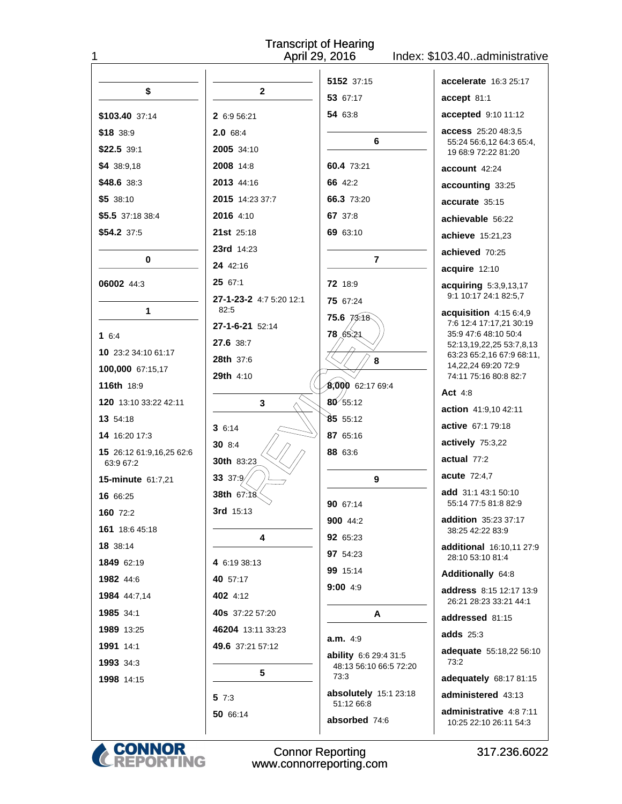| <b>Transcript of Hearing</b><br>April 29, 2016<br>1<br>Index: \$103.40administrative |                         |                                     |                                                       |
|--------------------------------------------------------------------------------------|-------------------------|-------------------------------------|-------------------------------------------------------|
| \$                                                                                   | $\mathbf{2}$            | 5152 37:15                          | accelerate 16:3 25:17                                 |
|                                                                                      |                         | 53 67:17                            | accept 81:1                                           |
| \$103.40 37:14                                                                       | 2 6:9 56:21             | 54 63:8                             | accepted 9:10 11:12                                   |
| \$18 38:9                                                                            | 2.0 68:4                |                                     | access 25:20 48:3,5                                   |
| $$22.5$ 39:1                                                                         | 2005 34:10              | 6                                   | 55:24 56:6,12 64:3 65:4,<br>19 68:9 72:22 81:20       |
| \$4 38:9.18                                                                          | <b>2008</b> 14:8        | 60.4 73:21                          | account 42:24                                         |
| \$48.6 38:3                                                                          | 2013 44:16              | 66 42:2                             | accounting 33:25                                      |
| \$533:10                                                                             | 2015 14:23 37:7         | 66.3 73:20                          | accurate 35:15                                        |
| \$5.5 37:18 38:4                                                                     | 2016 4:10               | 67 37:8                             | achievable 56:22                                      |
| \$54.2 37:5                                                                          | 21st 25:18              | 69 63:10                            | achieve 15:21,23                                      |
|                                                                                      | 23rd 14:23              |                                     | achieved 70:25                                        |
| 0                                                                                    | 24 42:16                | $\overline{7}$                      | acquire 12:10                                         |
| 06002 44:3                                                                           | 25 67:1                 | 72 18:9                             | acquiring 5:3,9,13,17                                 |
|                                                                                      | 27-1-23-2 4:7 5:20 12:1 | 75 67:24                            | 9:1 10:17 24:1 82:5,7                                 |
| $\mathbf{1}$                                                                         | 82:5                    | $75.6 \ \frac{73.18}{6}$            | acquisition 4:15 6:4,9<br>7:6 12:4 17:17,21 30:19     |
| 16:4                                                                                 | 27-1-6-21 52:14         | 78, 65, 21                          | 35:9 47:6 48:10 50:4                                  |
| 10 23:2 34:10 61:17                                                                  | 27.6 38.7               |                                     | 52:13,19,22,25 53:7,8,13<br>63:23 65:2,16 67:9 68:11, |
| 100,000 67:15,17                                                                     | <b>28th</b> 37:6        | 8                                   | 14,22,24 69:20 72:9                                   |
| 116th 18:9                                                                           | <b>29th 4:10</b>        | 8,000 62:17 69:4                    | 74:11 75:16 80:8 82:7                                 |
| 120 13:10 33:22 42:11                                                                | 3                       | $\frac{1}{60}$ 55:12                | Act $4:8$                                             |
| 13 54:18                                                                             |                         | 8555:12                             | action 41:9,10 42:11                                  |
| 14 16:20 17:3                                                                        | 36:14                   | 87 65:16                            | active 67:1 79:18                                     |
| 15 26:12 61:9,16,25 62:6                                                             | <b>30</b> 8:4           | 88 63:6                             | actively 75:3,22                                      |
| 63:9 67:2                                                                            | 30th 83:23              |                                     | actual $77:2$                                         |
| <b>15-minute 61:7,21</b>                                                             | 33 37:9                 | 9                                   | acute 72:4,7                                          |
| 16 66:25                                                                             | 38th 67:18∕             | 90 67:14                            | add 31:1 43:1 50:10<br>55:14 77:5 81:8 82:9           |
| 160 72:2                                                                             | 3rd 15:13               | 900 44:2                            | addition 35:23 37:17                                  |
| 161 18:6 45:18                                                                       | 4                       | 92 65:23                            | 38:25 42:22 83:9                                      |
| 18 38:14                                                                             |                         | 97 54:23                            | additional 16:10,11 27:9<br>28:10 53:10 81:4          |
| 1849 62:19                                                                           | 4 6:19 38:13            | 99 15:14                            | Additionally 64:8                                     |
| 1982 44:6                                                                            | 40 57:17                | 9:004:9                             | <b>address</b> 8:15 12:17 13:9                        |
| 1984 44:7,14                                                                         | 402 4:12                |                                     | 26:21 28:23 33:21 44:1                                |
| 1985 34:1                                                                            | 40s 37:22 57:20         | A                                   | addressed 81:15                                       |
| 1989 13:25                                                                           | 46204 13:11 33:23       | a.m. 4.9                            | adds $25:3$                                           |
| 1991 14:1                                                                            | 49.6 37:21 57:12        | ability 6:6 29:4 31:5               | adequate 55:18,22 56:10                               |
| 1993 34:3                                                                            | 5                       | 48:13 56:10 66:5 72:20              | 73:2                                                  |
| 1998 14:15                                                                           |                         | 73:3                                | adequately 68:17 81:15                                |
|                                                                                      | 5 7:3                   | absolutely 15:1 23:18<br>51:12 66:8 | administered 43:13                                    |
|                                                                                      | 50 66:14                | absorbed 74:6                       | administrative 4:8 7:11<br>10:25 22:10 26:11 54:3     |
|                                                                                      |                         |                                     |                                                       |

**CONNOR<br>REPORTING** 

Connor Reporting<br>www.connorreporting.com

317.236.6022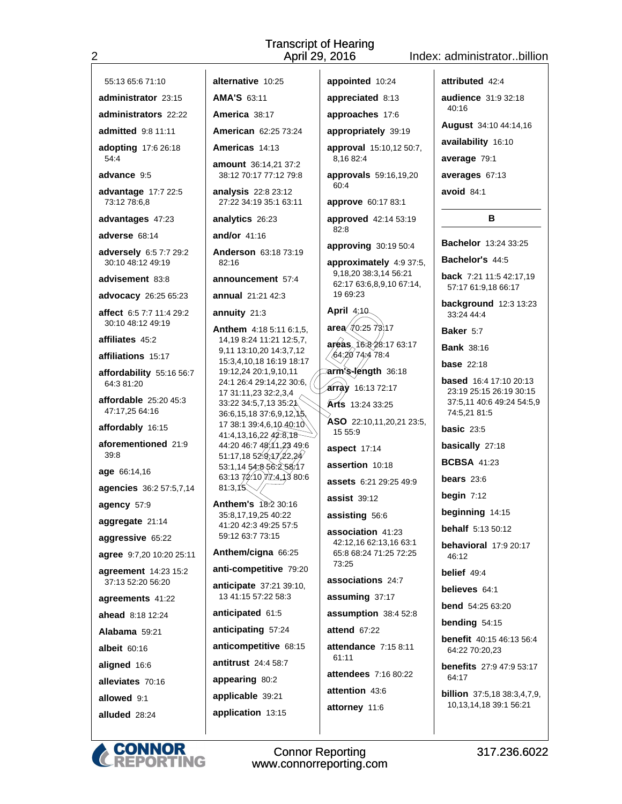### Index: administrator..billion

55:13 65:6 71:10

 $\overline{2}$ 

administrator 23:15

administrators 22:22

admitted 9:8 11:11

adopting 17:6 26:18  $54:4$ 

advance 9:5

advantage 17:7 22:5 73:12 78:6,8

advantages 47:23

adverse 68:14

adversely 6:5 7:7 29:2 30:10 48:12 49:19

advisement 83:8

advocacy 26:25 65:23

affect 6:5 7:7 11:4 29:2 30:10 48:12 49:19

affiliates 45:2

affiliations 15:17

affordability 55:16 56:7 64:3 81:20

affordable 25:20 45:3 47:17.25 64:16

affordably 16:15

aforementioned 21:9  $30 - R$ 

age 66:14,16

agencies 36:2 57:5,7,14

agency 57:9

aggregate 21:14

aggressive 65:22

agree 9:7,20 10:20 25:11

agreement 14:23 15:2 37:13 52:20 56:20

agreements 41:22

ahead 8:18 12:24

Alabama 59:21

albeit 60:16

aligned 16:6

alleviates 70:16 allowed 9:1

alluded 28:24

American 62:25 73:24 Americas 14:13

alternative 10:25

AMA'S 63:11

America 38:17

amount 36:14.21 37:2 38:12 70:17 77:12 79:8

analysis 22:8 23:12 27:22 34:19 35:1 63:11

analytics 26:23

and/or  $41:16$ 

Anderson 63:18 73:19 82:16

announcement 57:4 annual 21:21 42:3

annuity 21:3

Anthem 4:18 5:11 6:1,5, 14,19 8:24 11:21 12:5,7, 9,11 13:10,20 14:3,7,12 15:3,4,10,18 16:19 18:17 19:12,24 20:1,9,10,11 24:1 26:4 29:14,22 30:6, 17 31:11,23 32:2,3,4  $\sim$ 33:22 34:5,7,13 35:21 36:6, 15, 18 37:6, 9, 12, 13 17 38:1 39:4,6,10 40:10 41:4,13,16,22,42:8,18 44:20 46:7 48:11.23 49:6 51:17,18 52.9.17  $22.29$ 53:1.14 54:8 56:2 58:17 63:13  $72:10$   $12:4,13$  80:6  $81:3.15$ 

Anthem's 18:2 30:16 35:8,17,19,25 40:22 41:20 42:3 49:25 57:5 59:12 63:7 73:15

Anthem/cigna 66:25

anti-competitive 79:20

anticipate 37:21 39:10, 13 41:15 57:22 58:3

anticipated 61:5

anticipating 57:24

anticompetitive 68:15

antitrust 24:4 58:7

appearing 80:2

applicable 39:21 application 13:15 appointed 10:24 appreciated 8:13

approaches 17:6

appropriately 39:19

approval 15:10.12 50:7.

8.16 82:4

approvals 59:16,19,20 60:4

approve 60:17 83:1

approved 42:14 53:19  $82.8$ 

approving 30:19 50:4

approximately 4:9 37:5, 9,18,20 38:3,14 56:21 62:17 63:6,8,9,10 67:14, 19 69:23

April 4:40  $area \n 20:257317$ areas 16.8 28:17 63:17

264,20 74,4 78.4 ⁄ arm's-length 36:18

array 16:13 72:17

Arts 13:24 33:25

ASO 22:10,11,20,21 23:5, 15 55:9

aspect 17:14

assertion 10:18

assets 6:21 29:25 49:9

assist 39:12

assisting 56:6

association 41:23 42:12,16 62:13,16 63:1 65:8 68:24 71:25 72:25  $73.25$ 

associations 24:7

assuming 37:17

assumption 38:4 52:8

attend 67:22

attendance 7:15 8:11  $61.11$ 

 $attendees$  7:16.80:22

attention 43:6 attorney 11:6



**Connor Reporting** www.connorreporting.com attributed 42:4 audience 31:9 32:18  $40.16$ 

August 34:10 44:14,16

availability 16:10

average 79:1

averages 67:13

avoid  $84:1$ 

### $\overline{B}$

Bachelor 13:24 33:25

Bachelor's 44:5

back 7:21 11:5 42:17.19 57:17 61:9.18 66:17

background 12:3 13:23 33:24 44:4

Baker 5:7

**Bank 38:16** 

**base** 22:18

**based** 16:4 17:10 20:13 23:19 25:15 26:19 30:15 37:5,11 40:6 49:24 54:5,9 74:5,21 81:5

basic  $23:5$ basically 27:18

**BCBSA 41:23** 

bears  $23:6$ 

begin  $7:12$ 

46:12

belief 49:4

believes 64:1

**bend** 54:25 63:20

**benefit** 40:15 46:13 56:4

**benefits** 27:9 47:9 53:17

**billion** 37:5,18 38:3,4,7,9,

10,13,14,18 39:1 56:21

317.236.6022

bending 54:15

64:22 70:20,23

64:17

beginning 14:15

**behalf** 5:13 50:12

behavioral 17:9 20:17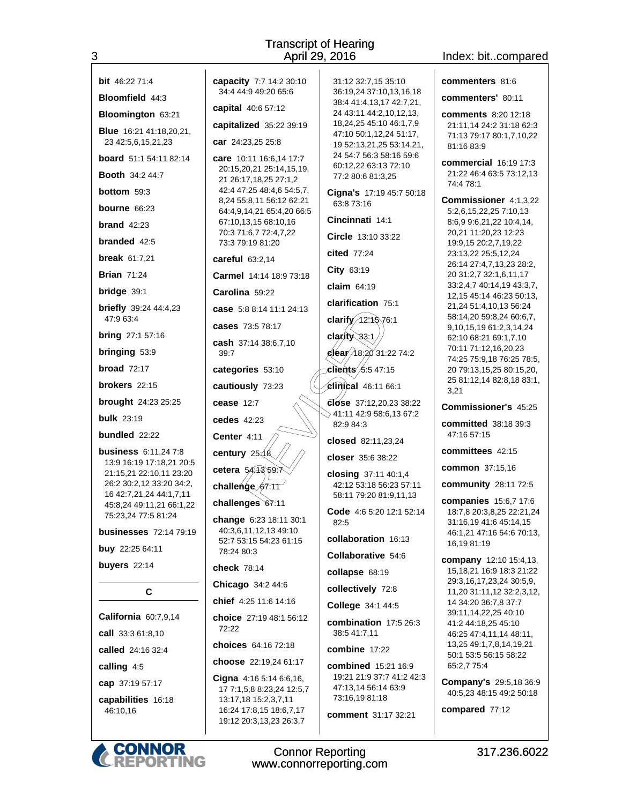| <b>bit</b> 46:22 71:4                                   | capacity 7:7 14:2 30:10                                                                                |
|---------------------------------------------------------|--------------------------------------------------------------------------------------------------------|
| Bloomfield 44:3                                         | 34:4 44:9 49:20 65:6                                                                                   |
| Bloomington 63:21                                       | capital 40:6 57:12                                                                                     |
| <b>Blue</b> 16:21 41:18,20,21,<br>23 42:5,6,15,21,23    | capitalized 35:22 39:19<br>car 24:23,25 25:8                                                           |
| <b>board</b> 51:1 54:11 82:14                           | care 10:11 16:6,14 17:7                                                                                |
| <b>Booth 34:2 44:7</b>                                  | 20:15,20,21 25:14,15,19<br>21 26:17,18,25 27:1,2                                                       |
| <b>bottom</b> 59:3                                      | 42:4 47:25 48:4,6 54:5,7                                                                               |
| bourne $66:23$                                          | 8,24 55:8,11 56:12 62:2<br>64:4,9,14,21 65:4,20 66:                                                    |
| brand $42:23$                                           | 67:10,13,15 68:10,16<br>70:3 71:6,7 72:4,7,22                                                          |
| <b>branded</b> 42:5                                     | 73:3 79:19 81:20                                                                                       |
| <b>break</b> 61:7,21                                    | careful 63:2,14                                                                                        |
| <b>Brian 71:24</b>                                      | Carmel 14:14 18:9 73:1                                                                                 |
| bridge 39:1                                             | Carolina 59:22                                                                                         |
| <b>briefly</b> 39:24 44:4,23<br>47:9 63:4               | case 5:8 8:14 11:1 24:13                                                                               |
| <b>bring</b> 27:1 57:16                                 | cases 73:5 78:17                                                                                       |
| bringing 53:9                                           | cash 37:14 38:6,7,10<br>39:7                                                                           |
| broad $72:17$                                           | categories 53:10                                                                                       |
| <b>brokers</b> $22:15$                                  | cautiously 73:23                                                                                       |
| <b>brought</b> 24:23 25:25                              | cease $12:7$                                                                                           |
| <b>bulk</b> 23:19                                       | cedes $42:23$                                                                                          |
| bundled $22:22$                                         | Center 4:11                                                                                            |
| <b>business</b> 6:11,24 7:8<br>13:9 16:19 17:18,21 20:5 | century 25.18<br>cetera 54.43,59.7                                                                     |
| 21:15,21 22:10,11 23:20<br>26:2 30:2,12 33:20 34:2,     | challenge 67:11                                                                                        |
| 16 42:7,21,24 44:1,7,11<br>45:8,24 49:11,21 66:1,22     | challenges 67:11                                                                                       |
| 75:23.24 77:5 81:24                                     | <b>change</b> 6:23 18:11 30:1                                                                          |
| <b>businesses</b> 72:14 79:19                           | 40:3,6,11,12,13 49:10<br>52:7 53:15 54:23 61:15                                                        |
| buy 22:25 64:11                                         | 78:24 80:3                                                                                             |
| buyers 22:14                                            | <b>check</b> 78:14                                                                                     |
| С                                                       | Chicago 34:2 44:6                                                                                      |
|                                                         | <b>chief</b> 4:25 11:6 14:16                                                                           |
| California 60:7,9,14<br>call 33:3 61:8,10               | choice 27:19 48:1 56:12<br>72:22                                                                       |
| called 24:16 32:4                                       | choices 64:16 72:18                                                                                    |
|                                                         | <b>choose</b> 22:19,24 61:17                                                                           |
| calling 4:5<br>cap 37:19 57:17                          | <b>Cigna</b> $4:165:146:6,16$ ,                                                                        |
| capabilities 16:18<br>46:10,16                          | 17 7:1,5,8 8:23,24 12:5,<br>13:17,18 15:2,3,7,11<br>16:24 17:8,15 18:6,7,17<br>19:12 20:3,13,23 26:3,7 |

city 7:7 14:2 30:10 44:9 49:20 65:6 al  $40.657.12$ alized 35:22 39:19 24:23.25 25:8 10:11 16:6.14 17:7 5,20,21 25:14,15,19, 26:17,18,25 27:1,2 47:25 48:4,6 54:5,7, 55:8,11 56:12 62:21 .9,14,21 65:4,20 66:5 0,13,15 68:10,16 71:6,7 72:4,7,22 79:19 81:20 ful 63:2.14 **nel** 14:14 18:9 73:18  $\mathsf{lina}$  59:22 5:8 8:14 11:1 24:13  $$73:578:17$ clarity 37:14 38:6,7,10 ćľear clients **gories** 53:10 iously 73:23 e 12:7  $$42:23$ er 4:11 ury 25 $\measuredangle$ a. 5Qenge  $67.1$ enges 67:11 ge 6:23 18:11 30:1 82:5 6,11,12,13 49:10 53:15 54:23 61:15 24 80:3 k 78:14 ago 34:2 44:6 4:25 11:6 14:16 ce 27:19 48:1 56:12  $^{22}$ ces 64:16 72:18 Se 22:19,24 61:17 a 4:16 5:14 6:6.16.  $1.5.88:23.2412:5.7$ 7.18 15:2.3.7.11

**Connor Reporting** 

www.connorreporting.com

31:12 32:7,15 35:10 36:19,24 37:10,13,16,18 38:4 41:4,13,17 42:7,21, 24 43:11 44:2,10,12,13, 18,24,25 45:10 46:1,7,9 47:10 50:1,12,24 51:17, 19 52:13,21,25 53:14,21, 24 54:7 56:3 58:16 59:6 60:12,22 63:13 72:10 77:2 80:6 81:3,25 Cigna's 17:19 45:7 50:18 63:8 73:16 Cincinnati 14:1 Circle 13:10 33:22 cited 77:24 City 63:19 claim 64:19 clarification 75:1 clarify  $12:16:76:1$  $33:1$ 18:20 31:22 74:2  $/5.547:15$ **clinical** 46:11 66:1  $\overline{6}$ fose 37:12,20,23 38:22 41:11 42:9 58:6,13 67:2 82:9 84:3 closed 82:11,23,24 closer 35:6 38:22 closing 37:11 40:1,4 42:12 53:18 56:23 57:11 58:11 79:20 81:9,11,13 Code 4:6 5:20 12:1 52:14 collaboration 16:13 Collaborative 54:6 collapse 68:19 collectively 72:8 College 34:1 44:5 combination 17:5 26:3 38:5 41:7,11 combine 17:22 combined 15:21 16:9 19:21 21:9 37:7 41:2 42:3 47:13,14 56:14 63:9 73:16,19 81:18 comment 31:17 32:21

317.236.6022

commenters' 80:11

**comments** 8:20 12:18 21:11,14 24:2 31:18 62:3 71:13 79:17 80:1,7,10,22 81:16 83:9

commercial 16:19 17:3 21:22 46:4 63:5 73:12,13 74:4 78:1

Commissioner 4:1,3,22 5:2,6,15,22,25 7:10,13 8:6,9 9:6,21,22 10:4,14, 20,21 11:20,23 12:23 19:9,15 20:2,7,19,22 23:13,22 25:5,12,24 26:14 27:4,7,13,23 28:2, 20 31:2,7 32:1,6,11,17 33:2,4,7 40:14,19 43:3,7, 12,15 45:14 46:23 50:13, 21,24 51:4,10,13 56:24 58:14,20 59:8,24 60:6,7, 9,10,15,19 61:2,3,14,24 62:10 68:21 69:1,7,10 70:11 71:12,16,20,23 74:25 75:9,18 76:25 78:5, 20 79:13,15,25 80:15,20, 25 81:12,14 82:8,18 83:1,  $3,21$ 

Commissioner's 45:25

committed 38:18 39:3 47:16 57:15

committees 42:15

common 37:15,16

community 28:11 72:5

companies 15:6,7 17:6 18:7,8 20:3,8,25 22:21,24 31:16,19 41:6 45:14,15 46:1,21 47:16 54:6 70:13, 16,1981:19

company 12:10 15:4,13, 15, 18, 21 16: 9 18: 3 21: 22 29:3,16,17,23,24 30:5,9, 11,20 31:11,12 32:2,3,12, 14 34:20 36:7,8 37:7 39:11,14,22,25 40:10 41:2 44:18,25 45:10 46:25 47:4,11,14 48:11, 13,25 49:1,7,8,14,19,21 50:1 53:5 56:15 58:22 65:2,7 75:4

Company's 29:5,18 36:9 40:5,23 48:15 49:2 50:18

compared 77:12



3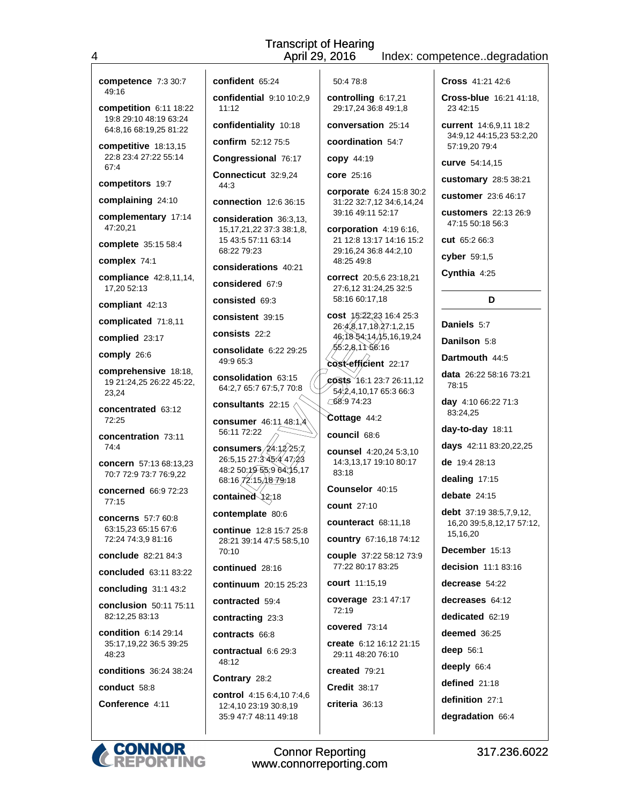| competence 7:3 30:7                                       | confident 65:24                                       | 50:478:8                                                                       | <b>Cross</b> 41:21 42:6                         |
|-----------------------------------------------------------|-------------------------------------------------------|--------------------------------------------------------------------------------|-------------------------------------------------|
| 49:16<br>competition $6:11$ 18:22                         | confidential 9:10 10:2.9<br>11:12                     | controlling 6:17,21<br>29:17,24 36:8 49:1,8                                    | <b>Cross-blue</b> 16:21 41:18.<br>23 42:15      |
| 19:8 29:10 48:19 63:24<br>64:8,16 68:19,25 81:22          | confidentiality 10:18                                 | conversation 25:14                                                             | current 14:6,9,11 18:2                          |
| competitive 18:13,15                                      | confirm 52:12 75:5                                    | coordination 54:7                                                              | 34:9,12 44:15,23 53:2,20<br>57:19,20 79:4       |
| 22:8 23:4 27:22 55:14<br>67:4                             | Congressional 76:17                                   | <b>copy</b> 44:19                                                              | curve 54:14,15                                  |
| competitors 19:7                                          | Connecticut 32:9,24<br>44:3                           | <b>core</b> 25:16                                                              | customary 28:5 38:21                            |
| complaining 24:10                                         | <b>connection</b> 12:6 36:15                          | corporate 6:24 15:8 30:2<br>31:22 32:7,12 34:6,14,24                           | <b>customer</b> 23:6 46:17                      |
| complementary 17:14                                       | consideration 36:3,13,                                | 39:16 49:11 52:17                                                              | <b>customers</b> 22:13 26:9<br>47:15 50:18 56:3 |
| 47:20,21                                                  | 15, 17, 21, 22 37: 3 38: 1, 8,<br>15 43:5 57:11 63:14 | corporation $4:196:16$ ,<br>21 12:8 13:17 14:16 15:2                           | <b>cut</b> 65:2 66:3                            |
| complete 35:15 58:4                                       | 68:22 79:23                                           | 29:16,24 36:8 44:2,10                                                          | cyber $59:1,5$                                  |
| complex 74:1                                              | considerations 40:21                                  | 48:25 49:8                                                                     | Cynthia 4:25                                    |
| compliance 42:8,11,14,<br>17,20 52:13                     | considered 67:9                                       | correct 20:5,6 23:18,21<br>27:6,12 31:24,25 32:5                               |                                                 |
| compliant 42:13                                           | consisted 69:3                                        | 58:16 60:17,18                                                                 | D                                               |
| complicated 71:8,11                                       | consistent 39:15                                      | cost 15.22,23 16:4 25:3<br>26:4,8,17,18,27:1,2,15                              | Daniels 5:7                                     |
| complied 23:17                                            | consists 22:2                                         | 46:18 54:14/15,16,19,24                                                        | <b>Danilson</b> 5:8                             |
| comply 26:6                                               | consolidate 6:22 29:25<br>49.9 65.3                   | 55:2,8,1156:16                                                                 | Dartmouth 44:5                                  |
| comprehensive 18:18,<br>19 21:24,25 26:22 45:22,<br>23,24 | consolidation 63:15<br>64:2,7 65:7 67:5,7 70:8        | cost-efficient 22:17<br>$\cos$ ts 16:1 23:7 26:11,12<br>54.2,4,10,17 65:3 66:3 | <b>data</b> 26:22 58:16 73:21<br>78:15          |
| concentrated 63:12                                        | consultants 22:15                                     | 68:9 74:23                                                                     | day 4:10 66:22 71:3                             |
| 72:25                                                     | consumer 46:11 48:1,4                                 | Cottage 44:2                                                                   | 83:24,25                                        |
| concentration 73:11                                       | 56:11 72:22                                           | council 68:6                                                                   | day-to-day 18:11                                |
| 74:4                                                      | consumers/ $24:1/2$ 25;7<br>26:5,15 27:3 45:4 47.23   | counsel 4:20,24 5:3,10<br>14:3,13,17 19:10 80:17                               | days 42:11 83:20,22,25<br>de 19:4 28:13         |
| concern 57:13 68:13,23<br>70:7 72:9 73:7 76:9,22          | 48:2 50:19 55:9 64:15,17<br>68:16/72:15, 18 79.18     | 83:18                                                                          | dealing 17:15                                   |
| <b>concerned</b> 66:9 72:23                               | contained 12:18                                       | Counselor 40:15                                                                | debate $24:15$                                  |
| 77:15                                                     | contemplate 80:6                                      | <b>count</b> 27:10                                                             | debt 37:19 38:5,7,9,12,                         |
| <b>concerns</b> 57:7 60:8<br>63:15,23 65:15 67:6          | <b>continue</b> 12:8 15:7 25:8                        | <b>counteract</b> 68:11,18                                                     | 16,20 39:5,8,12,17 57:12,                       |
| 72:24 74:3,9 81:16                                        | 28:21 39:14 47:5 58:5,10                              | <b>country</b> 67:16,18 74:12                                                  | 15,16,20                                        |
| conclude 82:21 84:3                                       | 70:10                                                 | couple 37:22 58:12 73:9                                                        | December 15:13                                  |
| concluded 63:11 83:22                                     | continued 28:16                                       | 77:22 80:17 83:25                                                              | decision $11:183:16$                            |
| concluding 31:1 43:2                                      | continuum 20:15 25:23                                 | <b>court</b> 11:15,19                                                          | decrease 54:22                                  |
| conclusion 50:11 75:11                                    | contracted 59:4                                       | coverage 23:1 47:17<br>72:19                                                   | decreases 64:12                                 |
| 82:12,25 83:13                                            | contracting 23:3                                      | covered $73:14$                                                                | dedicated 62:19                                 |
| <b>condition</b> 6:14 29:14<br>35:17,19,22 36:5 39:25     | contracts 66:8                                        | create 6:12 16:12 21:15                                                        | deemed 36:25                                    |
| 48:23                                                     | contractual $6.629:3$<br>48:12                        | 29:11 48:20 76:10                                                              | deep $56:1$                                     |
| <b>conditions</b> 36:24 38:24                             | Contrary 28:2                                         | created 79:21                                                                  | deeply 66:4                                     |
| conduct 58:8                                              | <b>control</b> 4:15 6:4,10 7:4,6                      | <b>Credit 38:17</b>                                                            | defined $21:18$                                 |
| Conference 4:11                                           | 12:4,10 23:19 30:8,19                                 | $criteria$ 36:13                                                               | definition 27:1                                 |
|                                                           | 35:9 47:7 48:11 49:18                                 |                                                                                | degradation 66:4                                |
|                                                           |                                                       |                                                                                |                                                 |

 $\overline{\mathbf{4}}$ 

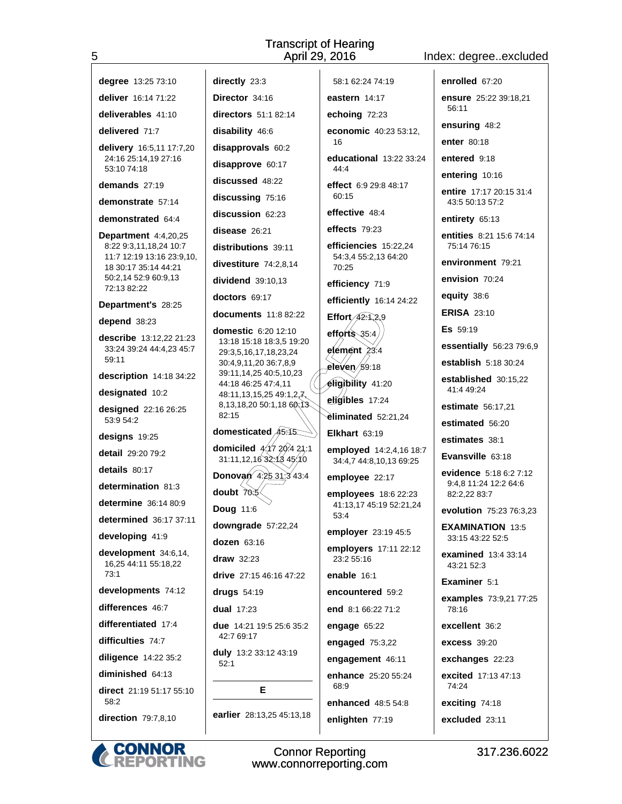## Index: degree..excluded

| 5                                                 |                                                                           | April 29, 2016                                     | Index: degreeexclude                       |
|---------------------------------------------------|---------------------------------------------------------------------------|----------------------------------------------------|--------------------------------------------|
| degree 13:25 73:10                                | directly 23:3                                                             | 58:1 62:24 74:19                                   | enrolled 67:20                             |
| deliver 16:14 71:22                               | Director 34:16                                                            | eastern $14:17$                                    | ensure 25:22 39:18,21                      |
| deliverables 41:10                                | directors 51:1 82:14                                                      | echoing 72:23                                      | 56:11                                      |
| delivered 71:7                                    | disability 46:6                                                           | economic 40:23 53:12,                              | ensuring 48:2                              |
| delivery 16:5,11 17:7,20                          | disapprovals 60:2                                                         | 16                                                 | enter 80:18                                |
| 24:16 25:14,19 27:16<br>53:10 74:18               | disapprove 60:17                                                          | educational 13:22 33:24<br>44:4                    | entered 9:18                               |
| demands $27:19$                                   | discussed 48:22                                                           | effect 6.9 29:8 48:17                              | entering 10:16                             |
| demonstrate 57:14                                 | discussing 75:16                                                          | 60:15                                              | entire 17:17 20:15 31:4<br>43:5 50:13 57:2 |
| demonstrated 64:4                                 | discussion 62:23                                                          | effective 48:4                                     | entirety 65:13                             |
| Department 4:4,20,25                              | disease 26:21                                                             | effects $79:23$                                    | entities 8:21 15:6 74:14                   |
| 8:22 9:3,11,18,24 10:7                            | distributions 39:11                                                       | efficiencies 15:22,24                              | 75:14 76:15                                |
| 11:7 12:19 13:16 23:9,10,<br>18 30:17 35:14 44:21 | divestiture 74:2,8,14                                                     | 54:3,4 55:2,13 64:20<br>70:25                      | environment 79:21                          |
| 50:2,14 52:9 60:9,13<br>72:13 82:22               | dividend 39:10,13                                                         | efficiency 71:9                                    | envision 70:24                             |
| Department's 28:25                                | doctors 69:17                                                             | efficiently 16:14 24:22                            | equity 38:6                                |
| depend 38:23                                      | documents 11:8 82:22                                                      | Effort $42.1,2.9$                                  | <b>ERISA 23:10</b>                         |
| describe 13:12,22 21:23                           | domestic 6:20 12:10                                                       | efforts $35.4$                                     | <b>Es</b> 59:19                            |
| 33:24 39:24 44:4,23 45:7                          | 13:18 15:18 18:3,5 19:20<br>29:3,5,16,17,18,23,24                         | $e$ lemênt $23.4$                                  | essentially 56:23 79:6,9                   |
| 59:11                                             | 30:4,9,11,20 36:7,8,9<br>39:11,14,25 40:5,10,23                           | eleven $/59.18$                                    | <b>establish</b> 5:18 30:24                |
| description 14:18 34:22                           | 44:18 46:25 47:4,11                                                       | eligibility 41:20                                  | established 30:15,22<br>41:4 49:24         |
| designated 10:2                                   | 48:11,13,15,25 49:1,2 $\n  \sqrt{2}$ ,<br>8,13,18,20 50:1,18 60;13        | eligibles 17:24                                    | estimate 56:17,21                          |
| designed 22:16 26:25<br>53:9 54:2                 | 82:15                                                                     | eliminated 52:21,24                                | estimated 56:20                            |
| designs 19:25                                     | domesticated 45.15                                                        | Elkhart $63:19$                                    | estimates 38:1                             |
| detail 29:20 79:2                                 | domiciled $\cancel{4.17}$ $\cancel{20.4}$ 21:1<br>31:11,12,16 32:13 45:10 | employed 14:2,4,16 18:7<br>34:4,7 44:8,10,13 69:25 | Evansville 63:18                           |
| details 80:17                                     | <b>Donovan</b> $4\frac{2531.343.4}{43.4}$                                 | employee 22:17                                     | evidence 5:18 6:2 7:12                     |
| determination 81:3                                | doubt $70.5$                                                              | employees 18:6 22:23                               | 9:4,8 11:24 12:2 64:6<br>82:2,22 83:7      |
| determine 36:14 80:9                              | <b>Doug 11:6</b>                                                          | 41:13,17 45:19 52:21,24                            | evolution 75:23 76:3,23                    |
| <b>determined</b> 36:17 37:11                     | downgrade 57:22,24                                                        | 53:4                                               | <b>EXAMINATION 13:5</b>                    |
| developing 41:9                                   | dozen 63:16                                                               | employer 23:19 45:5                                | 33:15 43:22 52:5                           |
| development 34:6,14,<br>16,25 44:11 55:18,22      | draw 32:23                                                                | employers 17:11 22:12<br>23:2 55:16                | <b>examined</b> 13:4 33:14<br>43:21 52:3   |
| 73:1                                              | drive 27:15 46:16 47:22                                                   | enable $16:1$                                      | Examiner 5:1                               |
| developments 74:12                                | drugs 54:19                                                               | encountered 59:2                                   | examples 73:9,21 77:25                     |
| differences 46:7                                  | dual $17:23$                                                              | end 8:1 66:22 71:2                                 | 78:16                                      |
| differentiated 17:4                               | <b>due</b> 14:21 19:5 25:6 35:2                                           | engage $65:22$                                     | excellent 36:2                             |
| difficulties 74:7                                 | 42:7 69:17                                                                | engaged $75:3,22$                                  | <b>excess 39:20</b>                        |
| diligence 14:22 35:2                              | duly 13:2 33:12 43:19<br>52:1                                             | engagement 46:11                                   | exchanges 22:23                            |
| diminished 64:13                                  |                                                                           | enhance 25:20 55:24                                | excited 17:13 47:13                        |
| direct 21:19 51:17 55:10<br>58:2                  | Е                                                                         | 68:9<br>enhanced 48:5 54:8                         | 74:24<br>exciting 74:18                    |
| direction 79:7,8,10                               | earlier 28:13,25 45:13,18                                                 | enlighten 77:19                                    | excluded 23:11                             |
|                                                   |                                                                           |                                                    |                                            |



Connor Reporting<br>www.connorreporting.com

317.236.6022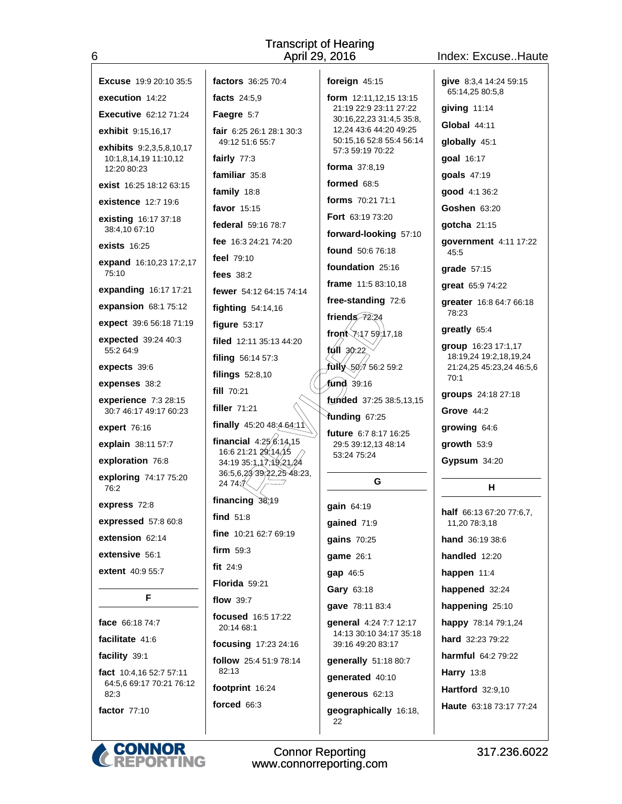Index: Excuse..Haute

| <b>Excuse</b> 19:9 20:10 35:5                | factors 36:25 70:4                              | foreign 45:15                                      | give 8:3,4 14:24 59:15                             |
|----------------------------------------------|-------------------------------------------------|----------------------------------------------------|----------------------------------------------------|
| execution 14:22                              | facts 24:5.9                                    | form 12:11,12,15 13:15                             | 65:14,25 80:5,8                                    |
| <b>Executive</b> 62:12 71:24                 | Faegre 5:7                                      | 21:19 22:9 23:11 27:22                             | giving 11:14                                       |
| exhibit 9:15,16,17                           | fair 6:25 26:1 28:1 30:3                        | 30:16,22,23 31:4,5 35:8,<br>12,24 43:6 44:20 49:25 | <b>Global 44:11</b>                                |
| <b>exhibits</b> 9:2,3,5,8,10,17              | 49:12 51:6 55:7                                 | 50:15,16 52:8 55:4 56:14                           | globally 45:1                                      |
| 10:1,8,14,19 11:10,12                        | fairly $77:3$                                   | 57:3 59:19 70:22                                   | goal 16:17                                         |
| 12:20 80:23                                  | familiar 35:8                                   | <b>forma</b> $37:8,19$                             | goals 47:19                                        |
| <b>exist</b> 16:25 18:12 63:15               | family 18:8                                     | formed 68:5                                        | good 4:1 36:2                                      |
| <b>existence</b> 12:7 19:6                   | favor 15:15                                     | forms 70:21 71:1                                   | Goshen 63:20                                       |
| <b>existing</b> 16:17 37:18<br>38:4,10 67:10 | federal 59:16 78:7                              | Fort 63:19 73:20                                   | gotcha 21:15                                       |
| <b>exists</b> 16:25                          | fee 16:3 24:21 74:20                            | forward-looking 57:10<br>found 50:6 76:18          | government 4:11 17:22                              |
| expand 16:10,23 17:2,17                      | <b>feel</b> 79:10                               | foundation 25:16                                   | 45:5                                               |
| 75:10                                        | fees $38:2$                                     |                                                    | grade 57:15                                        |
| expanding 16:17 17:21                        | fewer 54:12 64:15 74:14                         | frame 11:5 83:10,18<br>free-standing 72:6          | great 65:9 74:22                                   |
| expansion 68:1 75:12                         | <b>fighting</b> 54:14,16                        | friends $72.24$                                    | greater 16:8 64:7 66:18<br>78:23                   |
| expect 39:6 56:18 71:19                      | figure $53:17$                                  | front $x_{17}$ 59:17,18                            | greatly 65:4                                       |
| expected 39:24 40:3<br>55:2 64:9             | filed $12:11$ 35:13 44:20                       | $f(x)$ 30:22                                       | group 16:23 17:1,17                                |
| expects 39:6                                 | filing 56:14 57:3                               | fully 50/7 56:2 59:2                               | 18:19.24 19:2.18.19.24<br>21:24,25 45:23,24 46:5,6 |
| expenses 38:2                                | filings $52:8,10$                               | fund 39:16                                         | 70:1                                               |
| experience 7:3 28:15                         | fill 70:21                                      | 4 Inded 37:25 38:5,13,15                           | groups 24:18 27:18                                 |
| 30:7 46:17 49:17 60:23                       | filler 71:21                                    | Yunding 67:25                                      | Grove $44.2$                                       |
| <b>expert</b> 76:16                          | finally $45.2048.464.1\%$                       | <b>future</b> $6.78.1716.25$                       | growing 64:6                                       |
| explain 38:11 57:7                           | financial $4:25/6:14,15$<br>16:6 21:21 29:14,15 | 29:5 39:12,13 48:14                                | growth 53:9                                        |
| exploration 76:8                             | 34:19 35:1,17,19,21,24                          | 53:24 75:24                                        | Gypsum 34:20                                       |
| exploring 74:17 75:20<br>76:2                | 36:5,6,2339.22,2548:23,<br>24 74 7              | G                                                  | н                                                  |
| express 72:8                                 | financing $38.19$                               | gain 64:19                                         | <b>half</b> 66:13 67:20 77:6,7,                    |
| expressed 57:8 60:8                          | find $51:8$                                     | gained 71:9                                        | 11,20 78:3,18                                      |
| extension 62:14                              | fine 10:21 62:7 69:19                           | gains 70:25                                        | hand 36:19 38:6                                    |
| extensive 56:1                               | firm $59:3$                                     | game 26:1                                          | handled 12:20                                      |
| <b>extent</b> 40:9 55:7                      | fit $24:9$                                      | gap 46:5                                           | happen 11:4                                        |
|                                              | Florida 59:21                                   | Gary 63:18                                         | happened 32:24                                     |
| F                                            | flow 39:7                                       | qave 78:11 83:4                                    | happening 25:10                                    |
| face 66:18 74:7                              | focused 16:5 17:22<br>20:14 68:1                | general 4:24 7:7 12:17                             | happy 78:14 79:1,24                                |
| facilitate 41:6                              | focusing 17:23 24:16                            | 14:13 30:10 34:17 35:18<br>39:16 49:20 83:17       | hard 32:23 79:22                                   |
| facility 39:1                                | follow 25:4 51:9 78:14                          | generally 51:18 80:7                               | harmful 64:2 79:22                                 |
| fact 10:4,16 52:7 57:11                      | 82:13                                           | generated 40:10                                    | <b>Harry 13:8</b>                                  |
| 64:5,6 69:17 70:21 76:12<br>82:3             | footprint 16:24                                 | generous 62:13                                     | Hartford 32:9,10                                   |
| factor 77:10                                 | forced 66:3                                     | geographically 16:18,<br>22                        | Haute 63:18 73:17 77:24                            |
|                                              |                                                 |                                                    |                                                    |



 $\boldsymbol{6}$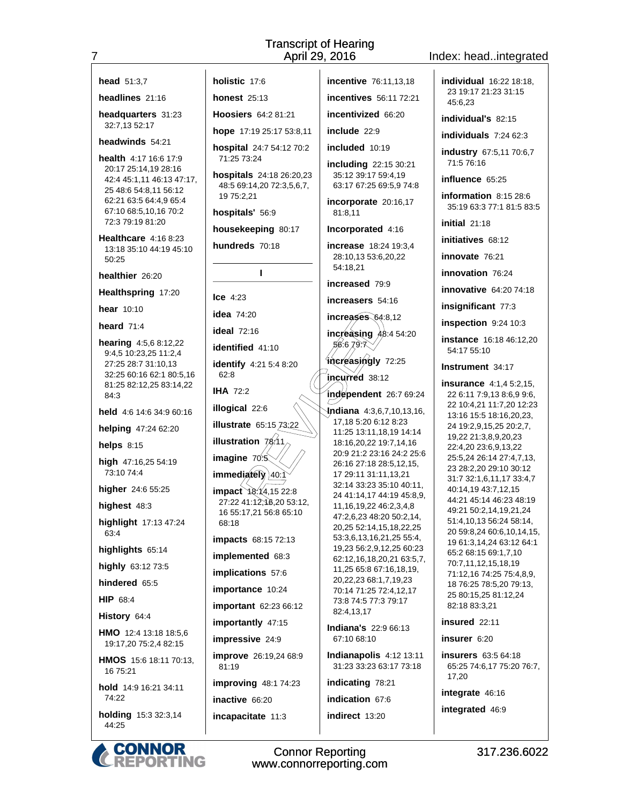Index: head..integrated

| <b>head</b> $51:3,7$                                   | holistic 17:6                                         | <b>incentive</b> 76:11,13,18                              | individual 16:22 18:18,                                          |
|--------------------------------------------------------|-------------------------------------------------------|-----------------------------------------------------------|------------------------------------------------------------------|
| headlines 21:16                                        | honest $25:13$                                        | <b>incentives</b> 56:11 72:21                             | 23 19:17 21:23 31:15<br>45:6,23                                  |
| headquarters 31:23                                     | Hoosiers 64:2 81:21                                   | incentivized 66:20                                        | individual's 82:15                                               |
| 32:7,13 52:17                                          | hope 17:19 25:17 53:8,11                              | include $22:9$                                            | individuals $7:2462:3$                                           |
| headwinds 54:21                                        | hospital 24:7 54:12 70:2                              | included 10:19                                            | industry 67:5,11 70:6,7                                          |
| health 4:17 16:6 17:9<br>20:17 25:14,19 28:16          | 71:25 73:24                                           | including 22:15 30:21                                     | 71:5 76:16                                                       |
| 42:4 45:1,11 46:13 47:17,                              | hospitals 24:18 26:20,23<br>48:5 69:14,20 72:3,5,6,7, | 35:12 39:17 59:4.19<br>63:17 67:25 69:5,9 74:8            | influence 65:25                                                  |
| 25 48:6 54:8,11 56:12<br>62:21 63:5 64:4,9 65:4        | 19 75:2,21                                            | incorporate 20:16,17                                      | information 8:15 28:6                                            |
| 67:10 68:5,10,16 70:2                                  | hospitals' 56:9                                       | 81:8,11                                                   | 35:19 63:3 77:1 81:5 83:5                                        |
| 72:3 79:19 81:20                                       | housekeeping 80:17                                    | Incorporated 4:16                                         | initial $21:18$                                                  |
| <b>Healthcare</b> 4:16 8:23<br>13:18 35:10 44:19 45:10 | hundreds 70:18                                        | increase 18:24 19:3,4                                     | initiatives 68:12                                                |
| 50:25                                                  |                                                       | 28:10,13 53:6,20,22<br>54:18,21                           | <b>innovate</b> 76:21                                            |
| healthier 26:20                                        | т                                                     | increased 79:9                                            | innovation 76:24                                                 |
| Healthspring 17:20                                     | $\textsf{Lce}$ 4:23                                   | increasers 54:16                                          | <b>innovative</b> 64:20 74:18                                    |
| <b>hear</b> 10:10                                      | <b>idea</b> 74:20                                     | increases 64:8,12                                         | insignificant 77:3                                               |
| heard $71:4$                                           | <b>ideal</b> 72:16                                    | increasing $\overline{AB}$ :4 54:20                       | inspection 9:24 10:3                                             |
| <b>hearing</b> 4:5,6 8:12,22                           | identified 41:10                                      | 56:6,79.7                                                 | instance 16:18 46:12,20<br>54:17 55:10                           |
| 9:4,5 10:23,25 11:2,4<br>27:25 28:7 31:10,13           | identify 4:21 5:4 8:20                                | increasingly 72:25                                        | <b>Instrument</b> 34:17                                          |
| 32:25 60:16 62:1 80:5,16<br>81:25 82:12,25 83:14,22    | 62:8                                                  | incurred 38:12                                            | <b>insurance</b> 4:1,4 5:2,15,                                   |
| 84:3                                                   | <b>IHA 72:2</b>                                       | independent 26:7 69:24                                    | 22 6:11 7:9,13 8:6,9 9:6,                                        |
| held 4:6 14:6 34:9 60:16                               | illogical 22:6                                        | <b>Indiana</b> 4:3,6,7,10,13,16,                          | 22 10:4,21 11:7,20 12:23<br>13:16 15:5 18:16,20,23,              |
| helping 47:24 62:20                                    | illustrate 65:15 73:22                                | 17,18 5:20 6:12 8:23<br>11:25 13:11,18,19 14:14           | 24 19:2,9,15,25 20:2,7,                                          |
| helps $8:15$                                           | illustration $78.11$                                  | 18:16,20,22 19:7,14,16                                    | 19,22 21:3,8,9,20,23<br>22:4,20 23:6,9,13,22                     |
| high 47:16,25 54:19                                    | imagine $70.5$                                        | 20:9 21:2 23:16 24:2 25:6<br>26:16 27:18 28:5,12,15,      | 25:5,24 26:14 27:4,7,13,                                         |
| 73:10 74:4                                             | immediately) 40:1                                     | 17 29:11 31:11,13,21                                      | 23 28:2,20 29:10 30:12<br>31:7 32:1,6,11,17 33:4,7               |
| higher 24:6 55:25                                      | $impact \rightarrow 4.4, 1522.8$                      | 32:14 33:23 35:10 40:11,<br>24 41:14,17 44:19 45:8,9,     | 40:14,19 43:7,12,15<br>44:21 45:14 46:23 48:19                   |
| highest 48:3                                           | 27:22 41:12, 10, 20 53:12,<br>16 55:17,21 56:8 65:10  | 11, 16, 19, 22 46: 2, 3, 4, 8<br>47:2,6,23 48:20 50:2,14, | 49:21 50:2,14,19,21,24                                           |
| highlight 17:13 47:24<br>63.4                          | 68:18                                                 | 20,25 52:14,15,18,22,25                                   | 51:4,10,13 56:24 58:14,<br>20 59:8,24 60:6,10,14,15,             |
| highlights 65:14                                       | <b>impacts</b> 68:15 72:13                            | 53:3,6,13,16,21,25 55:4,<br>19,23 56:2,9,12,25 60:23      | 19 61:3,14,24 63:12 64:1                                         |
| highly 63:12 73:5                                      | implemented 68:3                                      | 62:12,16,18,20,21 63:5,7,                                 | 65:2 68:15 69:1,7,10<br>70:7,11,12,15,18,19                      |
| hindered 65:5                                          | implications 57:6                                     | 11,25 65:8 67:16,18,19,<br>20, 22, 23 68: 1, 7, 19, 23    | 71:12,16 74:25 75:4,8,9,                                         |
| <b>HIP 68:4</b>                                        | importance 10:24                                      | 70:14 71:25 72:4,12,17<br>73:8 74:5 77:3 79:17            | 18 76:25 78:5,20 79:13,<br>25 80:15,25 81:12,24                  |
| History 64:4                                           | important 62:23 66:12                                 | 82:4,13,17                                                | 82:18 83:3,21                                                    |
| HMO 12:4 13:18 18:5,6                                  | importantly 47:15                                     | <b>Indiana's 22:9 66:13</b>                               | insured 22:11                                                    |
| 19:17,20 75:2,4 82:15                                  | impressive 24:9                                       | 67:10 68:10                                               | insurer 6:20                                                     |
| HMOS 15:6 18:11 70:13,<br>16 75:21                     | improve 26:19,24 68:9<br>81:19                        | Indianapolis 4:12 13:11<br>31:23 33:23 63:17 73:18        | <b>insurers</b> 63:5 64:18<br>65:25 74:6,17 75:20 76:7,<br>17,20 |
| hold 14:9 16:21 34:11                                  | improving 48:1 74:23                                  | indicating 78:21                                          | integrate 46:16                                                  |
| 74:22                                                  | inactive 66:20                                        | indication 67:6                                           | integrated 46:9                                                  |
| <b>holding</b> 15:3 32:3,14<br>44:25                   | incapacitate 11:3                                     | indirect 13:20                                            |                                                                  |



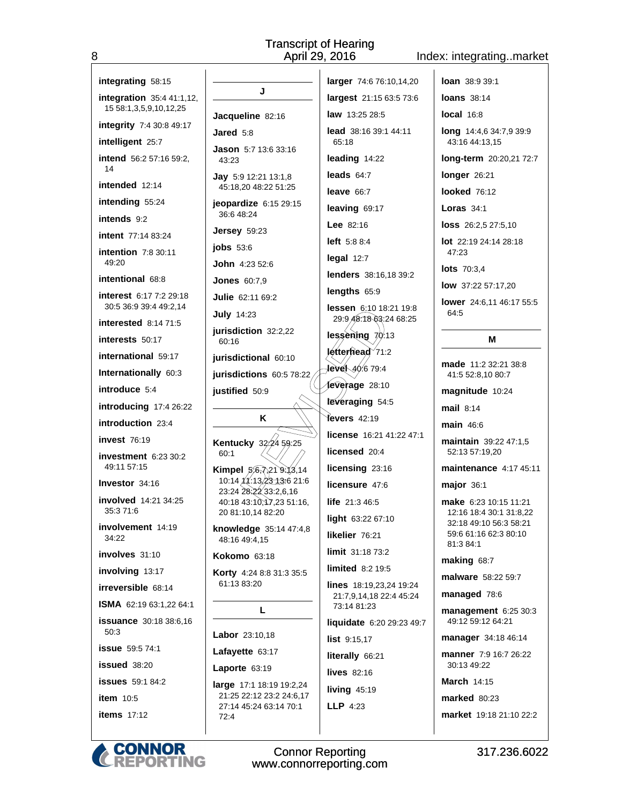### Index: integrating..market

| integrating 58:15                                   |                     |
|-----------------------------------------------------|---------------------|
| integration 35:4 41:1,12,<br>15 58:1,3,5,9,10,12,25 |                     |
| integrity 7:4 30:8 49:17                            | Jaco                |
| intelligent 25:7                                    | Jare                |
| intend 56:2 57:16 59:2,<br>14                       | Jasc<br>43:         |
| intended 12:14                                      | Jay<br>45:          |
| intending 55:24                                     | jeop                |
| <b>intends</b> 9:2                                  | 36:6                |
| intent 77:14 83:24                                  | Jers                |
| <b>intention</b> 7:8 30:11<br>49:20                 | jobs<br>Johr        |
| intentional 68:8                                    | Jone                |
| interest 6:17 7:2 29:18<br>30:5 36:9 39:4 49:2,14   | Julie               |
| <b>interested</b> 8:14 71:5                         | July<br>juris       |
| <b>interests</b> 50:17                              | 60:                 |
| international 59:17                                 | juris               |
| <b>Internationally 60:3</b>                         | juris               |
| introduce 5:4                                       | justi               |
| introducing 17:4 26:22                              |                     |
| <b>introduction</b> 23:4                            |                     |
| <b>invest</b> 76:19                                 | Kent                |
| <b>investment</b> 6:23 30:2<br>49:11 57:15          | 60:<br>Kimı         |
| Investor 34:16                                      | 10:                 |
| involved 14:21 34:25<br>35:371:6                    | 23:2<br>40:<br>20 8 |
| involvement 14:19<br>34:22                          | knov<br>48:         |
| involves 31:10                                      | Koko                |
| <b>involving</b> 13:17                              | Kort                |
| <b>irreversible</b> 68:14                           | 61:1                |
| <b>ISMA</b> 62:19 63:1,22 64:1                      |                     |
| issuance 30:18 38:6,16<br>50:3                      | Labo                |
| <b>issue</b> 59:5 74:1                              | Lafa                |
| <b>issued</b> 38:20                                 | Lapo                |
| <b>issues</b> 59:1 84:2                             | large               |
| <b>item</b> 10:5                                    | 21:2<br>27:         |
| <b>items</b> 17:12                                  | 72:                 |
|                                                     |                     |

8

| J                                             | larger           |
|-----------------------------------------------|------------------|
|                                               | larges           |
| <b>queline</b> 82:16                          | law 13           |
| d 5:8                                         | lead 3<br>65:18  |
| <b>on</b> 5:7 13:6 33:16<br>23                | leadin           |
| 5:9 12:21 13:1,8                              | leads            |
| 18,20 48:22 51:25                             | leave            |
| <b>ardize</b> 6:15 29:15<br>6 48:24           | leavin           |
| ey 59:23                                      | Lee $82$         |
| 53:6                                          | left 5:          |
| 14:23 52:6                                    | legal            |
| <b>es</b> 60:7.9                              | lender           |
| € 62:11 69:2                                  | length           |
| 14:23                                         | lesser<br>29.9/  |
| diction 32:2,22                               | lessèr           |
| 16                                            | letterh          |
| dictional 60:10:<br>dictions 60:5 78:22       | ∤evel√           |
| fied 50:9                                     | Íevera           |
|                                               | <b>Fevera</b>    |
|                                               |                  |
| κ                                             | ťevers           |
|                                               | licens           |
| 159:25<br>tucky<br>32<br>1                    | licens           |
| <b>pel</b> <i>/</i> ራል,አ21`9:(13,14           | licens           |
| 14 4 13, 2 <del>3 13.</del> 6 21: 6           | licens           |
| 24 28:22 33:2,6,16<br>18 43:10̀, ∖7,23 51:16, | life 21          |
| 81:10,14 82:20                                | light $\epsilon$ |
| wledge 35:14 47:4,8<br>16 49:4,15             | likelie          |
| <b>omo</b> 63:18                              | limit 3          |
| y 4:24 8:8 31:3 35:5                          | limited          |
| 13 83:20                                      | lines            |
| L                                             | 21:7,9<br>73:14  |
|                                               | liquida          |
| or 23:10,18                                   | list 9.          |
| <b>yette</b> 63:17                            | literall         |
| <b>prte</b> 63:19                             | lives a          |
| e 17:1 18:19 19:2,24<br>25 22:12 23:2 24:6,17 | living           |
| 14 45:24 63:14 70:1<br>4                      | LLP 4            |

74:6 76:10,14,20 loan 38:9 39:1  $st$  21:15 63:5 73:6  $3:2528:5$ 88:16 39:1 44:11 g 14:22 64:7 66:7 g 69:17  $2:16$ 88:4  $12:7$ S 38:16,18 39:2 **S** 65:9 6:10 18:21 19:8 48:18 63:24 68:25 ing *7*9.13  $\text{head}$  71:2 40.6 79:4 ge 28:10 ging 54:5 42:19 e 16:21 41:22 47:1 ed 20:4 ing 23:16 ure 47:6  $:346.5$ 33:22 67:10  $r$  76:21 31:18 73:2  $d$  8:2 19:5 18:19,23,24 19:24 9.14.18 22:4 45:24 81:23 ate 6:20 29:23 49:7 15,17 ly 66:21 82:16 45:19  $.23$ 

**loans** 38:14  $local 16:8$ long 14:4,6 34:7,9 39:9 43:16 44:13,15 long-term 20:20,21 72:7 longer 26:21 looked 76:12 Loras  $34:1$ loss 26:2,5 27:5,10 lot 22:19 24:14 28:18 47:23 **lots** 70:3.4 low 37:22 57:17,20 lower 24:6,11 46:17 55:5 64:5 M made 11:2 32:21 38:8 41:5 52:8,10 80:7 magnitude 10:24 mail  $8:14$ main 46:6 maintain 39:22 47:1,5 52:13 57:19,20 maintenance 4:17 45:11  $major 36:1$ make 6:23 10:15 11:21 12:16 18:4 30:1 31:8.22 32:18 49:10 56:3 58:21 59:6 61:16 62:3 80:10 81:3 84:1 making 68:7 malware 58:22 59:7 managed 78:6 management 6:25 30:3 49:12 59:12 64:21 manager 34:18 46:14 manner 7:9 16:7 26:22 30:13 49:22 **March 14:15** marked 80:23 market 19:18 21:10 22:2

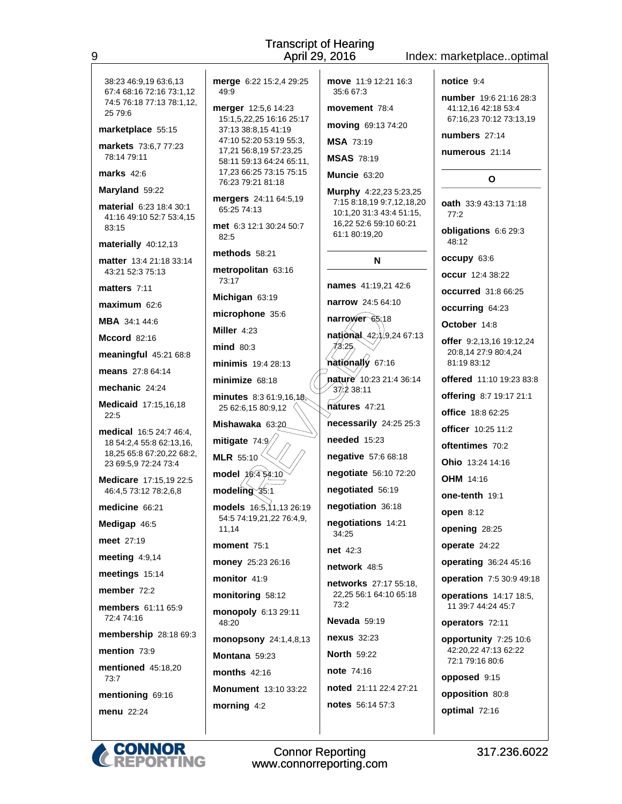|                                                                                                                                                       | April 29,                                                                                                                                                                                  |
|-------------------------------------------------------------------------------------------------------------------------------------------------------|--------------------------------------------------------------------------------------------------------------------------------------------------------------------------------------------|
| 38:23 46:9,19 63:6,13<br>67:4 68:16 72:16 73:1,12<br>74:5 76:18 77:13 78:1,12,<br>25 79:6<br>marketplace 55:15<br>markets 73:6,7 77:23<br>78:14 79:11 | merge 6:22 15:2,4 29:25<br>49:9<br>merger 12:5,6 14:23<br>15:1,5,22,25 16:16 25:17<br>37:13 38:8,15 41:19<br>47:10 52:20 53:19 55:3,<br>17,21 56:8,19 57:23,25<br>58:11 59:13 64:24 65:11, |
| marks $42:6$                                                                                                                                          | 17,23 66:25 73:15 75:15<br>76:23 79:21 81:18                                                                                                                                               |
| Maryland 59:22<br><b>material</b> 6.23 18:4 30:1<br>41:16 49:10 52:7 53:4,15<br>83:15                                                                 | mergers 24:11 64:5,19<br>65:25 74:13<br>met 6:3 12:1 30:24 50:7<br>82:5                                                                                                                    |
| materially 40:12,13<br><b>matter</b> 13:4 21:18 33:14<br>43:21 52:3 75:13                                                                             | methods 58:21<br>metropolitan 63:16<br>73:17                                                                                                                                               |
| matters $7:11$<br>$maximum$ 62:6                                                                                                                      | Michigan 63:19<br>microphone 35:6                                                                                                                                                          |
| <b>MBA</b> 34:1 44:6<br>Mccord $82:16$                                                                                                                | Miller 4:23                                                                                                                                                                                |
| meaningful 45:21 68:8<br><b>means</b> 27:8 64:14                                                                                                      | mind 80:3<br>minimis 19:4 28:13<br>minimize 68:18                                                                                                                                          |
| mechanic 24:24<br>Medicaid 17:15,16,18<br>22:5                                                                                                        | minutes 8:3 61:9,16,18,<br>25 62:6,15 80:9,12                                                                                                                                              |
| <b>medical</b> 16:5 24:7 46:4,<br>18 54:2,4 55:8 62:13,16,<br>18,25 65:8 67:20,22 68:2,<br>23 69:5,9 72:24 73:4                                       | Mishawaka 63:20<br>mitigate 74:9<br><b>MLR</b> 55:10                                                                                                                                       |
| Medicare 17:15,19 22:5<br>46:4,5 73:12 78:2,6,8                                                                                                       | $model \ \cancel{16.4} \cancel{6.4}4.10$<br>$modeling$ $$5:1$                                                                                                                              |
| medicine 66:21<br>Medigap 46:5                                                                                                                        | models 16:5,11,13 26:19<br>54:5 74:19,21,22 76:4,9,<br>11,14                                                                                                                               |
| <b>meet</b> 27:19                                                                                                                                     | moment $75:1$                                                                                                                                                                              |
| meeting $4:9,14$                                                                                                                                      | money 25:23 26:16                                                                                                                                                                          |
| meetings 15:14                                                                                                                                        | monitor 41:9                                                                                                                                                                               |
| member $72.2$                                                                                                                                         | monitoring 58:12                                                                                                                                                                           |
| <b>members</b> 61:11 65:9<br>72:474:16                                                                                                                | monopoly 6:13 29:11<br>48:20                                                                                                                                                               |
| membership 28:18 69:3                                                                                                                                 | monopsony 24:1,4,8,13                                                                                                                                                                      |
| mention $73:9$                                                                                                                                        | Montana 59:23                                                                                                                                                                              |
| <b>mentioned</b> 45:18,20<br>73:7                                                                                                                     | months $42:16$                                                                                                                                                                             |
| mentioning 69:16                                                                                                                                      | Monument 13:10 33:22                                                                                                                                                                       |
| <b>menu</b> 22:24                                                                                                                                     | morning 4:2                                                                                                                                                                                |

9

move 11:9 12:21 16:3 35:6 67:3 movement 78:4 moving 69:13 74:20 **MSA 73:19 MSAS 78:19** Muncie 63:20 Murphy 4:22,23 5:23,25 7:15 8:18,19 9:7,12,18,20 10:1,20 31:3 43:4 51:15, 16.22 52:6 59:10 60:21 61:1 80:19,20 N names 41:19,21 42:6 narrow 24:5 64:10 narrower 65.18 national 9,24 67:13  $42,$  $43.25$ nationally 67:16 nature 10:23 21:4 36:14  $37.238:11$ natures 47:21 necessarily 24:25 25:3 needed 15:23 negative 57:6 68:18 negotiate 56:10 72:20 negotiated 56:19 negotiation 36:18 negotiations 14:21 34:25 net 42:3 network 48:5 networks 27:17 55:18, 22.25 56:1 64:10 65:18  $73.2$ Nevada 59:19 nexus 32:23 **North 59:22** note 74:16 noted 21:11 22:4 27:21 notes 56:14 57:3

**Transcript of Hearing** 

2016

## Index: marketplace..optimal

notice 9:4

number 19:6 21:16 28:3 41:12,16 42:18 53:4 67:16,23 70:12 73:13,19

numbers 27:14

numerous 21:14

### $\mathbf{o}$

oath 33:9 43:13 71:18  $77:2$ obligations 6:6 29:3 48:12 occupy 63:6

occur 12:4 38:22

occurred 31:8 66:25

occurring 64:23 October 14:8

offer 9:2,13,16 19:12,24 20:8,14 27:9 80:4,24 81:19 83:12

offered 11:10 19:23 83:8

offering 8:7 19:17 21:1

office 18:8 62:25

officer 10:25 11:2

oftentimes 70:2

Ohio 13:24 14:16

**OHM** 14:16

one-tenth 19:1

open 8:12 opening 28:25

operate 24:22

operating 36:24 45:16

operation 7:5 30:9 49:18

operations 14:17 18:5. 11 39:7 44:24 45:7

operators 72:11

opportunity 7:25 10:6 42:20,22 47:13 62:22 72:1 79:16 80:6

opposed 9:15

opposition 80:8

optimal 72:16

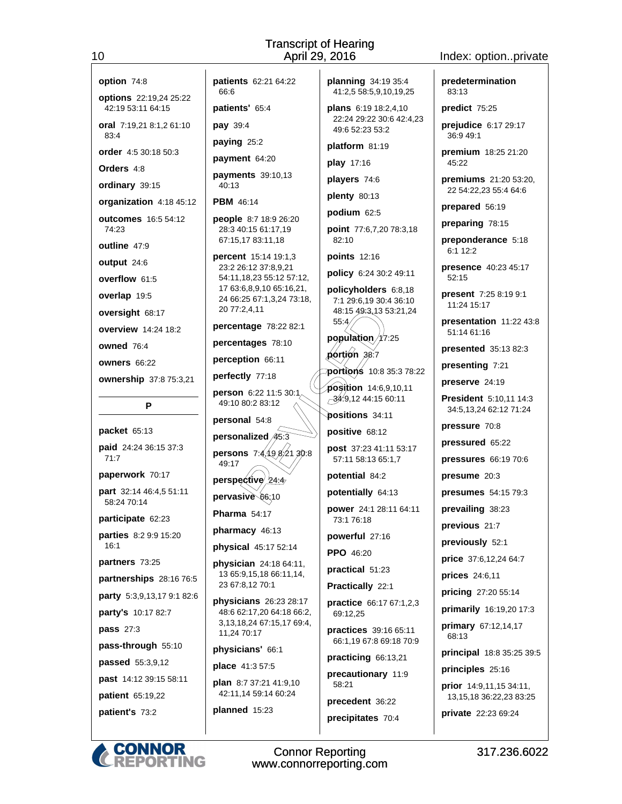#### option 74:8

 $10<sup>1</sup>$ 

options 22:19,24 25:22 42:19 53:11 64:15

oral 7:19.21 8:1.2 61:10 83:4

order 4:5 30:18 50:3

Orders 4:8

ordinary 39:15

organization 4:18 45:12 outcomes 16:5 54:12

 $74.23$ 

outline 47:9

output 24:6

overflow 61:5

overlap 19:5

oversight 68:17

overview 14:24 18:2

owned 76:4

owners 66:22

ownership 37:8 75:3,21

P

packet 65:13 paid 24:24 36:15 37:3  $71:7$ 

paperwork 70:17

part 32:14 46:4.5 51:11 58:24 70:14

participate 62:23

parties 8:2 9:9 15:20  $16:1$ 

partners 73:25

partnerships 28:16 76:5

party 5:3,9,13,17 9:1 82:6

party's 10:17 82:7

pass 27:3

pass-through 55:10

passed 55:3,9,12

past 14:12 39:15 58:11 patient 65:19,22

patient's 73:2

patients 62:21 64:22 66:6

patients' 65:4

pay 39:4

paying 25:2

payment 64:20

payments 39:10,13 40:13

**PBM** 46:14

people 8:7 18:9 26:20 28:3 40:15 61:17,19 67:15,17 83:11,18

percent 15:14 19:1,3 23:2 26:12 37:8,9,21 54:11, 18, 23 55: 12 57: 12, 17 63:6,8,9,10 65:16,21, 24 66:25 67:1,3,24 73:18, 20 77:2,4,11

percentage 78:22 82:1

percentages 78:10

perception 66:11

perfectly 77:18

person 6:22 11:5 30:1/ 49:10 80:2 83:12

personal 54:8

personalized/45:3 **persons** 7:4,49,6,21,30:8  $49:17$ 

perspective  $24.4$ pervasive 66.10

Pharma 54:17

pharmacy 46:13

physical 45:17 52:14

physician 24:18 64:11. 13 65:9.15.18 66:11.14. 23 67:8.12 70:1

physicians 26:23 28:17 48:6 62:17,20 64:18 66:2, 3,13,18,24 67:15,17 69:4, 11,24 70:17

physicians' 66:1

place 41:3 57:5

plan 8:7 37:21 41:9,10 42:11,14 59:14 60:24

planned 15:23

planning 34:19 35:4 41:2,5 58:5,9,10,19,25

**plans** 6:19 18:2.4.10 22:24 29:22 30:6 42:4.23 49:6 52:23 53:2

platform 81:19

play 17:16

players 74:6

plenty 80:13

podium 62:5

point 77:6,7,20 78:3,18 82:10

points 12:16

policy 6:24 30:2 49:11

policyholders 6:8,18 7:1 29:6,19 30:4 36:10 48:15 49:3,13 53:21,24

population 7.25  $\phi$ ortion 38:7

55.4

portions 10:8 35:3 78:22 position 14:6,9,10,11  $\sim$ 34.9,12 44:15 60:11

**positions** 34:11 positive 68:12

post 37:23 41:11 53:17 57:11 58:13 65:1.7

potential 84:2

potentially 64:13

power 24:1 28:11 64:11 73:1 76:18

powerful 27:16

PPO 46:20

practical 51:23

Practically 22:1

practice 66:17 67:1,2,3 69:12.25

practices 39:16 65:11 66:1.19 67:8 69:18 70:9

practicing 66:13,21

precautionary 11:9  $58:21$ 

precedent 36:22 precipitates 70:4

**Connor Reporting** 

www.connorreporting.com

predetermination 83:13

Index: option..private

predict 75:25

prejudice 6:17 29:17 36:9 49:1

premium 18:25 21:20  $45:22$ 

premiums 21:20 53:20, 22 54:22,23 55:4 64:6

prepared 56:19

preparing 78:15

preponderance 5:18 6:1 12:2

presence 40:23 45:17  $52:15$ 

present 7:25 8:19 9:1 11:24 15:17

presentation 11:22 43:8 51:14 61:16

**presented** 35:13 82:3

**President 5:10,11 14:3** 

34:5,13,24 62:12 71:24

presenting 7:21

preserve 24:19

pressure 70:8

presume 20:3

prevailing 38:23

previous 21:7

prices 24:6,11

68:13

previously 52:1

price 37:6,12,24 64:7

pricing 27:20 55:14

primary 67:12,14,17

principles 25:16

primarily 16:19,20 17:3

principal 18:8 35:25 39:5

prior 14:9,11,15 34:11,

private 22:23 69:24

13, 15, 18 36: 22, 23 83: 25

317.236.6022

pressured 65:22

pressures 66:19 70:6

presumes 54:15 79:3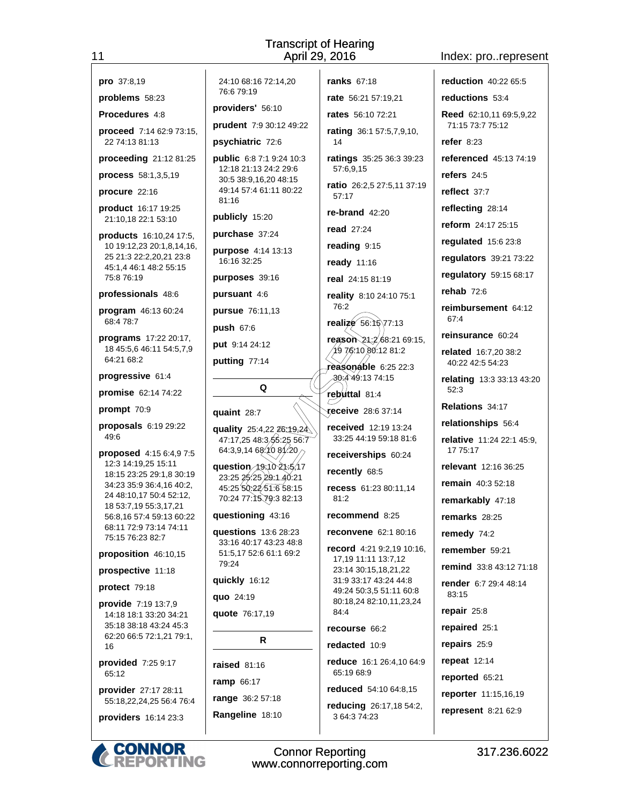### Index: pro..represent

| 1                                                                                                                                 | Transcri<br>April                                                                                                                   |
|-----------------------------------------------------------------------------------------------------------------------------------|-------------------------------------------------------------------------------------------------------------------------------------|
|                                                                                                                                   |                                                                                                                                     |
| pro 37:8,19<br>problems 58:23                                                                                                     | 24:10 68:16 72:14,20<br>76:679:19                                                                                                   |
|                                                                                                                                   | providers' 56:10                                                                                                                    |
| <b>Procedures 4:8</b>                                                                                                             | prudent 7:9 30:12 49:22                                                                                                             |
| <b>proceed</b> $7:1462:973:15$<br>22 74:13 81:13                                                                                  | psychiatric 72:6                                                                                                                    |
| proceeding 21:12 81:25                                                                                                            | <b>public</b> 6:8 7:1 9:24 10:3                                                                                                     |
| process 58:1,3,5,19                                                                                                               | 12:18 21:13 24:2 29:6<br>30:5 38:9,16,20 48:15                                                                                      |
| procure 22:16                                                                                                                     | 49:14 57:4 61:11 80:22<br>81:16                                                                                                     |
| product 16:17 19:25<br>21:10,18 22:1 53:10                                                                                        | publicly 15:20                                                                                                                      |
| products 16:10,24 17:5,                                                                                                           | purchase 37:24                                                                                                                      |
| 10 19:12,23 20:1,8,14,16,<br>25 21:3 22:2,20,21 23:8                                                                              | purpose 4:14 13:13<br>16:16 32:25                                                                                                   |
| 45:1,4 46:1 48:2 55:15<br>75:876:19                                                                                               | purposes 39:16                                                                                                                      |
| professionals 48:6                                                                                                                | <b>pursuant</b> 4:6                                                                                                                 |
| program 46:13 60:24                                                                                                               | <b>pursue</b> 76:11,13                                                                                                              |
| 68:478:7                                                                                                                          | push 67:6                                                                                                                           |
| <b>programs</b> $17:22$ 20:17,<br>18 45:5,6 46:11 54:5,7,9                                                                        | put 9:14 24:12                                                                                                                      |
| 64:21 68:2                                                                                                                        | putting 77:14                                                                                                                       |
| progressive 61:4                                                                                                                  |                                                                                                                                     |
| promise 62:14 74:22                                                                                                               | Q                                                                                                                                   |
| prompt 70:9                                                                                                                       | quaint 28:7                                                                                                                         |
| proposals 6:19 29:22<br>49:6                                                                                                      | quality 25:4,22 <del>26:19,2</del> 4<br>47:17,25 48:3/55:25 56:7                                                                    |
| proposed 4:15 6:4,9 7:5<br>12:3 14:19,25 15:11<br>18:15 23:25 29:1.8 30:19<br>34:23 35:9 36:4,16 40:2,<br>24 48:10,17 50:4 52:12, | 64:3,9,14 68:10 81.20<br><b>question</b> 19:10 21:5.17<br>23:25 25:25 29:1 40:21<br>45:25 50:22 51:6 58:15<br>70:24 77:1579:3 82:13 |
| 18 53:7,19 55:3,17,21<br>56:8,16 57:4 59:13 60:22                                                                                 | questioning 43:16                                                                                                                   |
| 68:11 72:9 73:14 74:11                                                                                                            | questions 13:6 28:23                                                                                                                |
| 75:15 76:23 82:7<br>proposition 46:10,15                                                                                          | 33:16 40:17 43:23 48:8<br>51:5,17 52:6 61:1 69:2<br>79:24                                                                           |
| prospective 11:18                                                                                                                 |                                                                                                                                     |
| protect 79:18                                                                                                                     | quickly 16:12<br>quo 24:19                                                                                                          |
| provide 7:19 13:7,9                                                                                                               | quote 76:17,19                                                                                                                      |
| 14:18 18:1 33:20 34:21<br>35:18 38:18 43:24 45:3                                                                                  |                                                                                                                                     |
| 62:20 66:5 72:1,21 79:1,<br>16                                                                                                    | R                                                                                                                                   |
| provided 7:25 9:17                                                                                                                | <b>raised 81:16</b>                                                                                                                 |
| 65:12                                                                                                                             | ramp 66:17                                                                                                                          |
| provider 27:17 28:11                                                                                                              | range 36:2 57:18                                                                                                                    |
| 55:18,22,24,25 56:4 76:4                                                                                                          | Rangeline 18:10                                                                                                                     |
| providers 16:14 23:3                                                                                                              |                                                                                                                                     |
|                                                                                                                                   |                                                                                                                                     |
| <b>CONNOR<br/>REPORTING</b>                                                                                                       | Conno<br>www.conn                                                                                                                   |

 $11$ 

ranks 67:18 rate 56:21 57:19,21 rates 56:10 72:21  $:1249:22$ rating 36:1 57:5,7,9,10, 14 ratings 35:25 36:3 39:23 57:6,9,15 ratio 26:2,5 27:5,11 37:19 57:17 re-brand  $42:20$ **read** 27:24 reading 9:15 ready 11:16 real 24:15 81:19 reality 8:10 24:10 75:1 76:2 realize 56.16\77:13 reason 21:2 68:21 69:15,  $(1976.1080.1281.2)$ reasonable 6:25 22:3 30:4 49:13 74:15 rebuttal 81:4 receive 28.6 37:14 received 12:19 13:24 26.19,24 33:25 44:19 59:18 81:6  $2556:7$ receiverships 60:24 recently 68:5 recess 61:23 80:11.14  $81:2$ recommend 8:25 reconvene 62:1 80:16 record 4:21 9:2,19 10:16, 17,19 11:11 13:7,12 23:14 30:15,18,21,22 31:9 33:17 43:24 44:8 49:24 50:3,5 51:11 60:8 80:18,24 82:10,11,23,24 84:4 recourse 66:2 redacted 10:9 reduce 16:1 26:4,10 64:9 65:19 68:9 reduced 54:10 64:8.15 reducing 26:17,18 54:2, 3 64:3 74:23

reduction 40:22 65:5 reductions 53:4 Reed 62:10,11 69:5,9,22 71:15 73:7 75:12 refer  $8:23$ referenced 45:13 74:19 refers  $24:5$ reflect 37:7 reflecting 28:14 reform 24:17 25:15 requlated  $15.623.8$ regulators 39:21 73:22 regulatory 59:15 68:17 rehab  $72:6$ reimbursement 64:12 67:4 reinsurance 60:24 related 16:7.20 38:2 40:22 42:5 54:23 relating 13:3 33:13 43:20  $52:3$ Relations 34:17 relationships 56:4 relative 11:24 22:1 45:9, 17 75:17 relevant 12:16 36:25 remain 40:3 52:18 remarkably 47:18 remarks 28:25 remedy 74:2 remember 59:21 remind 33:8 43:12 71:18 render 6:7 29:4 48:14 83:15 repair  $25:8$ repaired 25:1 repairs 25:9 repeat 12:14 reported 65:21 reporter 11:15,16,19 represent 8:21 62:9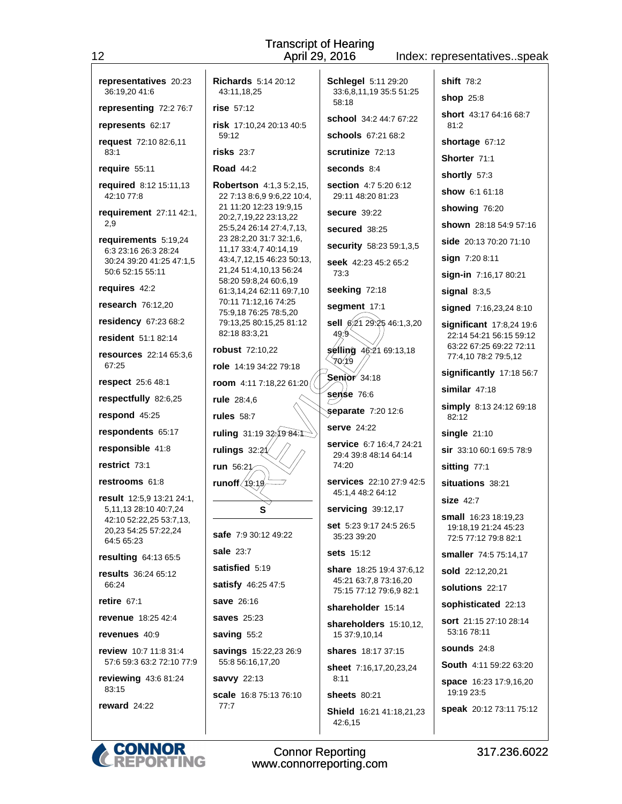| 12                                                            | April 29, 2016<br>Index: representativesspeak                |                                                       |                                                                      |  |
|---------------------------------------------------------------|--------------------------------------------------------------|-------------------------------------------------------|----------------------------------------------------------------------|--|
| representatives 20:23<br>36:19,20 41:6                        | <b>Richards</b> 5:14 20:12<br>43:11,18,25                    | <b>Schlegel 5:11 29:20</b><br>33:6,8,11,19 35:5 51:25 | <b>shift</b> 78:2<br><b>shop</b> 25:8                                |  |
| representing 72:2 76:7                                        | rise 57:12                                                   | 58:18                                                 | <b>short</b> 43:17 64:16 68:7                                        |  |
| represents 62:17                                              | risk 17:10,24 20:13 40:5                                     | <b>school</b> 34:2 44:7 67:22                         | 81:2                                                                 |  |
| request 72:10 82:6,11                                         | 59:12                                                        | schools 67:21 68:2                                    | shortage 67:12                                                       |  |
| 83:1                                                          | $risks$ 23:7                                                 | scrutinize 72:13                                      | Shorter 71:1                                                         |  |
| require 55:11                                                 | <b>Road 44:2</b>                                             | seconds 8:4                                           | shortly 57:3                                                         |  |
| required 8:12 15:11,13<br>42:10 77:8                          | <b>Robertson</b> 4:1,3 5:2,15,<br>22 7:13 8:6,9 9:6,22 10:4, | <b>section</b> 4:7 5:20 6:12<br>29:11 48:20 81:23     | show 6:1 61:18                                                       |  |
| requirement 27:11 42:1,                                       | 21 11:20 12:23 19:9,15<br>20:2,7,19,22 23:13,22              | <b>secure</b> 39:22                                   | showing 76:20                                                        |  |
| 2,9                                                           | 25:5,24 26:14 27:4,7,13,                                     | <b>secured</b> 38:25                                  | shown 28:18 54:9 57:16                                               |  |
| requirements 5:19,24<br>6:3 23:16 26:3 28:24                  | 23 28:2,20 31:7 32:1,6,<br>11,17 33:4,7 40:14,19             | security 58:23 59:1,3,5                               | <b>side</b> 20:13 70:20 71:10                                        |  |
| 30:24 39:20 41:25 47:1,5                                      | 43:4,7,12,15 46:23 50:13,                                    | seek 42:23 45:2 65:2                                  | sign 7:20 8:11                                                       |  |
| 50:6 52:15 55:11                                              | 21,24 51:4,10,13 56:24<br>58:20 59:8,24 60:6,19              | 73:3                                                  | sign-in 7:16,17 80:21                                                |  |
| requires 42:2                                                 | 61:3,14,24 62:11 69:7,10<br>70:11 71:12,16 74:25             | seeking 72:18                                         | signal $8:3,5$                                                       |  |
| research 76:12,20                                             | 75:9,18 76:25 78:5,20                                        | segment 17:1                                          | signed 7:16,23,24 8:10                                               |  |
| residency 67:23 68:2<br><b>resident</b> 51:1 82:14            | 79:13,25 80:15,25 81:12<br>82:18 83:3,21                     | sell 6:21 29:25 46:1,3,20<br>49.9                     | significant 17:8,24 19:6<br>22:14 54:21 56:15 59:12                  |  |
| resources 22:14 65:3,6                                        | <b>robust</b> 72:10,22                                       | selling 46:21 69:13,18<br>70.19                       | 63:22 67:25 69:22 72:11<br>77:4,10 78:2 79:5,12                      |  |
| 67:25                                                         | role 14:19 34:22 79:18                                       | Senior 34:18                                          | significantly 17:18 56:7                                             |  |
| respect 25:6 48:1                                             | room 4:11 7:18,22 61:20                                      | sense 76:6                                            | similar $47:18$                                                      |  |
| respectfully 82:6,25                                          | rule 28:4,6                                                  | separate 7:20 12:6                                    | simply 8:13 24:12 69:18                                              |  |
| respond 45:25                                                 | <b>rules</b> 58:7                                            | <b>serve</b> 24:22                                    | 82:12                                                                |  |
| respondents 65:17                                             | ruling 31:19 32;19 84:1                                      | service 6:7 16:4,7 24:21                              | $single$ 21:10                                                       |  |
| responsible 41:8                                              | rulings $32:21$                                              | 29:4 39:8 48:14 64:14                                 | <b>sir</b> 33:10 60:1 69:5 78:9                                      |  |
| restrict 73:1                                                 | run 56:21                                                    | 74:20                                                 | sitting 77:1                                                         |  |
| restrooms 61:8                                                | runoff (19:19                                                | <b>services</b> 22:10 27:9 42:5<br>45:1,4 48:2 64:12  | situations 38:21                                                     |  |
| result 12:5,9 13:21 24:1,<br>5,11,13 28:10 40:7,24            | s                                                            | servicing 39:12,17                                    | <b>size 42:7</b>                                                     |  |
| 42:10 52:22,25 53:7,13,<br>20,23 54:25 57:22,24<br>64:5 65:23 | <b>safe</b> 7:9 30:12 49:22                                  | set 5:23 9:17 24:5 26:5<br>35:23 39:20                | small 16:23 18:19,23<br>19:18,19 21:24 45:23<br>72:5 77:12 79:8 82:1 |  |
| resulting 64:13 65:5                                          | sale 23:7                                                    | <b>sets</b> 15:12                                     | smaller 74:5 75:14,17                                                |  |
| <b>results</b> 36:24 65:12                                    | satisfied 5:19                                               | share 18:25 19:4 37:6,12                              | sold 22:12,20,21                                                     |  |
| 66:24                                                         | satisfy 46:25 47:5                                           | 45:21 63:7,8 73:16,20<br>75:15 77:12 79:6,9 82:1      | solutions 22:17                                                      |  |
| retire $67:1$                                                 | <b>save</b> 26:16                                            | shareholder 15:14                                     | sophisticated 22:13                                                  |  |
| <b>revenue</b> 18:25 42:4                                     | <b>saves</b> 25:23                                           | shareholders 15:10,12,                                | <b>sort</b> 21:15 27:10 28:14                                        |  |
| revenues 40:9                                                 | saving 55:2                                                  | 15 37:9,10,14                                         | 53:16 78:11                                                          |  |
| <b>review</b> 10:7 11:8 31:4<br>57:6 59:3 63:2 72:10 77:9     | <b>savings</b> 15:22,23 26:9<br>55:8 56:16,17,20             | shares 18:17 37:15                                    | sounds $24:8$<br>South 4:11 59:22 63:20                              |  |
| reviewing 43:6 81:24<br>83:15                                 | savvy 22:13                                                  | <b>sheet</b> 7:16,17,20,23,24<br>8:11                 | <b>space</b> 16:23 17:9,16,20                                        |  |
| reward 24:22                                                  | scale 16:8 75:13 76:10<br>77:7                               | <b>sheets</b> 80:21                                   | 19:19 23:5                                                           |  |
|                                                               |                                                              | Shield 16:21 41:18,21,23<br>42:6,15                   | speak 20:12 73:11 75:12                                              |  |

**Transcript of Hearing**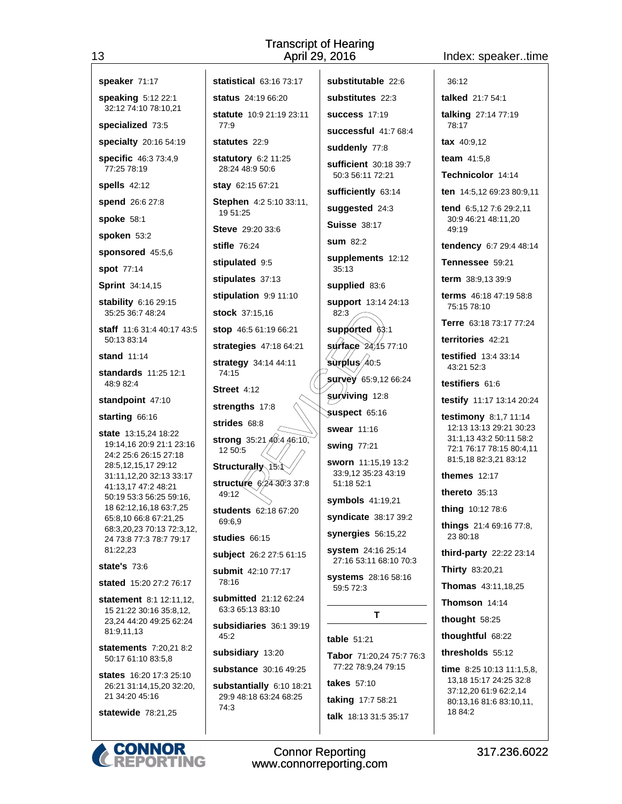statistical 63:16 73:17

### Index: speaker..time

| speaker 71:17 |  |  |
|---------------|--|--|

speaking 5:12 22:1 32:12 74:10 78:10.21

specialized 73:5

specialty 20:16 54:19

specific 46:3 73:4.9 77:25 78:19

**spells** 42:12

spend 26:6 27:8

spoke 58:1

spoken 53:2

sponsored 45:5,6

**spot** 77:14

**Sprint** 34:14,15

stability 6:16 29:15 35:25 36:7 48:24

staff 11:6 31:4 40:17 43:5 50:13 83:14

stand  $11:14$ 

standards 11:25 12:1 48:9 82:4

### standpoint 47:10

starting 66:16

state 13:15,24 18:22 19:14,16 20:9 21:1 23:16 24:2 25:6 26:15 27:18 28:5,12,15,17 29:12 31:11,12,20 32:13 33:17 41:13,17 47:2 48:21 50:19 53:3 56:25 59:16, 18 62:12,16,18 63:7,25 65:8,10 66:8 67:21,25 68:3.20.23 70:13 72:3.12. 24 73:8 77:3 78:7 79:17 81:22.23

**state's 73:6** 

stated 15:20 27:2 76:17

statement 8:1 12:11,12, 15 21:22 30:16 35:8,12, 23,24 44:20 49:25 62:24 81:9,11,13

statements 7:20,21 8:2 50:17 61:10 83:5,8

states 16:20 17:3 25:10 26:21 31:14,15,20 32:20, 21 34:20 45:16

statewide 78:21,25

status 24:19 66:20 statute 10:9 21:19 23:11  $77.0$ statutes 22:9 statutory 6:2 11:25 28:24 48:9 50:6 stay 62:15 67:21 Stephen 4:2 5:10 33:11, 19 51:25 Steve 29:20.33:6 stifle 76:24 stipulated 9:5 stipulates 37:13 stipulation 9:9 11:10 stock 37:15,16 stop 46:5 61:19 66:21 strategies 47:18 64:21 strategy 34:14 44:11 74:15 Street 4:12 strengths 17:8 strides 68:8 strong  $35:21\overline{40}:4.46:10$ , 12 50:5 **Structurally**  $15$ structúre /  $24.30^{7}3.37^{6}8$ 49:12 students 62:18 67:20 69:6.9 studies 66:15 subject 26:2 27:5 61:15 submit 42:10 77:17 78:16 submitted 21:12 62:24 63:3 65:13 83:10 subsidiaries 36:1 39:19  $45:2$ subsidiary 13:20 substance 30:16 49:25

substantially 6:10 18:21 29:9 48:18 63:24 68:25 74:3

substitutable 22:6 substitutes 22:3 success  $17:19$ successful 41:7 68:4 suddenly 77:8 sufficient 30:18 39:7 50:3 56:11 72:21 sufficiently 63:14 suggested 24:3 **Suisse 38:17**  $sum 82:2$ supplements 12:12  $35:13$ supplied 83:6 support 13:14 24:13 82:3 supported 63:1  $\frac{4}{10}$  surface  $\frac{24}{15}$  77:10 surplus 40.5 **survey** 65:9,12 66:24 **surviving 12:8** suspect 65:16 swear 11:16 swing 77:21 sworn 11:15.19 13:2 33:9.12 35:23 43:19 51:18 52:1 symbols 41:19,21 syndicate 38:17 39:2 synergies  $56:15,22$ system 24:16 25:14 27:16 53:11 68:10 70:3 systems 28:16 58:16 59:5 72:3 T. table 51:21 Tabor 71:20,24 75:7 76:3 77:22 78:9,24 79:15 takes 57:10

taking 17:7 58:21 talk 18:13 31:5 35:17 talked 21:7 54:1 talking 27:14 77:19 78:17

tax 40:9,12 team  $41:5.8$ 

 $36:12$ 

Technicolor 14:14

ten 14:5,12 69:23 80:9,11

tend 6.5,12 7:6 29:2,11 30:9 46:21 48:11,20 49:19

tendency 6:7 29:4 48:14

Tennessee 59:21

term 38:9.13 39:9

terms 46:18 47:19 58:8 75:15 78:10

Terre 63:18 73:17 77:24

territories 42:21

**testified** 13:4 33:14 43:21 52:3

testifiers 61:6

testify 11:17 13:14 20:24

testimony 8:1,7 11:14 12:13 13:13 29:21 30:23 31:1.13 43:2 50:11 58:2 72:1 76:17 78:15 80:4.11 81:5,18 82:3,21 83:12

themes  $12:17$ 

thereto  $35:13$ 

thing 10:12 78:6

things 21:4 69:16 77:8, 23 80:18

third-party 22:22 23:14

Thirty 83:20,21

Thomas 43:11,18,25

Thomson 14:14

thought 58:25

thoughtful 68:22

thresholds 55:12

time 8:25 10:13 11:1,5,8, 13,18 15:17 24:25 32:8 37:12,20 61:9 62:2,14 80:13,16 81:6 83:10,11, 18 84:2